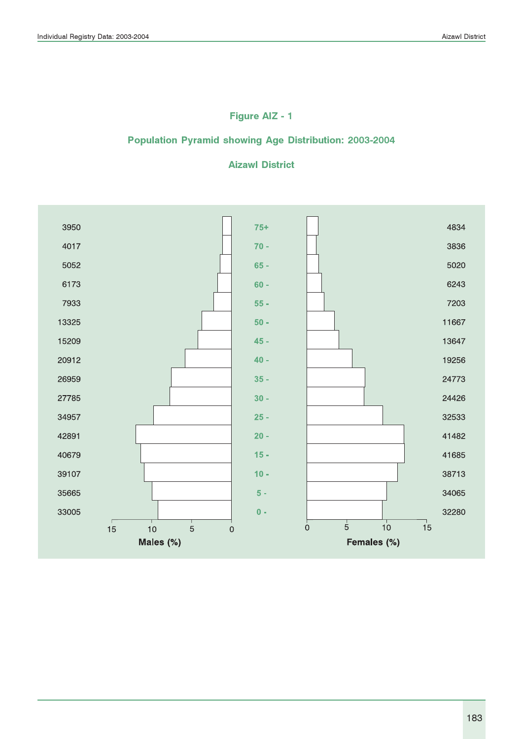### Figure AIZ - 1

### Population Pyramid showing Age Distribution: 2003-2004

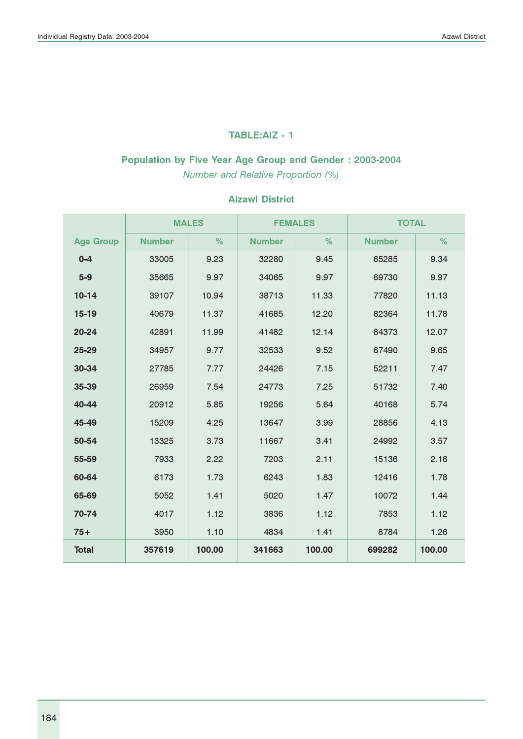#### TABLE:AIZ - 1

# Population by Five Year Age Group and Gender : 2003-2004

Number and Relative Proportion (%)

|                  |               | <b>MALES</b> | <b>FEMALES</b> |        | <b>TOTAL</b>  |        |
|------------------|---------------|--------------|----------------|--------|---------------|--------|
| <b>Age Group</b> | <b>Number</b> | %            | <b>Number</b>  | %      | <b>Number</b> | %      |
| $0 - 4$          | 33005         | 9.23         | 32280          | 9.45   | 65285         | 9.34   |
| $5-9$            | 35665         | 9.97         | 34065          | 9.97   | 69730         | 9.97   |
| $10-14$          | 39107         | 10.94        | 38713          | 11.33  | 77820         | 11.13  |
| 15-19            | 40679         | 11.37        | 41685          | 12.20  | 82364         | 11.78  |
| $20 - 24$        | 42891         | 11.99        | 41482          | 12.14  | 84373         | 12.07  |
| 25-29            | 34957         | 9.77         | 32533          | 9.52   | 67490         | 9.65   |
| 30-34            | 27785         | 7.77         | 24426          | 7.15   | 52211         | 7.47   |
| 35-39            | 26959         | 7.54         | 24773          | 7.25   | 51732         | 7.40   |
| 40-44            | 20912         | 5.85         | 19256          | 5.64   | 40168         | 5.74   |
| 45-49            | 15209         | 4.25         | 13647          | 3.99   | 28856         | 4.13   |
| 50-54            | 13325         | 3.73         | 11667          | 3.41   | 24992         | 3.57   |
| 55-59            | 7933          | 2.22         | 7203           | 2.11   | 15136         | 2.16   |
| 60-64            | 6173          | 1.73         | 6243           | 1.83   | 12416         | 1.78   |
| 65-69            | 5052          | 1.41         | 5020           | 1.47   | 10072         | 1.44   |
| 70-74            | 4017          | 1.12         | 3836           | 1.12   | 7853          | 1.12   |
| $75+$            | 3950          | 1.10         | 4834           | 1.41   | 8784          | 1.26   |
| <b>Total</b>     | 357619        | 100.00       | 341663         | 100.00 | 699282        | 100.00 |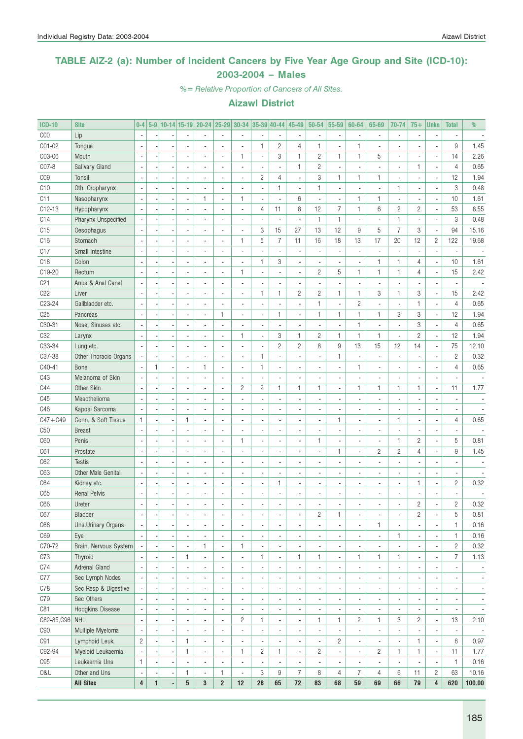### TABLE AIZ-2 (a): Number of Incident Cancers by Five Year Age Group and Site (ICD-10): 2003-2004 – Males

%= Relative Proportion of Cancers of All Sites.

| <b>ICD-10</b>    | <b>Site</b>               | $0-4$                    |              |                          |                          | 5-9 10-14 15-19 20-24 25-29 30-34 35-39 40-44 |                          |                          |                |                          | 45-49                    | 50-54                    | 55-59                    | 60-64                    | 65-69                    | 70-74                    | $75+$          | <b>Unkn</b>              | <b>Total</b>                 | %                        |
|------------------|---------------------------|--------------------------|--------------|--------------------------|--------------------------|-----------------------------------------------|--------------------------|--------------------------|----------------|--------------------------|--------------------------|--------------------------|--------------------------|--------------------------|--------------------------|--------------------------|----------------|--------------------------|------------------------------|--------------------------|
| C <sub>00</sub>  | Lip                       | $\overline{\phantom{a}}$ |              |                          |                          |                                               |                          |                          |                |                          |                          |                          | $\overline{\phantom{a}}$ |                          |                          | $\overline{\phantom{a}}$ |                |                          |                              |                          |
| CO1-02           | Tongue                    |                          |              |                          |                          |                                               | ×,                       | ä,                       | $\mathbf{1}$   | $\sqrt{2}$               | $\overline{4}$           | $\mathbf{1}$             | ä,                       | 1                        |                          |                          |                |                          | 9                            | 1.45                     |
| C03-06           | Mouth                     |                          |              |                          |                          |                                               | $\blacksquare$           | 1                        | ÷,             | 3                        | 1                        | $\sqrt{2}$               | 1                        | $\mathbf{1}$             | 5                        | $\overline{\phantom{a}}$ |                | ÷,                       | 14                           | 2.26                     |
| CO7-8            | Salivary Gland            |                          |              |                          |                          |                                               |                          | ä,                       |                | $\blacksquare$           | $\mathbf{1}$             | $\sqrt{2}$               | $\overline{\phantom{a}}$ |                          |                          | $\overline{\phantom{a}}$ | $\mathbf{1}$   | ÷,                       | $\overline{4}$               | 0.65                     |
| C <sub>0</sub> 9 | Tonsil                    |                          |              |                          |                          |                                               | ×,                       | ä,                       | $\sqrt{2}$     | $\overline{4}$           |                          | 3                        | 1                        | $\mathbf{1}$             | $\mathbf{1}$             | $\blacksquare$           |                | ÷,                       | 12                           | 1.94                     |
| C <sub>10</sub>  | Oth. Oropharynx           |                          |              |                          |                          |                                               | $\blacksquare$           | $\overline{a}$           |                | $\mathbf{1}$             |                          | 1                        | $\overline{\phantom{a}}$ |                          |                          | $\mathbf{1}$             |                | ä,                       | $\ensuremath{\mathsf{3}}$    | 0.48                     |
| C <sub>11</sub>  | Nasopharynx               |                          |              |                          | $\blacksquare$           | 1                                             | $\overline{\phantom{a}}$ | 1                        | ÷,             | ä,                       | 6                        |                          | $\overline{\phantom{a}}$ | $\mathbf{1}$             | $\mathbf{1}$             | $\blacksquare$           |                | ÷,                       | 10                           | 1.61                     |
| $C12-13$         | Hypopharynx               |                          |              |                          |                          |                                               | $\blacksquare$           | $\blacksquare$           | 4              | 11                       | 8                        | 12                       | $\overline{7}$           | $\mathbf{1}$             | $6\phantom{1}$           | $\mathbf{2}$             | $\overline{c}$ | ÷,                       | 53                           | 8.55                     |
| C14              | Pharynx Unspecified       |                          |              |                          |                          |                                               | $\blacksquare$           | $\overline{\phantom{a}}$ |                | $\blacksquare$           |                          | 1                        | 1                        |                          | $\overline{a}$           | $\mathbf{1}$             |                | ÷,                       | 3                            | 0.48                     |
| C15              | Oesophagus                |                          |              |                          |                          |                                               | $\blacksquare$           | $\blacksquare$           | 3              | 15                       | 27                       | 13                       | 12                       | 9                        | 5                        | $\boldsymbol{7}$         | 3              | ÷,                       | 94                           | 15.16                    |
| C16              | Stomach                   |                          |              |                          |                          |                                               | $\blacksquare$           | 1                        | 5              | $\overline{7}$           | 11                       | 16                       | 18                       | 13                       | 17                       | 20                       | 12             | $\overline{c}$           | 122                          | 19.68                    |
| C <sub>17</sub>  | Small Intestine           |                          |              |                          |                          |                                               | $\overline{\phantom{a}}$ | ä,                       |                | $\blacksquare$           |                          | ÷,                       | ÷,                       |                          |                          | $\blacksquare$           |                | ÷                        |                              |                          |
| C <sub>18</sub>  | Colon                     |                          |              |                          |                          |                                               | $\overline{\phantom{a}}$ | $\frac{1}{2}$            | $\mathbf{1}$   | 3                        |                          |                          | $\overline{\phantom{a}}$ |                          | $\mathbf{1}$             | $\mathbf{1}$             | 4              | l,                       | 10                           | 1.61                     |
| C19-20           | Rectum                    |                          |              |                          |                          |                                               | $\overline{\phantom{a}}$ | $\mathbf{1}$             |                | $\blacksquare$           |                          | $\mathbf{2}$             | 5                        | $\mathbf{1}$             | $\mathbf{1}$             | $\mathbf{1}$             | 4              | $\overline{\phantom{a}}$ | 15                           | 2.42                     |
| C <sub>21</sub>  | Anus & Anal Canal         |                          |              |                          |                          |                                               | $\blacksquare$           | ä,                       |                | $\blacksquare$           |                          |                          | ÷,                       |                          |                          | $\overline{\phantom{a}}$ |                | ÷,                       |                              |                          |
| C <sub>22</sub>  | Liver                     |                          |              |                          |                          |                                               | $\blacksquare$           | $\overline{\phantom{a}}$ | $\mathbf{1}$   | $\mathbf{1}$             | $\overline{c}$           | $\overline{c}$           | 1                        | $\mathbf{1}$             | 3                        | $\mathbf{1}$             | 3              | ÷,                       | 15                           | 2.42                     |
| C23-24           | Gallbladder etc.          |                          |              |                          |                          |                                               |                          | $\overline{\phantom{a}}$ |                | $\blacksquare$           |                          | 1                        | $\overline{\phantom{a}}$ | $\overline{c}$           |                          | $\overline{\phantom{a}}$ | $\mathbf{1}$   | ÷,                       | $\overline{4}$               | 0.65                     |
| C <sub>25</sub>  | Pancreas                  |                          |              |                          |                          |                                               | 1                        | $\overline{\phantom{a}}$ | ÷,             | $\mathbf{1}$             |                          | $\mathbf{1}$             | 1                        | $\mathbf{1}$             | $\mathbf{1}$             | 3                        | 3              | ÷,                       | 12                           | 1.94                     |
| C30-31           | Nose, Sinuses etc.        |                          |              |                          |                          |                                               | $\blacksquare$           | $\overline{\phantom{a}}$ |                | $\blacksquare$           |                          |                          | Ĭ.                       | $\mathbf{1}$             |                          | $\overline{\phantom{a}}$ | 3              | ÷,                       | $\overline{4}$               | 0.65                     |
| C <sub>32</sub>  | Larynx                    |                          |              |                          |                          |                                               | $\blacksquare$           | 1                        | ä,             | 3                        | $\mathbf{1}$             | $\mathbf{2}$             | 1                        | $\mathbf{1}$             | $\mathbf{1}$             | $\overline{\phantom{a}}$ | $\overline{c}$ | ÷,                       | 12                           | 1.94                     |
| C33-34           | Lung etc.                 |                          |              |                          |                          |                                               | $\blacksquare$           | $\overline{\phantom{a}}$ |                | $\overline{c}$           | $\overline{c}$           | 8                        | 9                        | 13                       | 15                       | 12                       | 14             | $\blacksquare$           | 75                           | 12.10                    |
| C37-38           | Other Thoracic Organs     |                          |              |                          |                          |                                               | $\blacksquare$           | $\blacksquare$           | 1              | $\blacksquare$           |                          |                          | 1                        |                          |                          | $\blacksquare$           |                | ×,                       | $\overline{c}$               | 0.32                     |
| C40-41           | Bone                      |                          | $\mathbf{1}$ |                          | $\blacksquare$           | 1                                             | $\overline{\phantom{a}}$ | $\overline{\phantom{a}}$ | $\mathbf{1}$   | $\blacksquare$           |                          |                          | $\overline{\phantom{a}}$ | $\mathbf{1}$             |                          | $\blacksquare$           |                | ×,                       | $\overline{4}$               | 0.65                     |
| C43              | Melanoma of Skin          | ÷,                       |              |                          |                          |                                               | $\overline{\phantom{a}}$ | $\frac{1}{2}$            |                | $\blacksquare$           |                          |                          | $\overline{\phantom{a}}$ |                          |                          | $\overline{\phantom{a}}$ |                | ×,                       |                              |                          |
| C44              | Other Skin                |                          |              |                          |                          |                                               | $\blacksquare$           | $\overline{c}$           | $\mathbf{2}$   | $\mathbf{1}$             | 1                        | $\mathbf{1}$             | $\blacksquare$           | $\mathbf{1}$             | $\mathbf{1}$             | $\mathbf{1}$             | $\mathbf{1}$   | $\blacksquare$           | 11                           | 1.77                     |
| C45              | Mesothelioma              |                          |              |                          |                          |                                               | $\blacksquare$           | $\frac{1}{2}$            |                | $\blacksquare$           |                          |                          | ÷,                       |                          |                          | $\blacksquare$           |                | ×,                       |                              |                          |
| C46              | Kaposi Sarcoma            |                          |              |                          |                          |                                               | $\blacksquare$           | $\blacksquare$           |                | $\blacksquare$           |                          |                          | ÷,                       |                          |                          | $\blacksquare$           |                | ä,                       |                              |                          |
| $C47 + C49$      | Conn. & Soft Tissue       | 1                        |              |                          | 1                        |                                               | $\blacksquare$           | $\overline{\phantom{a}}$ |                | $\overline{\phantom{a}}$ |                          |                          | 1                        |                          | $\overline{\phantom{a}}$ | $\mathbf{1}$             |                | ×,                       | $\overline{4}$               | 0.65                     |
| C50              | <b>Breast</b>             |                          |              |                          |                          |                                               | $\blacksquare$           | ä,                       |                | $\overline{\phantom{a}}$ |                          |                          | ÷,                       |                          | ä,                       | $\overline{\phantom{a}}$ |                | ä,                       |                              |                          |
| C60              | Penis                     |                          |              |                          |                          |                                               | $\blacksquare$           | 1                        |                | $\blacksquare$           |                          | $\mathbf{1}$             | ÷,                       |                          | ä,                       | $\mathbf{1}$             | $\overline{c}$ | ÷,                       | 5                            | 0.81                     |
| C61              | Prostate                  | ÷,                       |              |                          |                          |                                               | $\blacksquare$           | ä,                       |                | $\blacksquare$           |                          |                          | 1                        |                          | $\overline{c}$           | $\sqrt{2}$               | 4              | ×,                       | 9                            | 1.45                     |
| C62              | <b>Testis</b>             |                          |              |                          |                          |                                               | $\blacksquare$           | $\blacksquare$           |                | ÷,                       |                          |                          | ÷,                       |                          |                          | $\blacksquare$           |                | ä,                       |                              |                          |
| C63              | <b>Other Male Genital</b> |                          |              |                          |                          |                                               | $\blacksquare$           | $\overline{\phantom{a}}$ | ÷,             | $\blacksquare$           |                          |                          | ÷,                       |                          |                          | $\blacksquare$           |                | ä,                       |                              |                          |
| C64              | Kidney etc.               |                          |              |                          |                          |                                               | $\blacksquare$           | $\blacksquare$           | ä,             | 1                        | $\overline{a}$           | $\blacksquare$           | ÷,                       |                          |                          | $\blacksquare$           | 1              | $\blacksquare$           | $\mathbf{2}$                 | 0.32                     |
| C65              | <b>Renal Pelvis</b>       |                          |              |                          |                          |                                               | $\blacksquare$           | $\overline{\phantom{a}}$ |                | $\blacksquare$           |                          |                          | ÷,                       |                          |                          | $\blacksquare$           |                |                          |                              |                          |
| C66              |                           | $\overline{\phantom{a}}$ |              |                          |                          | ä,                                            | $\blacksquare$           | $\overline{\phantom{a}}$ |                | ÷,                       |                          |                          |                          |                          |                          | $\overline{\phantom{a}}$ | $\overline{c}$ |                          | $\overline{c}$               | 0.32                     |
|                  | Ureter                    |                          |              |                          |                          |                                               |                          |                          |                |                          |                          |                          | ÷,                       |                          |                          |                          |                |                          |                              |                          |
| C67              | Bladder                   | $\overline{\phantom{a}}$ |              | $\overline{\phantom{a}}$ |                          |                                               |                          | ٠                        | ٠              | $\overline{\phantom{a}}$ |                          | $\overline{c}$           | 1                        | $\sim$                   |                          | ٠                        | $\overline{c}$ | ٠                        | 5                            | 0.81                     |
| C68              | Uns. Urinary Organs       |                          |              |                          | $\blacksquare$           | ä,                                            | $\overline{\phantom{a}}$ | $\blacksquare$           | ä,             | $\overline{\phantom{a}}$ | $\overline{a}$           | $\overline{\phantom{a}}$ | $\overline{\phantom{a}}$ | $\overline{\phantom{a}}$ | 1                        | $\overline{\phantom{a}}$ |                | $\blacksquare$           | $\mathbf{1}$<br>$\mathbf{1}$ | 0.16                     |
| C69              | Eye                       | ÷,                       |              |                          | $\overline{\phantom{a}}$ |                                               | $\overline{\phantom{a}}$ | $\blacksquare$           |                | $\overline{\phantom{a}}$ | $\overline{a}$           | $\overline{\phantom{a}}$ | $\overline{\phantom{a}}$ | $\blacksquare$           | $\overline{\phantom{a}}$ | $\mathbf{1}$             |                | $\blacksquare$           | $\overline{c}$               | 0.16<br>0.32             |
| C70-72           | Brain, Nervous System     |                          |              |                          |                          | 1                                             | $\overline{\phantom{a}}$ | 1                        |                | $\blacksquare$           |                          | $\overline{\phantom{a}}$ | $\overline{\phantom{a}}$ |                          | ٠                        | $\overline{\phantom{a}}$ |                | $\overline{\phantom{a}}$ | $\overline{7}$               |                          |
| C73              | Thyroid                   | ÷,                       |              | ÷,                       | 1                        | ä,                                            | $\overline{\phantom{a}}$ | ÷,                       | $\mathbf{1}$   | $\blacksquare$           | 1                        | $\mathbf{1}$             | $\overline{\phantom{a}}$ | 1                        | $\mathbf{1}$             | $\mathbf{1}$             |                | $\overline{\phantom{a}}$ |                              | 1.13                     |
| C74              | Adrenal Gland             |                          |              |                          |                          |                                               | $\overline{\phantom{a}}$ | $\blacksquare$           |                | $\blacksquare$           |                          | ٠                        | ÷,                       |                          | $\overline{\phantom{a}}$ | $\overline{\phantom{a}}$ |                | ×,                       | $\overline{\phantom{a}}$     | $\overline{\phantom{a}}$ |
| C77              | Sec Lymph Nodes           |                          |              |                          | $\overline{\phantom{a}}$ | ä,                                            | $\overline{\phantom{a}}$ | $\blacksquare$           |                | $\blacksquare$           |                          | ٠                        | $\overline{\phantom{a}}$ | $\blacksquare$           | $\blacksquare$           | $\overline{\phantom{a}}$ |                | ×,                       | $\overline{\phantom{a}}$     | $\overline{\phantom{a}}$ |
| C78              | Sec Resp & Digestive      |                          |              |                          | $\overline{\phantom{a}}$ | ä,                                            | $\overline{\phantom{a}}$ | $\blacksquare$           |                | $\blacksquare$           | $\overline{a}$           | ٠                        | $\overline{\phantom{a}}$ | $\blacksquare$           | $\blacksquare$           | $\overline{\phantom{a}}$ |                | ×,                       | $\blacksquare$               | $\overline{\phantom{a}}$ |
| C79              | Sec Others                |                          |              |                          | $\overline{\phantom{a}}$ | ÷.                                            | $\overline{\phantom{a}}$ | $\blacksquare$           |                | $\blacksquare$           | $\overline{a}$           | ٠                        | $\overline{\phantom{a}}$ | $\blacksquare$           | $\blacksquare$           | $\overline{\phantom{a}}$ |                | $\overline{\phantom{a}}$ | $\blacksquare$               | $\overline{\phantom{a}}$ |
| C81              | Hodgkins Disease          | $\overline{a}$           |              |                          |                          |                                               | $\overline{\phantom{a}}$ | $\overline{\phantom{a}}$ |                | $\blacksquare$           | $\overline{a}$           | ٠                        | ÷,                       |                          | $\overline{\phantom{a}}$ | $\overline{\phantom{a}}$ |                | $\overline{\phantom{a}}$ |                              | $\overline{\phantom{a}}$ |
| $C82 - 85, C96$  | <b>NHL</b>                | $\overline{\phantom{a}}$ |              |                          |                          | ä,                                            | $\overline{\phantom{a}}$ | $\overline{c}$           | $\mathbf{1}$   | $\blacksquare$           |                          | 1                        | $\mathbf{1}$             | $\overline{c}$           | $\mathbf{1}$             | 3                        | $\overline{c}$ | $\overline{\phantom{a}}$ | 13                           | 2.10                     |
| C90              | Multiple Myeloma          | $\overline{a}$           |              |                          |                          | ä,                                            | $\overline{\phantom{a}}$ | $\blacksquare$           |                | $\overline{\phantom{a}}$ |                          | ٠                        | ä,                       |                          | ä,                       | $\overline{\phantom{a}}$ |                | $\overline{\phantom{a}}$ |                              | $\overline{\phantom{a}}$ |
| C91              | Lymphoid Leuk.            | $\overline{c}$           |              | Ĭ.                       | $\mathbf{1}$             | $\overline{\phantom{a}}$                      | $\overline{\phantom{a}}$ | $\blacksquare$           |                | $\blacksquare$           |                          | $\overline{\phantom{a}}$ | $\overline{c}$           | $\blacksquare$           | $\overline{\phantom{a}}$ | $\overline{\phantom{a}}$ | 1              | $\blacksquare$           | 6                            | 0.97                     |
| C92-94           | Myeloid Leukaemia         | ÷,                       |              | ÷,                       | $\mathbf{1}$             | $\overline{\phantom{a}}$                      | $\overline{\phantom{a}}$ | 1                        | $\overline{c}$ | $\mathbf{1}$             | $\overline{\phantom{a}}$ | $\overline{c}$           | Ĭ.                       | $\blacksquare$           | $\overline{c}$           | $\mathbf{1}$             | 1              | $\overline{\phantom{a}}$ | 11                           | 1.77                     |
| C <sub>95</sub>  | Leukaemia Uns             | 1                        |              | ÷,                       | $\blacksquare$           | ٠                                             | $\overline{\phantom{a}}$ | $\overline{\phantom{a}}$ |                | $\overline{\phantom{a}}$ |                          | $\overline{\phantom{a}}$ | $\overline{\phantom{a}}$ |                          | $\overline{\phantom{a}}$ | $\overline{\phantom{a}}$ |                | $\overline{\phantom{a}}$ | $\mathbf{1}$                 | 0.16                     |
| 0&U              | Other and Uns             | $\overline{\phantom{a}}$ |              | ×,                       | 1                        | ä,                                            | $\mathbf{1}$             | $\overline{\phantom{a}}$ | 3              | $\hbox{9}$               | 7                        | 8                        | 4                        | 7                        | 4                        | 6                        | 11             | $\mathbf{2}$             | 63                           | 10.16                    |
|                  | <b>All Sites</b>          | 4                        | 1            |                          | 5                        | 3                                             | $\overline{\mathbf{c}}$  | 12                       | 28             | 65                       | $72\,$                   | 83                       | 68                       | 59                       | 69                       | 66                       | 79             | $\overline{4}$           | 620                          | 100.00                   |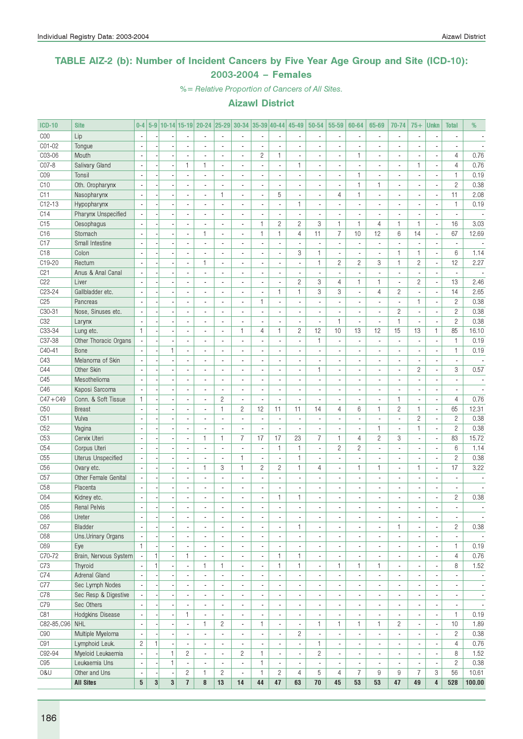### TABLE AIZ-2 (b): Number of Incident Cancers by Five Year Age Group and Site (ICD-10): 2003-2004 – Females

%= Relative Proportion of Cancers of All Sites.

| <b>ICD-10</b>   | <b>Site</b>               | $0 - 4$                                              |                |                          |                          |                              |                          | 5-9   10-14   15-19   20-24   25-29   30-34   35-39   40-44 |                              |                                          | 45-49                                    | $ 50-54 $                | 55-59                                      | 60-64                    | 65-69                          | 70-74                        | $75+$                    | <b>Unkn</b>                      | <b>Total</b>                 | %                        |
|-----------------|---------------------------|------------------------------------------------------|----------------|--------------------------|--------------------------|------------------------------|--------------------------|-------------------------------------------------------------|------------------------------|------------------------------------------|------------------------------------------|--------------------------|--------------------------------------------|--------------------------|--------------------------------|------------------------------|--------------------------|----------------------------------|------------------------------|--------------------------|
| C <sub>00</sub> | Lip                       | $\blacksquare$                                       |                |                          |                          |                              |                          | $\overline{\phantom{a}}$                                    |                              | $\overline{\phantom{a}}$                 |                                          |                          | $\overline{a}$                             |                          | $\overline{a}$                 | ä,                           |                          | $\overline{a}$                   |                              |                          |
| C01-02          | Tongue                    |                                                      |                |                          |                          |                              |                          |                                                             |                              | ä,                                       |                                          |                          |                                            |                          |                                |                              |                          |                                  |                              |                          |
| C03-06          | Mouth                     |                                                      |                |                          |                          |                              |                          | ÷,                                                          | $\overline{c}$               | $\mathbf{1}$                             |                                          |                          | $\overline{a}$                             | $\mathbf{1}$             | L                              | ä,                           |                          | L                                | 4                            | 0.76                     |
| C07-8           | Salivary Gland            | $\overline{\phantom{a}}$                             |                |                          | $\mathbf{1}$             | $\mathbf{1}$                 | $\blacksquare$           | $\overline{\phantom{a}}$                                    | ä,                           | $\blacksquare$                           | $\mathbf{1}$                             | ٠                        | $\blacksquare$                             | $\overline{a}$           | ٠                              | $\blacksquare$               | 1                        | ٠                                | 4                            | 0.76                     |
| C <sub>09</sub> | Tonsil                    | $\blacksquare$                                       |                |                          | ä,                       | ÷,                           | $\overline{a}$           | $\overline{\phantom{a}}$                                    | ä,                           | $\sim$                                   | $\overline{a}$                           | ä,                       | $\overline{\phantom{a}}$                   | 1                        | $\overline{a}$                 | $\overline{\phantom{a}}$     | $\overline{a}$           | $\overline{\phantom{a}}$         | $\mathbf{1}$                 | 0.19                     |
| C10             | Oth. Oropharynx           |                                                      |                |                          |                          |                              |                          | $\blacksquare$                                              | ٠                            | $\overline{\phantom{a}}$                 |                                          |                          | $\overline{\phantom{a}}$                   | 1                        | 1                              | $\blacksquare$               |                          | $\frac{1}{2}$                    | $\overline{c}$               | 0.38                     |
| C11             | Nasopharynx               | $\overline{a}$                                       |                |                          | ä,                       | ÷,                           | $\mathbf{1}$             | $\overline{\phantom{a}}$                                    | ä,                           | 5                                        | ä,                                       | ä,                       | $\overline{4}$                             | $\mathbf{1}$             | $\overline{a}$                 | $\overline{\phantom{a}}$     | $\overline{a}$           | ä,                               | 11                           | 2.08                     |
| $C12-13$        | Hypopharynx               |                                                      |                |                          | ÷,                       | $\sim$                       | $\overline{\phantom{a}}$ | $\overline{a}$                                              | ä,                           | ÷,                                       | $\mathbf{1}$                             | ÷,                       | $\overline{a}$                             | $\overline{a}$           | $\overline{a}$                 | ÷.                           | $\overline{a}$           | ÷,                               | $\mathbf{1}$                 | 0.19                     |
| C14             | Pharynx Unspecified       |                                                      |                |                          | ÷,                       | ä,                           | $\blacksquare$           | $\overline{a}$                                              |                              | $\overline{\phantom{a}}$                 |                                          |                          | $\overline{\phantom{a}}$                   |                          |                                | $\overline{\phantom{a}}$     |                          | $\overline{a}$                   |                              |                          |
| C15             | Oesophagus                | $\overline{a}$                                       |                |                          | ä,                       | ÷,                           |                          | $\overline{\phantom{a}}$                                    | $\mathbf{1}$                 | $\mathbf{2}$                             | $\overline{2}$                           | 3                        | $\mathbf{1}$                               | $\mathbf{1}$             | $\overline{4}$                 | $\mathbf{1}$                 | $\mathbf{1}$             | $\overline{\phantom{a}}$         | 16                           | 3.03                     |
| C <sub>16</sub> | Stomach                   | $\mathbf{r}$                                         |                |                          | $\overline{\phantom{a}}$ | 1                            | $\overline{\phantom{a}}$ | $\blacksquare$                                              | $\mathbf{1}$                 | $\mathbf{1}$                             | $\overline{4}$                           | 11                       | $\overline{7}$                             | 10                       | 12                             | $6\phantom{1}6$              | 14                       | $\blacksquare$                   | 67                           | 12.69                    |
| C17             | Small Intestine           | $\blacksquare$                                       |                |                          | $\overline{a}$           | ä,                           | $\blacksquare$           | $\overline{\phantom{a}}$                                    | ÷                            | $\overline{\phantom{a}}$                 | $\overline{\phantom{a}}$                 | ÷                        | $\blacksquare$                             | ä,                       | $\blacksquare$                 | ä,                           | $\blacksquare$           | $\overline{\phantom{a}}$         | $\overline{\phantom{a}}$     | $\overline{\phantom{a}}$ |
| C <sub>18</sub> | Colon                     |                                                      |                |                          | ×,                       |                              |                          | $\overline{\phantom{a}}$                                    |                              | $\overline{\phantom{a}}$                 | 3                                        | 1                        | $\blacksquare$                             |                          |                                | $\mathbf{1}$                 | 1                        | $\frac{1}{2}$                    | 6                            | 1.14                     |
| C19-20          | Rectum                    |                                                      |                |                          | $\overline{a}$           | 1                            | $\overline{\phantom{a}}$ | $\blacksquare$                                              | ä,                           | $\overline{\phantom{a}}$                 | $\blacksquare$                           | $\mathbf{1}$             | $\overline{c}$                             | $\overline{2}$           | 3                              | $\mathbf{1}$                 | $\overline{c}$           | $\overline{\phantom{a}}$         | 12                           | 2.27                     |
| C21             | Anus & Anal Canal         |                                                      |                |                          | $\overline{a}$           | $\overline{a}$               |                          | $\overline{a}$                                              | ÷,                           | $\overline{\phantom{a}}$                 |                                          |                          | $\overline{a}$                             |                          |                                | ÷,                           |                          | $\overline{a}$                   |                              |                          |
| C22             | Liver                     |                                                      |                |                          |                          |                              |                          | $\blacksquare$                                              | ٠                            | $\overline{\phantom{a}}$                 | $\overline{c}$                           | 3                        | $\overline{4}$                             | 1                        | 1                              | $\overline{\phantom{a}}$     | $\overline{c}$           | ÷,                               | 13                           | 2.46                     |
| C23-24          | Gallbladder etc.          | $\mathbf{r}$                                         |                |                          | ä,                       | ä,                           | $\overline{\phantom{a}}$ | $\overline{\phantom{a}}$                                    | ä,                           | $\mathbf{1}$                             | $\mathbf{1}$                             | 3                        | 3                                          | ä,                       | $\overline{4}$                 | $\overline{c}$               | $\overline{a}$           | $\overline{\phantom{a}}$         | 14                           | 2.65                     |
| C25             | Pancreas                  | $\mathbf{r}$                                         |                |                          | ÷.                       | $\overline{a}$               | $\overline{\phantom{a}}$ | $\overline{\phantom{a}}$                                    | $\mathbf{1}$                 | $\overline{\phantom{a}}$                 | $\overline{a}$                           | ÷,                       | $\overline{a}$                             | $\overline{a}$           | $\overline{a}$                 | ä,                           | $\mathbf{1}$             | $\blacksquare$                   | $\overline{2}$               | 0.38                     |
| C30-31          | Nose, Sinuses etc.        |                                                      |                |                          | $\frac{1}{2}$            | $\overline{a}$               |                          | ä,                                                          | ÷                            | $\overline{\phantom{a}}$                 | $\overline{\phantom{a}}$                 | ٠                        | $\overline{\phantom{a}}$                   | $\blacksquare$           | ٠                              | $\overline{c}$               | $\overline{a}$           | $\frac{1}{2}$                    | $\overline{2}$               | 0.38                     |
| C32             | Larynx                    | $\mathbf{r}$                                         |                |                          |                          | $\overline{a}$               |                          | ÷,                                                          | ÷.                           | $\sim$                                   | $\overline{a}$                           | ÷,                       | $\mathbf{1}$                               | ÷,                       | $\overline{a}$                 | $\mathbf{1}$                 | $\overline{a}$           | $\overline{a}$                   | $\overline{2}$               | 0.38                     |
| C33-34          | Lung etc.                 | $\mathbf{1}$                                         |                |                          | ä,                       | $\overline{a}$               | $\overline{\phantom{a}}$ | $\mathbf{1}$                                                | 4                            | $\mathbf{1}$                             | $\overline{c}$                           | 12                       | 10                                         | 13                       | 12                             | 15                           | 13                       | $\mathbf{1}$                     | 85                           | 16.10                    |
| C37-38          | Other Thoracic Organs     |                                                      |                |                          |                          | $\overline{a}$               | $\blacksquare$           | ä,                                                          |                              | $\blacksquare$                           |                                          | $\mathbf{1}$             | $\overline{\phantom{a}}$                   |                          | $\overline{a}$                 | ä,                           |                          | $\frac{1}{2}$                    | $\mathbf{1}$                 | 0.19                     |
| C40-41          | Bone                      |                                                      |                | $\mathbf{1}$             | $\overline{\phantom{a}}$ |                              | $\sim$                   | $\overline{a}$                                              |                              | $\overline{\phantom{a}}$                 |                                          |                          | $\overline{a}$                             |                          |                                | $\overline{a}$               |                          | i,                               | $\mathbf{1}$                 | 0.19                     |
| C43             | Melanoma of Skin          | L,                                                   |                |                          | $\overline{\phantom{a}}$ | ÷.                           | $\overline{\phantom{a}}$ | $\blacksquare$                                              | $\sim$                       | $\sim$                                   | $\overline{\phantom{a}}$                 | ٠                        | $\overline{\phantom{a}}$                   | $\overline{\phantom{a}}$ | ٠                              | $\overline{\phantom{a}}$     | $\overline{\phantom{a}}$ | $\overline{a}$                   | $\blacksquare$               |                          |
| C44             | Other Skin                | $\overline{a}$                                       |                |                          | ä,                       | ÷.                           | $\overline{\phantom{a}}$ | ä,                                                          | ä,                           | $\sim$                                   | $\overline{a}$                           | $\mathbf{1}$             | $\blacksquare$                             | ÷,                       | $\overline{a}$                 | $\overline{\phantom{a}}$     | 2                        | $\blacksquare$                   | 3                            | 0.57                     |
| C45             | Mesothelioma              |                                                      |                |                          | $\overline{a}$           | ×,                           |                          | $\overline{a}$                                              | ٠                            | $\overline{\phantom{a}}$                 | $\overline{a}$                           |                          | $\overline{\phantom{a}}$                   | $\blacksquare$           |                                | $\qquad \qquad \blacksquare$ |                          | $\frac{1}{2}$                    | $\blacksquare$               |                          |
| C46             | Kaposi Sarcoma            |                                                      |                |                          | $\overline{a}$           | ÷,                           |                          | $\overline{\phantom{a}}$                                    | ä,                           | $\overline{\phantom{a}}$                 | $\overline{a}$                           |                          | $\overline{\phantom{a}}$                   | ÷,                       | $\overline{a}$                 | $\overline{\phantom{a}}$     |                          | $\overline{a}$                   | $\overline{\phantom{a}}$     |                          |
| $C47 + C49$     | Conn. & Soft Tissue       | $\mathbf{1}$                                         |                |                          | $\overline{a}$           | ÷.                           | $\overline{c}$           | $\overline{\phantom{a}}$                                    | ÷,                           | $\overline{\phantom{a}}$                 |                                          |                          | $\overline{a}$                             | $\overline{a}$           | $\overline{a}$                 | $\mathbf{1}$                 | $\overline{a}$           | $\overline{\phantom{a}}$         | 4                            | 0.76                     |
| C <sub>50</sub> | <b>Breast</b>             |                                                      |                |                          | ÷,                       | ä,                           | $\mathbf{1}$             | $\mathbf{2}$                                                | 12                           | 11                                       | 11                                       | 14                       | 4                                          | 6                        | $\mathbf{1}$                   | $\overline{c}$               | 1                        | $\overline{\phantom{a}}$         | 65                           | 12.31                    |
| C51             | Vulva                     | $\mathbf{r}$                                         |                |                          | ÷,                       | $\overline{\phantom{a}}$     |                          | $\overline{a}$                                              | $\sim$                       | $\overline{\phantom{a}}$                 |                                          | ÷,                       | $\overline{a}$                             |                          | $\overline{a}$                 | ÷,                           | 2                        | $\overline{\phantom{a}}$         | $\overline{2}$               | 0.38                     |
| C <sub>52</sub> | Vagina                    | $\mathbf{r}$                                         |                |                          | $\overline{\phantom{a}}$ | $\blacksquare$               | $\blacksquare$           | $\overline{\phantom{a}}$                                    | ÷,                           | ÷,                                       | $\blacksquare$                           | $\blacksquare$           | $\overline{\phantom{a}}$                   | $\overline{\phantom{a}}$ | 1                              | ÷,                           | 1                        | $\blacksquare$                   | $\overline{2}$               | 0.38                     |
| C <sub>53</sub> | Cervix Uteri              | $\blacksquare$                                       |                |                          | $\overline{\phantom{a}}$ | 1.                           | $\mathbf{1}$             | $\overline{7}$                                              | 17                           | 17                                       | 23                                       | $\overline{7}$           | $\mathbf{1}$                               | 4                        | $\overline{c}$                 | 3                            | $\overline{\phantom{a}}$ | $\blacksquare$                   | 83                           | 15.72                    |
| C54             | Corpus Uteri              |                                                      |                |                          | $\overline{\phantom{a}}$ |                              | $\blacksquare$           | $\overline{a}$                                              |                              | $\mathbf{1}$                             | 1                                        | $\overline{\phantom{a}}$ | $\mathbf{2}$                               | $\mathbf{2}$             |                                | $\overline{\phantom{a}}$     |                          | $\overline{a}$                   | $6\phantom{1}6$              | 1.14                     |
| C <sub>55</sub> | <b>Uterus Unspecified</b> |                                                      |                |                          | $\overline{a}$           |                              |                          | $\mathbf{1}$                                                | ä,                           | $\sim$                                   | 1                                        | ÷,                       | $\overline{\phantom{a}}$                   | ÷,                       | $\overline{a}$                 | $\overline{\phantom{a}}$     |                          | ä,                               | $\overline{2}$               | 0.38                     |
| C <sub>56</sub> | Ovary etc.                |                                                      |                |                          | $\overline{a}$           | 1                            | 3                        | $\mathbf{1}$                                                | $\overline{c}$               | $\overline{c}$                           | $\mathbf{1}$                             | $\overline{4}$           | $\overline{a}$                             | $\mathbf{1}$             | 1                              | ÷.                           | $\mathbf{1}$             | $\overline{\phantom{a}}$         | 17                           | 3.22                     |
| C57             | Other Female Genital      |                                                      |                |                          |                          |                              | $\blacksquare$           | ä,                                                          |                              | $\overline{\phantom{a}}$                 |                                          |                          | $\overline{\phantom{a}}$                   | ×,                       | ٠                              | $\overline{\phantom{a}}$     |                          | $\overline{a}$                   |                              | $\sim$                   |
| C <sub>58</sub> | Placenta                  |                                                      |                |                          |                          |                              |                          | $\overline{a}$                                              |                              |                                          |                                          |                          |                                            |                          |                                |                              |                          |                                  | $\overline{\phantom{a}}$     |                          |
| C64             |                           |                                                      |                |                          | ٠                        |                              | $\blacksquare$           | ä,                                                          | Ĭ.                           | $\overline{\phantom{a}}$<br>$\mathbf{1}$ | 1                                        |                          | $\overline{\phantom{a}}$                   | ä,                       |                                | $\blacksquare$               |                          | $\overline{a}$<br>$\overline{a}$ |                              | 0.38                     |
|                 | Kidney etc.               | ä,                                                   |                |                          |                          | ä,                           |                          |                                                             |                              | L.                                       |                                          | ä,                       | $\overline{\phantom{a}}$<br>$\overline{a}$ |                          |                                | $\overline{\phantom{a}}$     | ä,                       | $\overline{a}$                   | $\mathbf{2}$<br>$\mathbf{r}$ |                          |
| C65             | <b>Renal Pelvis</b>       |                                                      |                |                          |                          |                              |                          | Ĭ.                                                          |                              |                                          |                                          |                          |                                            | ÷.                       |                                |                              | $\overline{a}$           |                                  |                              | $\sim$                   |
| C66             | Ureter                    | $\overline{\phantom{a}}$<br>$\overline{\phantom{a}}$ |                | $\overline{\phantom{m}}$ |                          | $\qquad \qquad \blacksquare$ |                          | $\overline{\phantom{a}}$<br>÷,                              | $\qquad \qquad \blacksquare$ | $\overline{\phantom{a}}$                 | $\overline{\phantom{a}}$<br>$\mathbf{1}$ | $\overline{\phantom{a}}$ | $\overline{\phantom{a}}$                   | $\overline{\phantom{a}}$ | $\overline{\phantom{a}}$<br>ä, | $\overline{\phantom{a}}$     | $\overline{\phantom{a}}$ | $\overline{\phantom{a}}$         | $\overline{\phantom{a}}$     | $\overline{\phantom{a}}$ |
| C67             | Bladder                   |                                                      |                |                          | ä,                       | ä,                           |                          |                                                             | ä,                           | $\overline{\phantom{a}}$                 |                                          |                          | $\overline{a}$                             | ä,                       |                                | $\mathbf{1}$                 |                          | $\overline{\phantom{a}}$         | $\overline{c}$               | 0.38                     |
| C68             | Uns.Urinary Organs        | $\blacksquare$                                       |                |                          | $\overline{\phantom{a}}$ | ٠                            | $\blacksquare$           | $\blacksquare$                                              | $\overline{\phantom{a}}$     | $\overline{\phantom{a}}$                 | $\blacksquare$                           | ٠                        | $\blacksquare$                             | $\blacksquare$           | $\blacksquare$                 | $\overline{\phantom{a}}$     |                          | $\frac{1}{2}$                    | $\blacksquare$               | $\sim$                   |
| C69<br>$C70-72$ | Eye                       | $\mathbf{1}$                                         |                |                          | $\blacksquare$           | $\overline{\phantom{a}}$     | $\overline{\phantom{a}}$ | $\blacksquare$                                              | $\overline{\phantom{a}}$     | $\blacksquare$                           |                                          | $\overline{\phantom{a}}$ | $\overline{\phantom{a}}$                   |                          | $\overline{\phantom{a}}$       | $\blacksquare$               |                          | $\overline{\phantom{a}}$         | $\mathbf{1}$                 | 0.19                     |
|                 | Brain, Nervous System     | $\overline{\phantom{a}}$                             | $\mathbf{1}$   |                          | $\mathbf{1}$             | $\overline{\phantom{a}}$     | $\blacksquare$           | $\overline{\phantom{a}}$                                    | $\overline{\phantom{a}}$     | $\mathbf{1}$                             | 1                                        | $\overline{\phantom{a}}$ | $\blacksquare$                             |                          | $\overline{\phantom{a}}$       | $\overline{\phantom{a}}$     |                          | $\overline{\phantom{a}}$         | $\overline{4}$               | 0.76                     |
| C73             | Thyroid                   |                                                      | $\mathbf{1}$   |                          | ÷,                       | 1                            | $\mathbf{1}$             | $\overline{\phantom{a}}$                                    | ÷,                           | $\mathbf{1}$                             | $\mathbf{1}$                             | ÷,                       | 1                                          | 1                        | 1.                             | ÷,                           | ä,                       | $\overline{\phantom{a}}$         | 8                            | 1.52                     |
| C74             | Adrenal Gland             | $\overline{a}$                                       |                | $\overline{a}$           | ÷,                       | $\blacksquare$               | $\overline{\phantom{a}}$ | $\blacksquare$                                              | $\blacksquare$               | ÷.                                       | $\overline{\phantom{a}}$                 | ÷,                       | ä,                                         | $\blacksquare$           | $\overline{\phantom{a}}$       | ÷,                           | $\blacksquare$           | $\overline{\phantom{a}}$         | $\blacksquare$               | $\overline{\phantom{a}}$ |
| C77             | Sec Lymph Nodes           |                                                      |                |                          | $\overline{\phantom{a}}$ | $\overline{\phantom{a}}$     | $\overline{\phantom{a}}$ | ٠                                                           | $\qquad \qquad \blacksquare$ | $\overline{\phantom{a}}$                 | $\overline{\phantom{m}}$                 | $\overline{\phantom{a}}$ | $\overline{\phantom{a}}$                   | $\overline{\phantom{a}}$ | ۰                              | $\overline{\phantom{a}}$     |                          | $\qquad \qquad \blacksquare$     | $\overline{\phantom{a}}$     | $\overline{\phantom{a}}$ |
| C78             | Sec Resp & Digestive      |                                                      |                |                          | $\overline{\phantom{a}}$ | ä,                           | $\blacksquare$           | ä,                                                          |                              | $\overline{\phantom{a}}$                 |                                          | ٠                        | $\overline{\phantom{a}}$                   |                          | $\blacksquare$                 | ٠                            |                          | ٠                                | $\blacksquare$               | $\overline{\phantom{a}}$ |
| C79             | Sec Others                |                                                      |                |                          | $\overline{\phantom{a}}$ | ٠                            | $\blacksquare$           | $\blacksquare$                                              | $\blacksquare$               | $\overline{\phantom{a}}$                 |                                          | ٠                        | $\overline{\phantom{a}}$                   | $\blacksquare$           | $\blacksquare$                 | ٠                            |                          | $\overline{\phantom{a}}$         | $\overline{\phantom{a}}$     | $\overline{\phantom{a}}$ |
| C81             | Hodgkins Disease          |                                                      |                |                          | 1                        |                              | $\blacksquare$           | $\blacksquare$                                              |                              | $\overline{\phantom{a}}$                 |                                          |                          | $\overline{\phantom{a}}$                   |                          |                                |                              |                          | $\overline{\phantom{a}}$         | $\mathbf{1}$                 | 0.19                     |
| C82-85, C96 NHL |                           | L.                                                   |                |                          | ä,                       | 1.                           | $\mathbf{2}$             | ä,                                                          | $\mathbf{1}$                 | $\Box$                                   | ÷,                                       | $\mathbf{1}$             | $\mathbf{1}$                               | $\mathbf{1}$             | 1                              | $\mathbf{2}$                 | ÷,                       | $\frac{1}{2}$                    | 10                           | 1.89                     |
| C90             | Multiple Myeloma          | $\overline{\phantom{a}}$                             |                |                          | ٠                        | $\overline{\phantom{a}}$     | $\overline{\phantom{a}}$ | $\overline{\phantom{a}}$                                    | $\overline{\phantom{a}}$     | $\overline{\phantom{a}}$                 | $\overline{c}$                           | $\overline{\phantom{a}}$ | $\overline{\phantom{a}}$                   | $\overline{\phantom{a}}$ | $\overline{\phantom{a}}$       | ÷,                           | $\overline{\phantom{a}}$ | $\blacksquare$                   | $\mathbf{2}$                 | 0.38                     |
| C91             | Lymphoid Leuk.            | $\overline{c}$                                       | 1              | $\overline{\phantom{a}}$ | ÷.                       | $\overline{\phantom{a}}$     | $\overline{\phantom{a}}$ | $\overline{\phantom{a}}$                                    | $\overline{\phantom{a}}$     | $\overline{\phantom{a}}$                 | $\blacksquare$                           | 1                        | $\overline{\phantom{a}}$                   | $\overline{\phantom{a}}$ | $\overline{\phantom{a}}$       | $\overline{\phantom{a}}$     | $\blacksquare$           | $\overline{\phantom{a}}$         | $\overline{4}$               | 0.76                     |
| C92-94          | Myeloid Leukaemia         | $\overline{\phantom{a}}$                             |                | 1                        | $\overline{c}$           | $\overline{\phantom{a}}$     | $\overline{\phantom{a}}$ | $\overline{c}$                                              | 1                            | $\overline{\phantom{a}}$                 | $\overline{\phantom{a}}$                 | $\overline{c}$           | $\overline{\phantom{a}}$                   | $\overline{\phantom{a}}$ | $\overline{\phantom{a}}$       | $\overline{\phantom{a}}$     | $\blacksquare$           | $\overline{\phantom{a}}$         | 8                            | 1.52                     |
| C95             | Leukaemia Uns             | $\overline{a}$                                       |                | $\mathbf{1}$             | ٠                        | $\overline{\phantom{a}}$     | $\overline{\phantom{a}}$ | ÷,                                                          | 1                            | $\overline{\phantom{a}}$                 | $\overline{\phantom{a}}$                 | $\blacksquare$           | $\overline{\phantom{a}}$                   | $\blacksquare$           | $\overline{\phantom{a}}$       | ٠                            |                          | $\overline{\phantom{a}}$         | $\overline{2}$               | 0.38                     |
| 0&U             | Other and Uns             | $\blacksquare$                                       |                |                          | $\overline{c}$           | 1                            | $\mathbf{2}$             | ÷,                                                          | $\mathbf{1}$                 | $\overline{c}$                           | $\overline{4}$                           | 5                        | $\overline{4}$                             | $\overline{7}$           | 9                              | $\hbox{9}$                   | $\overline{7}$           | 3                                | 56                           | 10.61                    |
|                 | <b>All Sites</b>          | $\bf 5$                                              | 3 <sup>1</sup> | $\bf{3}$                 | $\overline{\mathbf{r}}$  | 8                            | 13                       | 14                                                          | 44                           | 47                                       | 63                                       | 70                       | 45                                         | 53                       | 53                             | 47                           | 49                       | $\overline{\mathbf{4}}$          | 528                          | 100.00                   |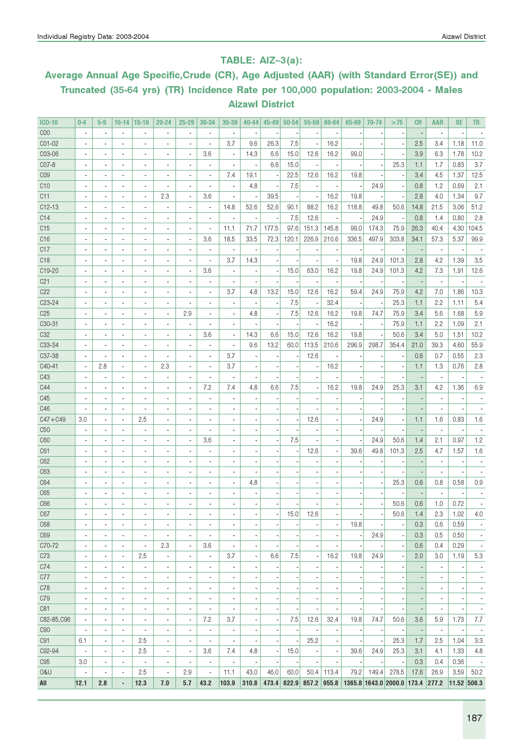### TABLE: AIZ–3(a):

## Average Annual Age Specific,Crude (CR), Age Adjusted (AAR) (with Standard Error(SE)) and Truncated (35-64 yrs) (TR) Incidence Rate per 100,000 population: 2003-2004 - Males Aizawl District

| <b>ICD-10</b>       | $0 - 4$                  | $5-9$                    | $10 - 14$                | $15-19$                  | 20-24                    | 25-29                    | 30-34                    | 35-39                    | 40-44                    | 45-49 | $50 - 54$ | 55-59                    | 60-64                    | 65-69                            | 70-74                    | >75                      | <b>CR</b> | <b>AAR</b>               | <b>SE</b>                | <b>TR</b>                |
|---------------------|--------------------------|--------------------------|--------------------------|--------------------------|--------------------------|--------------------------|--------------------------|--------------------------|--------------------------|-------|-----------|--------------------------|--------------------------|----------------------------------|--------------------------|--------------------------|-----------|--------------------------|--------------------------|--------------------------|
| C <sub>00</sub>     | $\overline{\phantom{a}}$ | $\blacksquare$           | $\overline{\phantom{a}}$ | $\overline{a}$           | $\blacksquare$           | ÷,                       | $\overline{a}$           | $\overline{\phantom{a}}$ |                          |       |           | ×                        |                          |                                  |                          |                          |           | $\overline{a}$           |                          |                          |
| CO1-02              |                          |                          | ä,                       | ä,                       |                          | ÷,                       | ä,                       | 3.7                      | 9.6                      | 26.3  | 7.5       | ł,                       | 16.2                     |                                  |                          |                          | 2.5       | 3.4                      | 1.18                     | 11.0                     |
| C03-06              |                          |                          | $\blacksquare$           | $\overline{a}$           | ä,                       | ÷,                       | 3.6                      | $\overline{\phantom{a}}$ | 14.3                     | 6.6   | 15.0      | 12.6                     | 16.2                     | 99.0                             |                          |                          | 3.9       | 6.3                      | 1.78                     | 10.2                     |
| CO7-8               |                          |                          | $\overline{\phantom{a}}$ | ÷,                       | ÷,                       |                          | $\overline{a}$           | $\overline{\phantom{a}}$ | ÷,                       | 6.6   | 15.0      |                          |                          |                                  |                          | 25.3                     | 1.1       | 1.7                      | 0.83                     | 3.7                      |
| CO <sub>9</sub>     |                          |                          | ٠                        | ÷,                       | ä,                       | ÷,                       | ×,                       | 7.4                      | 19.1                     |       | 22.5      | 12.6                     | 16.2                     | 19.8                             |                          |                          | 3.4       | 4.5                      | 1.37                     | 12.5                     |
| C <sub>10</sub>     |                          | $\blacksquare$           | $\overline{\phantom{a}}$ | ä,                       | ÷,                       | ä,                       | $\overline{\phantom{a}}$ | $\overline{\phantom{a}}$ | 4.8                      |       | 7.5       | ×                        |                          |                                  | 24.9                     |                          | 0.8       | 1.2                      | 0.69                     | 2.1                      |
| C11                 |                          | $\blacksquare$           | $\overline{\phantom{a}}$ | $\overline{\phantom{a}}$ | 2.3                      | $\overline{\phantom{a}}$ | 3.6                      | $\overline{\phantom{a}}$ | ×,                       | 39.5  |           | ×,                       | 16.2                     | 19.8                             |                          |                          | 2.8       | 4.0                      | 1.34                     | 9.7                      |
| $C12-13$            | ä,                       | $\blacksquare$           | $\overline{\phantom{a}}$ | $\blacksquare$           | $\overline{\phantom{a}}$ | $\overline{\phantom{a}}$ | $\overline{\phantom{a}}$ | 14.8                     | 52.6                     | 52.6  | 90.1      | 88.2                     | 16.2                     | 118.8                            | 49.8                     | 50.6                     | 14.8      | 21.5                     | 3.06                     | 51.2                     |
| C14                 | $\overline{\phantom{a}}$ | $\blacksquare$           | $\overline{\phantom{a}}$ | $\overline{a}$           |                          | ÷,                       | $\blacksquare$           | $\overline{\phantom{a}}$ | $\overline{\phantom{a}}$ |       | 7.5       | 12.6                     |                          |                                  | 24.9                     |                          | 0.8       | 1.4                      | 0.80                     | 2.8                      |
| C15                 |                          | $\blacksquare$           | $\blacksquare$           | $\overline{a}$           |                          | $\blacksquare$           | $\overline{a}$           | 11.1                     | 71.7                     | 177.5 | 97.6      | 151.3                    | 145.8                    | 99.0                             | 174.3                    | 75.9                     | 26.3      | 40.4                     | 4.30                     | 104.5                    |
| C16                 |                          |                          | $\blacksquare$           | $\overline{a}$           |                          | $\blacksquare$           | 3.6                      | 18.5                     | 33.5                     | 72.3  | 120.1     | 226.9                    | 210.6                    | 336.5                            | 497.9                    | 303.8                    | 34.1      | 57.3                     | 5.37                     | 99.9                     |
| C17                 |                          |                          | $\blacksquare$           | $\overline{a}$           | $\overline{a}$           | ä,                       | $\overline{a}$           |                          |                          |       |           |                          |                          |                                  |                          |                          |           | $\blacksquare$           |                          |                          |
| C <sub>18</sub>     |                          |                          | $\overline{a}$           | $\overline{\phantom{a}}$ | $\overline{a}$           | $\overline{a}$           | $\overline{\phantom{a}}$ | 3.7                      | 14.3                     |       |           | ٠                        |                          | 19.8                             | 24.9                     | 101.3                    | 2.8       | 4.2                      | 1.39                     | 3.5                      |
| C19-20              |                          |                          | $\overline{a}$           | $\overline{a}$           |                          | $\overline{a}$           | 3.6                      | $\overline{\phantom{a}}$ | ×,                       |       | 15.0      | 63.0                     | 16.2                     | 19.8                             | 24.9                     | 101.3                    | 4.2       | 7.3                      | 1.91                     | 12.6                     |
| C <sub>21</sub>     | ٠                        |                          | $\overline{a}$           | $\overline{\phantom{a}}$ | $\overline{a}$           |                          | $\overline{\phantom{a}}$ |                          |                          |       |           |                          |                          |                                  |                          |                          |           | $\overline{a}$           |                          |                          |
| C22                 |                          |                          | $\overline{a}$           | $\overline{\phantom{a}}$ |                          | Ĭ.                       | $\overline{\phantom{a}}$ | 3.7                      | 4.8                      | 13.2  | 15.0      | 12.6                     | 16.2                     | 59.4                             | 24.9                     | 75.9                     | 4.2       | 7.0                      | 1.86                     | 10.3                     |
| C <sub>2</sub> 3-24 |                          |                          | $\overline{\phantom{a}}$ | $\overline{a}$           | $\overline{a}$           | $\overline{a}$           | ä,                       | $\blacksquare$           | $\overline{a}$           |       | 7.5       |                          | 32.4                     |                                  |                          | 25.3                     | 1.1       | 2.2                      | 1.11                     | 5.4                      |
| C <sub>25</sub>     |                          |                          | $\overline{a}$           | $\overline{a}$           | $\overline{a}$           | 2.9                      | ä,                       | $\overline{\phantom{a}}$ | 4.8                      |       | 7.5       | 12.6                     | 16.2                     | 19.8                             | 74.7                     | 75.9                     | 3.4       | 5.6                      | 1.68                     | 5.9                      |
| C30-31              |                          |                          | $\overline{\phantom{a}}$ | ä,                       |                          | ä,                       |                          | ä,                       |                          |       |           | $\overline{\phantom{a}}$ | 16.2                     |                                  |                          | 75.9                     | 1.1       | 2.2                      | 1.09                     | 2.1                      |
| C <sub>32</sub>     |                          |                          | $\overline{a}$           | ä,                       |                          | Ĭ.                       | 3.6                      | $\overline{\phantom{a}}$ | 14.3                     | 6.6   | 15.0      | 12.6                     | 16.2                     | 19.8                             |                          | 50.6                     | 3.4       | 5.0                      | 1.51                     | 10.2                     |
| C33-34              |                          |                          | $\overline{a}$           |                          |                          |                          | ÷,                       | ä,                       | 9.6                      | 13.2  | 60.0      | 113.5                    | 210.6                    | 296.9                            | 298.7                    | 354.4                    | 21.0      | 39.3                     | 4.60                     | 55.9                     |
| C37-38              |                          |                          | $\overline{a}$           |                          |                          |                          | ä,                       | 3.7                      |                          |       |           | 12.6                     |                          |                                  |                          |                          | 0.6       | 0.7                      | 0.55                     | 2.3                      |
| C40-41              | $\overline{\phantom{a}}$ | 2.8                      | $\overline{a}$           | $\overline{a}$           | 2.3                      |                          |                          | 3.7                      |                          |       |           |                          | 16.2                     |                                  |                          |                          | 1.1       | 1.3                      | 0.76                     | 2.8                      |
| C43                 |                          |                          | $\overline{a}$           | ä,                       |                          | ä,                       |                          | $\overline{\phantom{a}}$ |                          |       |           |                          |                          |                                  |                          |                          |           | $\overline{a}$           |                          |                          |
| C44                 |                          |                          | Ĭ.                       | $\overline{a}$           |                          | ä,                       | 7.2                      | 7.4                      | 4.8                      | 6.6   | 7.5       | ÷,                       | 16.2                     | 19.8                             | 24.9                     | 25.3                     | 3.1       | 4.2                      | 1.36                     | 6.9                      |
| C45                 |                          |                          | $\overline{a}$           | ÷,                       |                          |                          |                          | $\overline{\phantom{a}}$ |                          |       |           |                          |                          |                                  |                          |                          |           |                          |                          |                          |
| C46                 |                          |                          | $\overline{a}$           | ÷,                       |                          |                          |                          |                          |                          |       |           |                          |                          |                                  |                          |                          |           |                          |                          |                          |
| $C47 + C49$         | 3.0                      |                          | $\overline{a}$           | 2.5                      |                          |                          |                          |                          |                          |       |           | 12.6                     |                          |                                  | 24.9                     |                          | 1.1       | 1.6                      | 0.83                     | 1.6                      |
| C50                 |                          |                          | $\overline{a}$           | ÷,                       |                          |                          |                          |                          |                          |       |           |                          |                          |                                  |                          |                          |           | $\overline{a}$           |                          |                          |
| C60                 |                          |                          | $\overline{a}$           | $\overline{a}$           |                          | ä,                       | 3.6                      |                          |                          |       | 7.5       |                          |                          |                                  | 24.9                     | 50.6                     | 1.4       | 2.1                      | 0.97                     | 1.2                      |
| C61                 |                          |                          | $\overline{a}$           | $\overline{a}$           |                          |                          |                          |                          |                          |       |           | 12.6                     |                          | 39.6                             | 49.8                     | 101.3                    | 2.5       | 4.7                      | 1.57                     | 1.6                      |
| C62                 |                          |                          | $\overline{a}$           | $\overline{a}$           |                          |                          |                          |                          |                          |       |           |                          |                          |                                  |                          |                          |           |                          |                          |                          |
| C63                 |                          |                          | $\overline{a}$           | $\overline{a}$           |                          |                          |                          |                          |                          |       |           |                          |                          |                                  |                          |                          |           |                          |                          |                          |
| C64                 |                          |                          | $\overline{a}$           | $\overline{a}$           |                          |                          |                          |                          | 4.8                      |       |           |                          |                          |                                  |                          | 25.3                     | 0.6       | 0.8                      | 0.58                     | 0.9                      |
| C65                 |                          |                          | $\overline{a}$           |                          |                          |                          |                          |                          |                          |       |           |                          |                          |                                  |                          |                          |           |                          |                          |                          |
| C66                 |                          |                          |                          |                          |                          |                          |                          |                          |                          |       |           |                          |                          |                                  |                          | 50.6                     | 0.6       | 1.0                      | 0.72                     |                          |
| C67                 | $\overline{\phantom{a}}$ | $\overline{\phantom{a}}$ | $\overline{\phantom{a}}$ | $\overline{\phantom{a}}$ | $\overline{\phantom{a}}$ | $\overline{\phantom{a}}$ | $\overline{\phantom{a}}$ | $\overline{\phantom{a}}$ | $\overline{\phantom{a}}$ |       | 15.0      | 12.6                     | $\overline{\phantom{a}}$ |                                  |                          | 50.6                     | 1.4       | 2.3                      | 1.02                     | 4.0                      |
| C68                 | ä,                       |                          | $\blacksquare$           | $\overline{a}$           | ÷,                       | $\blacksquare$           | $\overline{\phantom{a}}$ | $\overline{\phantom{a}}$ |                          |       |           |                          |                          | 19.8                             |                          |                          | 0.3       | 0.6                      | 0.59                     | $\overline{\phantom{a}}$ |
| C69                 | $\overline{\phantom{a}}$ | $\blacksquare$           | $\blacksquare$           | $\blacksquare$           | $\blacksquare$           | $\overline{\phantom{a}}$ | $\overline{\phantom{a}}$ | $\overline{\phantom{a}}$ |                          |       |           |                          |                          |                                  | 24.9                     |                          | 0.3       | 0.5                      | 0.50                     | $\overline{\phantom{a}}$ |
| C70-72              | $\overline{\phantom{a}}$ |                          | $\blacksquare$           | $\blacksquare$           | 2.3                      | $\overline{\phantom{a}}$ | 3.6                      | ÷,                       |                          |       |           | $\overline{\phantom{m}}$ |                          |                                  |                          |                          | 0.6       | 0.4                      | 0.29                     | $\overline{\phantom{a}}$ |
| C73                 | $\overline{a}$           | $\blacksquare$           | ä,                       | 2.5                      | $\overline{\phantom{a}}$ | $\overline{\phantom{a}}$ | $\blacksquare$           | 3.7                      | $\overline{\phantom{a}}$ | 6.6   | 7.5       | $\overline{\phantom{a}}$ | 16.2                     | 19.8                             | 24.9                     |                          | 2.0       | 3.0                      | 1.19                     | 5.3                      |
| C74                 | $\overline{\phantom{a}}$ | $\blacksquare$           | $\blacksquare$           | $\blacksquare$           | $\overline{a}$           | $\overline{\phantom{a}}$ | $\overline{\phantom{a}}$ | ÷,                       | $\overline{\phantom{a}}$ |       |           | $\overline{\phantom{a}}$ |                          |                                  |                          |                          |           | $\overline{\phantom{a}}$ |                          | $\overline{\phantom{a}}$ |
| C77                 | $\overline{\phantom{a}}$ | $\blacksquare$           | $\overline{\phantom{a}}$ | ٠                        | $\overline{a}$           | $\overline{\phantom{a}}$ | $\overline{\phantom{a}}$ | ÷,                       |                          |       |           | ×,                       |                          |                                  |                          |                          |           |                          |                          | $\overline{\phantom{a}}$ |
| C78                 | $\overline{\phantom{a}}$ |                          | $\overline{\phantom{a}}$ | ٠                        | $\overline{a}$           | $\overline{\phantom{a}}$ | $\overline{\phantom{a}}$ | $\overline{\phantom{a}}$ |                          |       |           | ,                        |                          |                                  |                          |                          |           |                          |                          | $\overline{\phantom{a}}$ |
| C79                 | $\overline{\phantom{a}}$ |                          | $\overline{\phantom{a}}$ | ٠                        | ÷,                       | $\overline{\phantom{a}}$ | $\overline{\phantom{a}}$ | $\overline{\phantom{a}}$ |                          |       |           | $\overline{\phantom{a}}$ |                          |                                  |                          |                          |           |                          |                          | $\overline{\phantom{a}}$ |
| C81                 | $\overline{\phantom{a}}$ |                          | $\overline{\phantom{a}}$ | ٠                        | $\overline{a}$           | $\overline{\phantom{a}}$ | $\overline{\phantom{a}}$ | ÷,                       |                          |       |           | $\overline{\phantom{a}}$ |                          |                                  |                          |                          | -         | $\overline{\phantom{a}}$ |                          | $\overline{\phantom{a}}$ |
| C82-85, C96         |                          | ٠                        | $\overline{\phantom{a}}$ | $\overline{\phantom{a}}$ | $\overline{a}$           | $\overline{\phantom{a}}$ | 7.2                      | 3.7                      | $\overline{\phantom{a}}$ |       | 7.5       | 12.6                     | 32.4                     | 19.8                             | 74.7                     | 50.6                     | 3.6       | 5.9                      | 1.73                     | 7.7                      |
| C90                 | $\blacksquare$           | $\blacksquare$           | $\blacksquare$           | $\blacksquare$           | ÷,                       | $\overline{\phantom{a}}$ | $\overline{\phantom{a}}$ | $\overline{\phantom{a}}$ | $\overline{\phantom{a}}$ |       |           | ÷                        |                          |                                  |                          | $\overline{\phantom{a}}$ | ÷         | $\overline{\phantom{a}}$ | $\overline{\phantom{a}}$ | $\overline{\phantom{a}}$ |
| C91                 | 6.1                      | $\blacksquare$           | $\overline{\phantom{a}}$ | 2.5                      | $\overline{a}$           | $\overline{\phantom{a}}$ | ä,                       | $\overline{\phantom{a}}$ | $\overline{\phantom{a}}$ |       |           | 25.2                     |                          |                                  | $\overline{\phantom{a}}$ | 25.3                     | 1.7       | 2.5                      | 1.04                     | 3.3                      |
| C92-94              | $\overline{\phantom{a}}$ | $\overline{\phantom{a}}$ | $\overline{\phantom{a}}$ | 2.5                      | ×,                       | $\overline{\phantom{a}}$ | 3.6                      | 7.4                      | 4.8                      |       | 15.0      | $\overline{\phantom{a}}$ |                          | 39.6                             | 24.9                     | 25.3                     | 3.1       | 4.1                      | 1.33                     | 4.8                      |
| C95                 | 3.0                      | $\overline{\phantom{a}}$ | $\overline{\phantom{a}}$ | $\overline{\phantom{a}}$ | $\overline{\phantom{m}}$ | $\overline{\phantom{a}}$ | $\overline{\phantom{a}}$ | $\overline{\phantom{a}}$ | $\overline{\phantom{a}}$ |       | ÷,        | $\overline{\phantom{a}}$ | $\overline{\phantom{a}}$ |                                  | $\overline{\phantom{a}}$ | $\overline{\phantom{a}}$ | 0.3       | 0.4                      | 0.36                     | $\overline{\phantom{a}}$ |
| 0&U                 | $\overline{\phantom{a}}$ | $\overline{\phantom{a}}$ | $\overline{\phantom{a}}$ | 2.5                      | $\overline{\phantom{m}}$ | 2.9                      | $\overline{\phantom{a}}$ | 11.1                     | 43.0                     | 46.0  | 60.0      |                          | $50.4$   113.4           | 79.2                             | 149.4                    | 278.5                    | 17.6      | 26.9                     | 3.59                     | 50.2                     |
| All                 | 12.1                     | 2.8                      | ٠                        | 12.3                     | 7.0                      | 5.7                      | 43.2                     | 103.9                    | 310.8                    | 473.4 | 622.9     |                          | $857.2$ 955.8            | 1365.8 1643.0 2000.0 173.4 277.2 |                          |                          |           |                          | $11.52$ 506.3            |                          |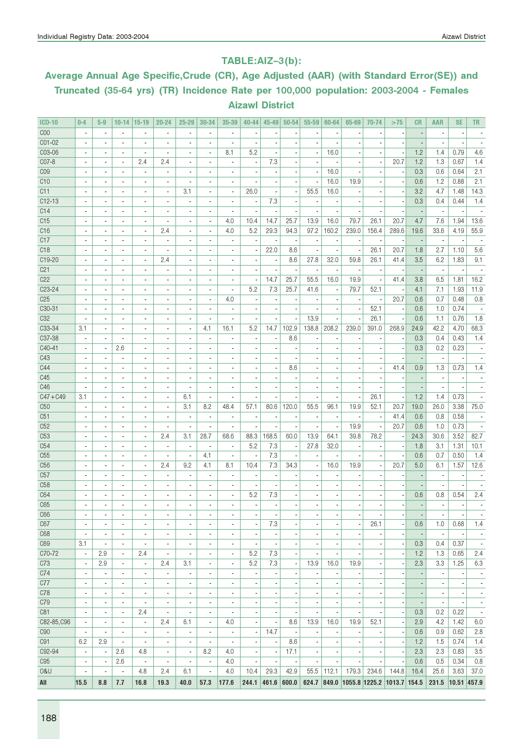#### TABLE:AIZ–3(b):

# Average Annual Age Specific,Crude (CR), Age Adjusted (AAR) (with Standard Error(SE)) and Truncated (35-64 yrs) (TR) Incidence Rate per 100,000 population: 2003-2004 - Females Aizawl District

| <b>ICD-10</b>   | $0 - 4$                      | $5-9$                    | $10 - 14$                | $15 - 19$                | $20 - 24$                | $25 - 29$                | 30-34                        | 35-39                        | $40 - 44$                | $45 - 49$                | $50 - 54$                | 55-59                    | 60-64                    | 65-69                      | 70-74                    | >75                      | <b>CR</b>                | <b>AAR</b>               | <b>SE</b>                | TR                       |
|-----------------|------------------------------|--------------------------|--------------------------|--------------------------|--------------------------|--------------------------|------------------------------|------------------------------|--------------------------|--------------------------|--------------------------|--------------------------|--------------------------|----------------------------|--------------------------|--------------------------|--------------------------|--------------------------|--------------------------|--------------------------|
| COO             | ×,                           | $\blacksquare$           | $\overline{\phantom{a}}$ |                          | $\overline{a}$           | $\blacksquare$           | $\overline{\phantom{a}}$     | $\overline{a}$               |                          |                          |                          |                          |                          |                            |                          |                          |                          | ä,                       |                          |                          |
| C01-02          |                              |                          | $\blacksquare$           |                          |                          |                          |                              |                              |                          |                          |                          |                          |                          |                            |                          |                          |                          |                          |                          |                          |
| C03-06          | $\overline{\phantom{a}}$     | $\overline{a}$           | $\blacksquare$           |                          |                          | $\blacksquare$           | $\overline{\phantom{a}}$     | 8.1                          | 5.2                      |                          |                          | ×,                       | 16.0                     |                            |                          |                          | 1.2                      | 1.4                      | 0.79                     | 4.6                      |
| C07-8           | $\overline{\phantom{a}}$     | $\blacksquare$           | $\overline{\phantom{a}}$ | 2.4                      | 2.4                      | $\blacksquare$           | $\blacksquare$               | ٠                            | $\overline{\phantom{a}}$ | 7.3                      |                          | ×,                       |                          | ٠                          | $\blacksquare$           | 20.7                     | 1.2                      | 1.3                      | 0.67                     | 1.4                      |
| C <sub>09</sub> | $\overline{\phantom{a}}$     | $\blacksquare$           | $\blacksquare$           | $\overline{\phantom{a}}$ | $\blacksquare$           | $\blacksquare$           | $\overline{a}$               | ٠                            | ×,                       |                          |                          | ×,                       | 16.0                     |                            |                          |                          | 0.3                      | 0.6                      | 0.64                     | 2.1                      |
| C <sub>10</sub> |                              | $\blacksquare$           | $\overline{\phantom{a}}$ |                          |                          | $\blacksquare$           | $\overline{a}$               | $\qquad \qquad \blacksquare$ |                          |                          |                          | ,                        | 16.0                     | 19.9                       |                          |                          | 0.6                      | 1.2                      | 0.88                     | 2.1                      |
| C11             |                              | $\overline{\phantom{a}}$ | $\overline{a}$           | $\overline{a}$           | $\overline{a}$           | 3.1                      | ä,                           | $\blacksquare$               | 26.0                     |                          |                          | 55.5                     | 16.0                     |                            |                          |                          | 3.2                      | 4.7                      | 1.48                     | 14.3                     |
| $C12-13$        |                              | $\overline{a}$           | $\overline{\phantom{a}}$ | $\overline{a}$           |                          | $\blacksquare$           | $\overline{\phantom{a}}$     | ÷,                           | $\overline{a}$           | 7.3                      |                          | ÷,                       |                          |                            |                          |                          | 0.3                      | 0.4                      | 0.44                     | 1.4                      |
| C14             |                              |                          | $\blacksquare$           | $\blacksquare$           |                          |                          |                              |                              |                          |                          |                          |                          |                          |                            |                          |                          |                          |                          |                          |                          |
| C15             | $\overline{\phantom{a}}$     |                          | $\blacksquare$           | ä,                       |                          | $\blacksquare$           | $\overline{\phantom{a}}$     | 4.0                          | 10.4                     | 14.7                     | 25.7                     | 13.9                     | 16.0                     | 79.7                       | 26.1                     | 20.7                     | 4.7                      | 7.6                      | 1.94                     | 13.6                     |
| C <sub>16</sub> | ٠                            | ٠                        | $\overline{\phantom{a}}$ | $\blacksquare$           | 2.4                      | $\blacksquare$           | $\blacksquare$               | 4.0                          | 5.2                      | 29.3                     | 94.3                     | 97.2                     | 160.2                    | 239.0                      | 156.4                    | 289.6                    | 19.6                     | 33.6                     | 4.19                     | 55.9                     |
| C17             | $\overline{\phantom{a}}$     | $\blacksquare$           | $\blacksquare$           | $\overline{\phantom{a}}$ | $\blacksquare$           | $\overline{\phantom{a}}$ | $\overline{\phantom{a}}$     | $\overline{\phantom{a}}$     | $\overline{\phantom{a}}$ | $\overline{\phantom{a}}$ | $\overline{\phantom{a}}$ | $\overline{a}$           |                          | ×                          |                          |                          |                          | $\overline{\phantom{a}}$ |                          |                          |
| C <sub>18</sub> |                              | $\blacksquare$           | $\overline{\phantom{a}}$ |                          |                          | $\blacksquare$           | $\overline{a}$               | $\overline{\phantom{m}}$     | $\overline{\phantom{a}}$ | 22.0                     | 8.6                      | ,                        |                          | ×,                         | 26.1                     | 20.7                     | 1.8                      | 2.7                      | 1.10                     | 5.6                      |
| C19-20          |                              |                          | $\blacksquare$           | $\overline{\phantom{a}}$ | 2.4                      |                          | $\overline{a}$               | $\overline{a}$               |                          |                          | 8.6                      | 27.8                     | 32.0                     | 59.8                       | 26.1                     | 41.4                     | 3.5                      | 6.2                      | 1.83                     | 9.1                      |
| C <sub>21</sub> |                              | $\overline{a}$           | $\blacksquare$           | $\overline{a}$           | $\blacksquare$           | $\overline{a}$           | $\overline{\phantom{a}}$     | $\overline{a}$               |                          |                          |                          | $\overline{a}$           |                          | ×,                         | ä,                       |                          |                          | $\overline{\phantom{a}}$ |                          |                          |
| C22             |                              |                          | $\blacksquare$           | $\blacksquare$           |                          |                          | ٠                            | $\overline{a}$               |                          | 14.7                     | 25.7                     | 55.5                     | 16.0                     | 19.9                       |                          | 41.4                     | 3.8                      | 6.5                      | 1.81                     | 16.2                     |
| C23-24          |                              |                          | $\overline{\phantom{a}}$ | ä,                       |                          |                          | ä,                           | ä,                           | 5.2                      | 7.3                      | 25.7                     | 41.6                     |                          | 79.7                       | 52.1                     |                          | 4.1                      | 7.1                      | 1.93                     | 11.9                     |
| C <sub>25</sub> | ٠                            | $\blacksquare$           | $\overline{\phantom{a}}$ | $\blacksquare$           | $\overline{a}$           | $\blacksquare$           | $\overline{\phantom{a}}$     | 4.0                          | ×,                       | ×                        |                          |                          |                          |                            | $\overline{a}$           | 20.7                     | 0.6                      | 0.7                      | 0.48                     | 0.8                      |
| C30-31          | $\overline{\phantom{a}}$     | $\overline{\phantom{a}}$ | $\overline{\phantom{a}}$ | $\overline{\phantom{a}}$ | $\overline{a}$           | $\overline{\phantom{a}}$ | $\overline{\phantom{a}}$     | $\overline{a}$               | $\overline{\phantom{a}}$ | $\overline{a}$           |                          |                          |                          | ٠                          | 52.1                     | $\overline{\phantom{a}}$ | 0.6                      | 1.0                      | 0.74                     |                          |
| C <sub>32</sub> |                              | ٠                        | $\overline{\phantom{a}}$ | $\blacksquare$           | $\blacksquare$           | $\overline{\phantom{a}}$ | $\overline{a}$               | $\frac{1}{2}$                |                          |                          |                          | 13.9                     |                          | ,                          | 26.1                     |                          | 0.6                      | 1.1                      | 0.76                     | 1.8                      |
| C33-34          | 3.1                          |                          |                          |                          |                          | $\blacksquare$           | 4.1                          | 16.1                         | 5.2                      | 14.7                     | 102.9                    | 138.8                    | 208.2                    | 239.0                      | 391.0                    | 268.9                    | 24.9                     | 42.2                     | 4.70                     | 68.3                     |
| C37-38          |                              | $\blacksquare$           | $\blacksquare$           | $\overline{\phantom{a}}$ | $\overline{\phantom{a}}$ | $\blacksquare$           | $\blacksquare$               | ×,                           | $\blacksquare$           | ٠                        | 8.6                      | ٠                        |                          |                            |                          |                          | 0.3                      | 0.4                      | 0.43                     | 1.4                      |
| C40-41          |                              | $\overline{\phantom{a}}$ | 2.6                      | $\overline{\phantom{a}}$ |                          |                          | $\overline{a}$               | ÷                            |                          |                          |                          |                          |                          |                            |                          |                          | 0.3                      | 0.2                      | 0.23                     |                          |
| C43             |                              |                          | $\overline{\phantom{a}}$ | $\overline{\phantom{a}}$ |                          |                          |                              | $\overline{a}$               |                          |                          |                          |                          |                          |                            |                          |                          |                          | $\overline{\phantom{a}}$ |                          |                          |
| C44             | ٠                            | ٠                        | $\overline{\phantom{a}}$ | $\blacksquare$           | $\overline{a}$           | $\blacksquare$           | $\overline{a}$               | $\overline{a}$               | ٠                        |                          | 8.6                      |                          |                          |                            | ä,                       | 41.4                     | 0.9                      | 1.3                      | 0.73                     | 1.4                      |
| C45             | ä,                           | $\blacksquare$           | $\blacksquare$           | $\overline{a}$           | $\overline{a}$           | $\overline{\phantom{a}}$ | $\overline{a}$               | $\overline{\phantom{a}}$     | $\blacksquare$           |                          |                          |                          |                          |                            |                          |                          |                          | ÷,                       |                          |                          |
| C46             |                              | ٠                        | $\overline{\phantom{a}}$ |                          | ٠                        | $\overline{\phantom{a}}$ | $\qquad \qquad \blacksquare$ |                              |                          |                          |                          |                          |                          |                            |                          |                          |                          | $\overline{a}$           |                          |                          |
| $C47 + C49$     | 3.1                          |                          | $\blacksquare$           |                          |                          | 6.1                      | $\overline{\phantom{a}}$     |                              |                          |                          |                          |                          |                          | ł,                         | 26.1                     |                          | 1.2                      | 1.4                      | 0.73                     |                          |
| C <sub>50</sub> | $\blacksquare$               | $\overline{\phantom{a}}$ | $\overline{\phantom{a}}$ | $\blacksquare$           | $\overline{a}$           | 3.1                      | 8.2                          | 48.4                         | 57.1                     | 80.6                     | 120.0                    | 55.5                     | 96.1                     | 19.9                       | 52.1                     | 20.7                     | 19.0                     | 26.0                     | 3.38                     | 75.0                     |
| C51             |                              |                          | $\blacksquare$           | $\blacksquare$           |                          | ×,                       | $\overline{\phantom{a}}$     | ×,                           |                          |                          |                          |                          |                          |                            |                          | 41.4                     | 0.6                      | 0.8                      | 0.58                     |                          |
| C <sub>52</sub> | ÷,                           | $\overline{a}$           | $\overline{\phantom{a}}$ | $\overline{a}$           |                          | J.                       |                              | ÷,                           |                          |                          |                          | ÷,                       |                          | 19.9                       | ÷,                       | 20.7                     | 0.6                      | 1.0                      | 0.73                     |                          |
| C <sub>53</sub> | ٠                            | $\overline{a}$           | $\overline{\phantom{a}}$ | $\blacksquare$           | 2.4                      | 3.1                      | 28.7                         | 68.6                         | 88.3                     | 168.5                    | 60.0                     | 13.9                     | 64.1                     | 39.8                       | 78.2                     |                          | 24.3                     | 30.6                     | 3.52                     | 82.7                     |
| C54             | $\overline{\phantom{a}}$     | $\blacksquare$           | $\blacksquare$           | $\overline{\phantom{a}}$ | $\overline{a}$           | $\overline{\phantom{a}}$ | $\overline{a}$               | $\overline{\phantom{a}}$     | 5.2                      | 7.3                      | ×,                       | 27.8                     | 32.0                     |                            |                          |                          | 1.8                      | 3.1                      | 1.31                     | 10.1                     |
| C <sub>55</sub> |                              | ٠                        | $\blacksquare$           | $\blacksquare$           |                          | $\overline{\phantom{a}}$ | 4.1                          | $\overline{\phantom{a}}$     | $\overline{\phantom{a}}$ | 7.3                      | ٠                        | ł,                       |                          |                            |                          |                          | 0.6                      | 0.7                      | 0.50                     | 1.4                      |
| C <sub>56</sub> |                              |                          |                          |                          | 2.4                      | 9.2                      | 4.1                          | 8.1                          | 10.4                     | 7.3                      | 34.3                     | ×,                       | 16.0                     | 19.9                       |                          | 20.7                     | 5.0                      | 6.1                      | 1.57                     | 12.6                     |
| C57             | $\overline{\phantom{a}}$     | $\overline{\phantom{a}}$ | $\overline{\phantom{a}}$ | $\overline{\phantom{a}}$ |                          | $\blacksquare$           | $\blacksquare$               | $\overline{\phantom{a}}$     | $\overline{\phantom{a}}$ |                          |                          |                          |                          | ٠                          |                          |                          |                          | $\overline{a}$           |                          |                          |
| C <sub>58</sub> |                              |                          | $\blacksquare$           | $\blacksquare$           |                          | $\blacksquare$           |                              | ä,                           |                          |                          |                          |                          |                          |                            |                          |                          |                          |                          |                          |                          |
| C64             |                              |                          | $\overline{a}$           |                          |                          |                          |                              | ä,                           | 5.2                      | 7.3                      |                          |                          |                          |                            |                          |                          | 0.6                      | 0.8                      | 0.54                     | 2.4                      |
| C65             |                              |                          | $\overline{a}$           |                          |                          |                          |                              | $\overline{a}$               |                          |                          |                          |                          |                          |                            |                          |                          |                          | ä,                       |                          |                          |
| C66             | $\overline{\phantom{a}}$     | $\overline{\phantom{a}}$ | $\overline{\phantom{a}}$ | $\overline{\phantom{a}}$ | $\overline{\phantom{a}}$ | $\overline{\phantom{a}}$ | $\overline{\phantom{a}}$     | $\overline{\phantom{a}}$     | $\overline{\phantom{a}}$ | $\overline{\phantom{a}}$ | $\overline{\phantom{a}}$ | $\overline{\phantom{a}}$ | $\overline{\phantom{a}}$ | $\overline{\phantom{a}}$   | $\overline{\phantom{a}}$ | $\overline{\phantom{a}}$ | ٠                        | $\overline{\phantom{a}}$ | $\overline{\phantom{a}}$ | $\overline{\phantom{a}}$ |
| C67             | $\overline{\phantom{a}}$     | $\overline{\phantom{a}}$ | $\overline{\phantom{a}}$ | $\overline{\phantom{m}}$ | $\overline{\phantom{a}}$ | $\overline{\phantom{a}}$ | $\overline{\phantom{a}}$     | $\overline{\phantom{a}}$     | $\overline{\phantom{a}}$ | 7.3                      | $\overline{\phantom{a}}$ | $\overline{a}$           | $\overline{\phantom{a}}$ | ,                          | 26.1                     |                          | 0.6                      | 1.0                      | 0.68                     | 1.4                      |
| C68             | $\overline{\phantom{a}}$     | $\blacksquare$           | $\blacksquare$           | $\overline{\phantom{a}}$ | $\overline{a}$           | $\blacksquare$           | $\blacksquare$               | $\blacksquare$               | ×,                       | $\overline{\phantom{a}}$ |                          | ł,                       |                          | ×,                         |                          |                          |                          | $\overline{\phantom{a}}$ |                          | $\overline{\phantom{a}}$ |
| C69             | 3.1                          | $\overline{\phantom{a}}$ | $\overline{\phantom{a}}$ | $\blacksquare$           | $\blacksquare$           | $\overline{\phantom{a}}$ | $\overline{\phantom{a}}$     | $\blacksquare$               | $\overline{\phantom{a}}$ |                          |                          |                          |                          | ×                          |                          |                          | 0.3                      | 0.4                      | 0.37                     | $\overline{\phantom{a}}$ |
| C70-72          | $\overline{\phantom{a}}$     | 2.9                      | $\overline{\phantom{a}}$ | 2.4                      | $\blacksquare$           | $\overline{\phantom{a}}$ | $\overline{\phantom{a}}$     | $\blacksquare$               | 5.2                      | 7.3                      |                          |                          |                          | ×,                         |                          |                          | 1.2                      | 1.3                      | 0.65                     | 2.4                      |
| C73             | $\overline{\phantom{a}}$     | 2.9                      | $\overline{\phantom{a}}$ | $\overline{\phantom{a}}$ | 2.4                      | 3.1                      | $\overline{\phantom{a}}$     | $\overline{\phantom{a}}$     | 5.2                      | 7.3                      | $\overline{a}$           | 13.9                     | 16.0                     | 19.9                       |                          |                          | 2.3                      | 3.3                      | 1.25                     | 6.3                      |
| C74             | $\overline{\phantom{a}}$     | $\overline{\phantom{a}}$ | $\overline{\phantom{a}}$ | $\overline{\phantom{a}}$ | $\overline{\phantom{a}}$ | $\overline{\phantom{a}}$ | $\overline{\phantom{a}}$     | $\overline{\phantom{a}}$     | $\overline{\phantom{a}}$ | $\overline{\phantom{a}}$ | $\overline{\phantom{a}}$ | ×,                       | $\overline{\phantom{a}}$ |                            | $\blacksquare$           |                          | ÷,                       | $\blacksquare$           | ×,                       | $\overline{\phantom{a}}$ |
| C77             | $\overline{\phantom{a}}$     | $\overline{\phantom{a}}$ | $\overline{\phantom{a}}$ | $\blacksquare$           | $\blacksquare$           | $\overline{\phantom{a}}$ | $\overline{\phantom{a}}$     | $\blacksquare$               | $\blacksquare$           | $\overline{\phantom{a}}$ | ÷,                       | $\overline{\phantom{a}}$ | $\blacksquare$           | ×,                         | $\overline{\phantom{a}}$ |                          | ٠                        | $\blacksquare$           | $\overline{\phantom{a}}$ | $\overline{\phantom{a}}$ |
| C78             | $\qquad \qquad \blacksquare$ | $\overline{\phantom{a}}$ | $\overline{\phantom{a}}$ | $\frac{1}{2}$            | $\overline{\phantom{a}}$ | $\overline{\phantom{a}}$ | $\overline{\phantom{a}}$     | $\overline{\phantom{a}}$     | $\overline{\phantom{a}}$ |                          | $\overline{\phantom{a}}$ |                          |                          |                            |                          |                          | $\overline{a}$           | $\frac{1}{2}$            | $\overline{\phantom{a}}$ | $\overline{\phantom{a}}$ |
| C79             | $\overline{\phantom{a}}$     | $\blacksquare$           | $\overline{\phantom{a}}$ | $\overline{\phantom{a}}$ | $\overline{\phantom{a}}$ | $\overline{\phantom{a}}$ | ä,                           | $\overline{\phantom{a}}$     | $\overline{\phantom{a}}$ | ×,                       | ÷                        | $\overline{a}$           |                          | ×,                         |                          |                          | $\overline{\phantom{a}}$ | ÷,                       | $\overline{\phantom{a}}$ | $\overline{\phantom{a}}$ |
| C81             | $\blacksquare$               | $\blacksquare$           | $\overline{\phantom{a}}$ | 2.4                      | $\overline{\phantom{a}}$ | $\overline{\phantom{a}}$ | $\blacksquare$               | $\blacksquare$               | $\blacksquare$           |                          |                          |                          |                          | ٠                          |                          |                          | 0.3                      | 0.2                      | 0.22                     | $\overline{\phantom{a}}$ |
| C82-85, C96     | $\overline{\phantom{a}}$     | $\overline{\phantom{a}}$ | $\overline{\phantom{a}}$ | $\overline{\phantom{a}}$ | 2.4                      | 6.1                      | $\overline{\phantom{a}}$     | 4.0                          | $\overline{\phantom{a}}$ | $\overline{\phantom{a}}$ | 8.6                      | 13.9                     | 16.0                     | 19.9                       | 52.1                     | ÷                        | 2.9                      | 4.2                      | 1.42                     | 6.0                      |
| C90             | $\overline{\phantom{a}}$     | $\overline{\phantom{a}}$ | $\overline{\phantom{a}}$ | $\overline{\phantom{a}}$ | $\overline{\phantom{a}}$ | $\overline{\phantom{a}}$ | $\overline{\phantom{a}}$     | $\overline{\phantom{a}}$     | $\overline{\phantom{a}}$ | 14.7                     |                          | $\overline{a}$           |                          | ,                          |                          |                          | 0.6                      | 0.9                      | 0.62                     | 2.8                      |
| C91             | 6.2                          | 2.9                      | $\overline{\phantom{a}}$ | $\overline{\phantom{a}}$ | ä,                       | $\overline{\phantom{a}}$ | $\overline{\phantom{a}}$     | $\overline{\phantom{a}}$     |                          | $\overline{\phantom{a}}$ | 8.6                      | ÷,                       |                          |                            |                          |                          | 1.2                      | 1.5                      | 0.74                     | 1.4                      |
| C92-94          | $\overline{\phantom{a}}$     | $\overline{\phantom{a}}$ | 2.6                      | 4.8                      | $\overline{\phantom{a}}$ | $\overline{\phantom{a}}$ | 8.2                          | 4.0                          | $\overline{\phantom{a}}$ | $\overline{\phantom{a}}$ | 17.1                     | $\overline{\phantom{a}}$ | $\overline{\phantom{a}}$ | $\overline{\phantom{a}}$   | $\overline{\phantom{a}}$ | $\overline{\phantom{a}}$ | 2.3                      | 2.3                      | 0.83                     | 3.5                      |
| C95             | $\overline{\phantom{a}}$     | $\overline{\phantom{a}}$ | 2.6                      | $\overline{\phantom{a}}$ | $\overline{\phantom{a}}$ | $\overline{\phantom{a}}$ | $\overline{\phantom{a}}$     | 4.0                          | $\overline{\phantom{a}}$ | $\overline{\phantom{a}}$ | $\overline{\phantom{a}}$ | $\overline{a}$           |                          |                            | ×,                       |                          | 0.6                      | 0.5                      | 0.34                     | 0.8                      |
| 0&U             | $\overline{\phantom{a}}$     | $\overline{\phantom{a}}$ | i,                       | 4.8                      | 2.4                      | 6.1                      | $\blacksquare$               | 4.0                          | 10.4                     | 29.3                     | 42.9                     | 55.5                     | 112.1                    | 179.3                      | 234.6                    | 144.8                    | 16.4                     | 25.6                     | 3.63                     | 37.0                     |
| All             | 15.5                         | 8.8                      | 7.7                      | 16.8                     | 19.3                     | 40.0                     | 57.3                         | 177.6                        | 244.1                    | 461.6                    | 600.0                    | $624.7$ 849.0            |                          | 1055.8 1225.2 1013.7 154.5 |                          |                          |                          | 231.5                    | 10.51 457.9              |                          |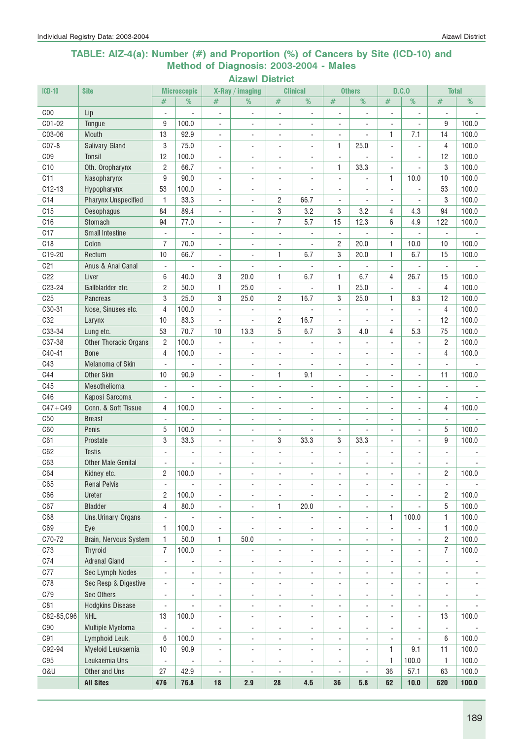### TABLE: AIZ-4(a): Number (#) and Proportion (%) of Cancers by Site (ICD-10) and Method of Diagnosis: 2003-2004 - Males

| <b>ICD-10</b>   | <b>Site</b>                  |                          | <b>Microscopic</b>       |                              | X-Ray / imaging          |                          | <b>Clinical</b>          |                              | <b>Others</b>            |                          | D.C.0                    | <b>Total</b>             |                          |
|-----------------|------------------------------|--------------------------|--------------------------|------------------------------|--------------------------|--------------------------|--------------------------|------------------------------|--------------------------|--------------------------|--------------------------|--------------------------|--------------------------|
|                 |                              | #                        | %                        | #                            | %                        | #                        | %                        | #                            | %                        | #                        | %                        | $\#$                     | %                        |
| CO <sub>0</sub> | Lip                          | $\overline{\phantom{a}}$ |                          | $\blacksquare$               | $\blacksquare$           | $\overline{\phantom{a}}$ | $\blacksquare$           | $\overline{a}$               | $\overline{a}$           | L.                       |                          | $\overline{a}$           |                          |
| C01-02          | Tongue                       | 9                        | 100.0                    | $\blacksquare$               | $\overline{\phantom{a}}$ | $\overline{\phantom{a}}$ | $\overline{\phantom{a}}$ | $\overline{\phantom{a}}$     | $\overline{a}$           | ÷,                       |                          | 9                        | 100.0                    |
| C03-06          | Mouth                        | 13                       | 92.9                     | $\overline{\phantom{a}}$     | $\sim$                   | $\overline{\phantom{a}}$ | ٠                        | $\blacksquare$               | ÷.                       | $\mathbf{1}$             | 7.1                      | 14                       | 100.0                    |
| C07-8           | <b>Salivary Gland</b>        | 3                        | 75.0                     | $\overline{\phantom{a}}$     | $\blacksquare$           | $\overline{\phantom{a}}$ | ÷                        | 1                            | 25.0                     | $\mathbf{r}$             |                          | $\overline{4}$           | 100.0                    |
| CO <sub>9</sub> | Tonsil                       | 12                       | 100.0                    | $\overline{\phantom{a}}$     | ä,                       | ÷,                       |                          | $\overline{\phantom{a}}$     | ÷,                       | $\overline{\phantom{a}}$ |                          | 12                       | 100.0                    |
| C10             | Oth. Oropharynx              | $\overline{2}$           | 66.7                     | $\overline{\phantom{a}}$     | ä,                       | $\overline{\phantom{a}}$ |                          | 1                            | 33.3                     | ÷.                       |                          | 3                        | 100.0                    |
| C11             | Nasopharynx                  | 9                        | 90.0                     | $\overline{a}$               | ÷,                       | $\blacksquare$           |                          | $\blacksquare$               |                          | 1                        | 10.0                     | 10                       | 100.0                    |
| $C12-13$        | Hypopharynx                  | 53                       | 100.0                    | $\overline{\phantom{a}}$     | $\overline{\phantom{a}}$ | $\overline{\phantom{a}}$ | ÷,                       | $\overline{\phantom{a}}$     | $\overline{\phantom{a}}$ | $\overline{a}$           |                          | 53                       | 100.0                    |
| C14             | <b>Pharynx Unspecified</b>   | 1                        | 33.3                     | $\overline{\phantom{a}}$     | ÷,                       | 2                        | 66.7                     | $\overline{\phantom{a}}$     | $\blacksquare$           | $\overline{\phantom{a}}$ | $\overline{\phantom{a}}$ | 3                        | 100.0                    |
| C15             | Oesophagus                   | 84                       | 89.4                     | $\overline{\phantom{a}}$     | $\overline{\phantom{a}}$ | 3                        | 3.2                      | 3                            | 3.2                      | 4                        | 4.3                      | 94                       | 100.0                    |
| C16             | Stomach                      | 94                       | 77.0                     | $\overline{\phantom{a}}$     | $\blacksquare$           | $\overline{7}$           | 5.7                      | 15                           | 12.3                     | 6                        | 4.9                      | 122                      | 100.0                    |
| C17             | <b>Small Intestine</b>       | $\overline{\phantom{a}}$ | ÷.                       | $\overline{\phantom{a}}$     | $\overline{\phantom{a}}$ | $\Box$                   | $\blacksquare$           | $\Box$                       | $\overline{a}$           | $\overline{\phantom{a}}$ | $\sim$                   | $\overline{\phantom{a}}$ |                          |
| C18             | Colon                        | $\overline{7}$           | 70.0                     | $\blacksquare$               | $\blacksquare$           | $\overline{\phantom{a}}$ |                          | 2                            | 20.0                     | 1                        | 10.0                     | 10                       | 100.0                    |
| C19-20          | Rectum                       | 10                       | 66.7                     | $\blacksquare$               | $\blacksquare$           | 1                        | 6.7                      | 3                            | 20.0                     | $\mathbf{1}$             | 6.7                      | 15                       | 100.0                    |
| C <sub>21</sub> | Anus & Anal Canal            | $\overline{\phantom{a}}$ |                          | $\overline{\phantom{a}}$     | ÷,                       | $\Box$                   |                          | $\blacksquare$               |                          | $\overline{a}$           |                          | $\overline{\phantom{a}}$ |                          |
| C22             | Liver                        | 6                        | 40.0                     | 3                            | 20.0                     | 1                        | 6.7                      | 1                            | 6.7                      | 4                        | 26.7                     | 15                       | 100.0                    |
| C23-24          | Gallbladder etc.             | $\overline{2}$           | 50.0                     | 1                            | 25.0                     | $\Box$                   |                          | 1                            | 25.0                     | $\sim$                   |                          | $\overline{4}$           | 100.0                    |
| C <sub>25</sub> | Pancreas                     | 3                        | 25.0                     | 3                            | 25.0                     | 2                        | 16.7                     | 3                            | 25.0                     | 1                        | 8.3                      | 12                       | 100.0                    |
| C30-31          | Nose, Sinuses etc.           | $\overline{4}$           | 100.0                    | $\blacksquare$               |                          | $\blacksquare$           |                          | $\sim$                       | L,                       | ÷,                       |                          | $\overline{4}$           | 100.0                    |
| C32             | Larynx                       | 10                       | 83.3                     | ÷,                           |                          | 2                        | 16.7                     | $\overline{\phantom{a}}$     | ÷,                       |                          |                          | 12                       | 100.0                    |
| C33-34          | Lung etc.                    | 53                       | 70.7                     | 10                           | 13.3                     | 5                        | 6.7                      | 3                            | 4.0                      | 4                        | 5.3                      | 75                       | 100.0                    |
| C37-38          | <b>Other Thoracic Organs</b> | $\overline{c}$           | 100.0                    | $\overline{\phantom{a}}$     | ÷,                       | $\overline{\phantom{a}}$ | ÷,                       | $\overline{\phantom{a}}$     | ÷,                       | ÷,                       | ÷,                       | $\overline{c}$           | 100.0                    |
| C40-41          | <b>Bone</b>                  | 4                        | 100.0                    | $\overline{\phantom{a}}$     | $\overline{\phantom{a}}$ | $\overline{\phantom{a}}$ | $\overline{\phantom{a}}$ | $\blacksquare$               | $\overline{\phantom{0}}$ | $\overline{\phantom{a}}$ | $\overline{\phantom{a}}$ | 4                        | 100.0                    |
| C43             | Melanoma of Skin             | $\overline{\phantom{a}}$ | ÷,                       | $\overline{\phantom{a}}$     | $\overline{\phantom{a}}$ | $\overline{\phantom{a}}$ | $\overline{\phantom{a}}$ | $\blacksquare$               | $\overline{\phantom{a}}$ | $\blacksquare$           | $\overline{\phantom{a}}$ | $\blacksquare$           |                          |
| C44             | <b>Other Skin</b>            | 10                       | 90.9                     | $\blacksquare$               | $\overline{\phantom{a}}$ | 1                        | 9.1                      | $\overline{\phantom{a}}$     | ÷,                       | $\overline{\phantom{a}}$ | $\overline{\phantom{a}}$ | 11                       | 100.0                    |
| C45             | Mesothelioma                 | ÷,                       | ÷                        | ÷,                           | $\overline{a}$           | $\blacksquare$           |                          | ÷,                           | ÷,                       | $\sim$                   |                          | $\frac{1}{2}$            |                          |
| C46             | Kaposi Sarcoma               | $\overline{\phantom{a}}$ |                          | $\overline{\phantom{a}}$     | $\blacksquare$           | $\blacksquare$           | $\overline{\phantom{a}}$ | $\blacksquare$               | L.                       | ÷.                       | $\blacksquare$           | $\blacksquare$           |                          |
| $C47 + C49$     | Conn. & Soft Tissue          | 4                        | 100.0                    | $\overline{\phantom{a}}$     | $\overline{\phantom{a}}$ | $\overline{\phantom{a}}$ | $\overline{\phantom{a}}$ | $\overline{\phantom{a}}$     | ÷,                       | $\overline{\phantom{a}}$ | $\overline{\phantom{a}}$ | 4                        | 100.0                    |
| C <sub>50</sub> | <b>Breast</b>                | L.                       |                          | ÷.                           | ä,                       | ä,                       | $\overline{\phantom{a}}$ | ÷,                           | L.                       | ÷,                       | ÷,                       | $\blacksquare$           |                          |
| C60             | Penis                        | 5                        | 100.0                    | $\blacksquare$               | $\blacksquare$           | $\blacksquare$           |                          | $\blacksquare$               | $\overline{a}$           | ÷.                       | $\blacksquare$           | 5                        | 100.0                    |
| C61             | Prostate                     | 3                        | 33.3                     | $\blacksquare$               | ÷.                       | 3                        | 33.3                     | 3                            | 33.3                     | L.                       | ÷.                       | 9                        | 100.0                    |
| C62             | <b>Testis</b>                | ÷.                       | $\blacksquare$           | ÷.                           |                          | L.                       |                          | $\blacksquare$               | L,                       | ÷,                       |                          | ÷.                       |                          |
| C63             | <b>Other Male Genital</b>    |                          |                          | ÷,                           | ÷,                       | $\overline{\phantom{a}}$ |                          | ÷,                           | ÷,                       |                          |                          | ä,                       |                          |
| C64             | Kidney etc.                  | $\overline{c}$           | 100.0                    | ä,                           | ÷                        | $\overline{\phantom{a}}$ | ÷                        | $\sim$                       | ٠                        | ÷.                       |                          | $\overline{c}$           | 100.0                    |
| C65             | <b>Renal Pelvis</b>          | $\overline{\phantom{a}}$ | $\blacksquare$           | $\overline{\phantom{a}}$     | $\overline{\phantom{a}}$ | $\overline{\phantom{a}}$ | $\overline{\phantom{a}}$ | 4                            | $\overline{\phantom{a}}$ | $\overline{a}$           | $\overline{\phantom{a}}$ | $\overline{\phantom{a}}$ | $\overline{\phantom{a}}$ |
| C66             | Ureter                       | 2                        | 100.0                    | $\overline{\phantom{a}}$     | $\overline{\phantom{a}}$ | $\overline{\phantom{a}}$ | $\overline{\phantom{a}}$ | $\overline{\phantom{a}}$     | $\overline{\phantom{a}}$ | $\overline{\phantom{a}}$ | $\overline{\phantom{a}}$ | 2                        | 100.0                    |
| C67             | <b>Bladder</b>               | 4                        | 80.0                     | $\overline{\phantom{a}}$     | $\overline{\phantom{a}}$ | 1                        | 20.0                     | $\overline{\phantom{a}}$     | ÷,                       | $\blacksquare$           |                          | 5                        | 100.0                    |
| C68             | Uns.Urinary Organs           | $\blacksquare$           | $\overline{\phantom{a}}$ | $\overline{\phantom{a}}$     | $\overline{\phantom{a}}$ | $\blacksquare$           | $\blacksquare$           | $\blacksquare$               | $\overline{\phantom{0}}$ | 1                        | 100.0                    | 1                        | 100.0                    |
| C69             | Eye                          | 1                        | 100.0                    | $\overline{\phantom{a}}$     | $\blacksquare$           | $\overline{\phantom{a}}$ | $\overline{\phantom{a}}$ | $\overline{\phantom{a}}$     | 4                        |                          |                          | 1                        | 100.0                    |
| C70-72          | Brain, Nervous System        | $\mathbf{1}$             | 50.0                     | 1                            | 50.0                     | $\blacksquare$           | $\overline{\phantom{a}}$ | $\blacksquare$               | $\overline{\phantom{0}}$ | $\overline{\phantom{a}}$ | ÷,                       | $\sqrt{2}$               | 100.0                    |
| C73             | Thyroid                      | $\overline{7}$           | 100.0                    | $\blacksquare$               | $\blacksquare$           | $\overline{\phantom{a}}$ | $\overline{\phantom{a}}$ | ÷,                           | $\overline{a}$           | ÷,                       | ÷                        | 7                        | 100.0                    |
| C74             | <b>Adrenal Gland</b>         | $\blacksquare$           | $\overline{\phantom{a}}$ | $\overline{\phantom{a}}$     | $\blacksquare$           | $\blacksquare$           | $\blacksquare$           | $\blacksquare$               | L.                       | $\blacksquare$           | ÷,                       | $\overline{\phantom{a}}$ | $\overline{\phantom{a}}$ |
| C77             | Sec Lymph Nodes              | $\overline{\phantom{a}}$ | $\frac{1}{2}$            | ٠                            | $\overline{\phantom{a}}$ | $\blacksquare$           | $\overline{\phantom{a}}$ | $\blacksquare$               | ÷,                       | ÷,                       | $\overline{\phantom{a}}$ | $\overline{\phantom{a}}$ | $\overline{\phantom{a}}$ |
| C78             | Sec Resp & Digestive         | $\overline{\phantom{a}}$ | $\frac{1}{2}$            | $\overline{\phantom{a}}$     | $\overline{\phantom{a}}$ | $\blacksquare$           | $\overline{\phantom{a}}$ | $\overline{\phantom{a}}$     | ÷,                       | $\overline{\phantom{a}}$ | $\overline{\phantom{a}}$ | $\overline{\phantom{a}}$ | $\overline{\phantom{a}}$ |
| C79             | <b>Sec Others</b>            | $\overline{\phantom{a}}$ | $\overline{\phantom{m}}$ | $\overline{\phantom{m}}$     | $\overline{\phantom{a}}$ | $\overline{\phantom{a}}$ | $\overline{\phantom{a}}$ | $\qquad \qquad \blacksquare$ | $\overline{\phantom{0}}$ | $\overline{a}$           | $\overline{\phantom{a}}$ | $\blacksquare$           | $\blacksquare$           |
| C81             | <b>Hodgkins Disease</b>      | $\overline{a}$           | $\blacksquare$           | $\qquad \qquad \blacksquare$ | $\overline{\phantom{a}}$ | $\overline{\phantom{a}}$ | $\overline{\phantom{a}}$ | $\overline{\phantom{a}}$     | $\overline{\phantom{a}}$ | $\overline{\phantom{a}}$ | $\blacksquare$           | $\overline{\phantom{a}}$ | $\blacksquare$           |
| C82-85,C96      | <b>NHL</b>                   | 13                       | 100.0                    | $\overline{\phantom{a}}$     | $\overline{\phantom{a}}$ | $\overline{\phantom{a}}$ | $\overline{\phantom{a}}$ | $\overline{\phantom{a}}$     | $\overline{\phantom{a}}$ | $\overline{\phantom{a}}$ | $\overline{\phantom{a}}$ | 13                       | 100.0                    |
| C90             | Multiple Myeloma             | $\blacksquare$           | ÷,                       | $\overline{\phantom{a}}$     | $\overline{\phantom{a}}$ | $\overline{\phantom{a}}$ | $\overline{\phantom{a}}$ | $\overline{\phantom{a}}$     | ÷,                       | $\overline{\phantom{a}}$ | $\overline{\phantom{a}}$ | $\blacksquare$           |                          |
| C91             | Lymphoid Leuk.               | 6                        | 100.0                    | $\blacksquare$               | $\overline{\phantom{a}}$ | $\overline{\phantom{a}}$ | $\overline{\phantom{a}}$ | $\overline{\phantom{a}}$     | $\overline{a}$           | ÷,                       | $\blacksquare$           | 6                        | 100.0                    |
| C92-94          | Myeloid Leukaemia            | 10                       | 90.9                     | $\blacksquare$               | $\overline{\phantom{a}}$ | $\overline{\phantom{a}}$ | $\overline{\phantom{a}}$ | $\blacksquare$               | $\blacksquare$           | 1                        | 9.1                      | 11                       | 100.0                    |
| C95             | Leukaemia Uns                | $\Box$                   |                          | $\blacksquare$               | $\overline{\phantom{a}}$ | $\blacksquare$           | $\overline{\phantom{a}}$ | $\blacksquare$               | $\overline{a}$           | 1                        | 100.0                    | 1                        | 100.0                    |
| 0&U             | Other and Uns                | 27                       | 42.9                     | $\overline{\phantom{a}}$     | ÷,                       | $\blacksquare$           |                          | ÷,                           | $\overline{a}$           | 36                       | 57.1                     | 63                       | 100.0                    |
|                 | <b>All Sites</b>             | 476                      | 76.8                     | 18                           | 2.9                      | 28                       | 4.5                      | 36                           | 5.8                      | 62                       | 10.0                     | 620                      | 100.0                    |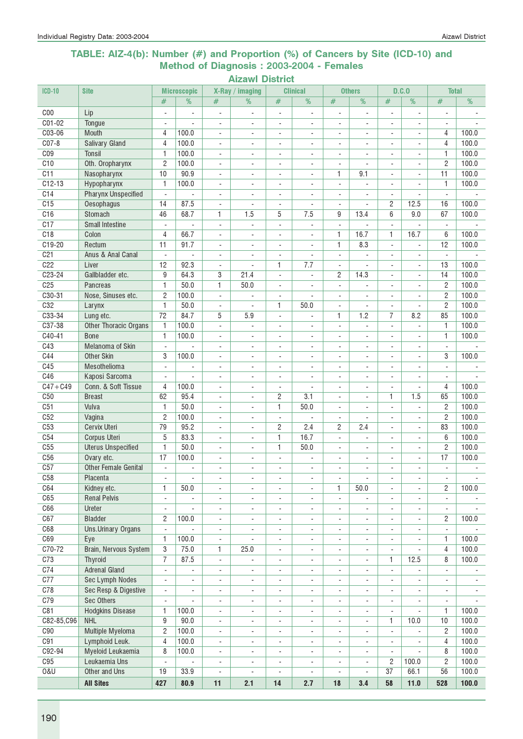### TABLE: AIZ-4(b): Number (#) and Proportion (%) of Cancers by Site (ICD-10) and Method of Diagnosis : 2003-2004 - Females

| <b>ICD-10</b>   | <b>Site</b>                 |                          | <b>Microscopic</b>       |                              | X-Ray / imaging          |                          | <b>Clinical</b>          |                          | <b>Others</b>            |                          | D.C.0                    | <b>Total</b>             |                |
|-----------------|-----------------------------|--------------------------|--------------------------|------------------------------|--------------------------|--------------------------|--------------------------|--------------------------|--------------------------|--------------------------|--------------------------|--------------------------|----------------|
|                 |                             | #                        | %                        | #                            | %                        | $\#$                     | %                        | #                        | %                        | #                        | %                        | #                        | %              |
| C <sub>00</sub> | Lip                         | $\overline{\phantom{a}}$ | $\overline{\phantom{a}}$ | ÷,                           | ä,                       | $\overline{\phantom{a}}$ | ä,                       | $\overline{\phantom{a}}$ | $\overline{a}$           | L.                       |                          | $\overline{a}$           |                |
| $C01-02$        | Tongue                      |                          |                          | $\overline{\phantom{a}}$     | $\overline{\phantom{a}}$ | $\overline{\phantom{a}}$ | ÷.                       | $\overline{\phantom{a}}$ | $\overline{a}$           | $\blacksquare$           |                          | $\overline{a}$           |                |
| C03-06          | Mouth                       | 4                        | 100.0                    | $\blacksquare$               | $\blacksquare$           | $\overline{\phantom{a}}$ |                          | $\blacksquare$           | $\overline{\phantom{a}}$ | $\blacksquare$           | ÷                        | 4                        | 100.0          |
| $CO7-8$         | <b>Salivary Gland</b>       | $\overline{4}$           | 100.0                    | $\overline{\phantom{a}}$     | $\overline{\phantom{a}}$ | $\overline{\phantom{a}}$ | $\overline{\phantom{a}}$ | $\overline{\phantom{a}}$ | $\overline{\phantom{a}}$ | $\sim$                   | ÷.                       | 4                        | 100.0          |
| C <sub>09</sub> | <b>Tonsil</b>               | 1                        | 100.0                    | $\overline{\phantom{a}}$     | $\sim$                   | $\overline{\phantom{a}}$ | ÷.                       | $\blacksquare$           | ä,                       | ÷.                       | $\sim$                   | 1                        | 100.0          |
| C10             | Oth. Oropharynx             | $\overline{c}$           | 100.0                    | $\overline{\phantom{a}}$     | $\mathbf{r}$             | $\blacksquare$           | ÷.                       | $\overline{\phantom{a}}$ | $\blacksquare$           | $\blacksquare$           | $\blacksquare$           | $\overline{c}$           | 100.0          |
| C11             | Nasopharynx                 | 10                       | 90.9                     | ۰                            | $\overline{\phantom{a}}$ | $\overline{\phantom{a}}$ |                          | 1                        | 9.1                      |                          | $\overline{\phantom{a}}$ | 11                       | 100.0          |
| $C12-13$        | Hypopharynx                 | 1                        | 100.0                    | ۰                            | $\blacksquare$           | $\overline{\phantom{a}}$ | ÷                        | $\overline{\phantom{a}}$ | ÷,                       |                          |                          | 1                        | 100.0          |
| C14             | <b>Pharynx Unspecified</b>  | L.                       | $\mathbf{r}$             | $\blacksquare$               |                          | $\blacksquare$           |                          | $\blacksquare$           | $\overline{a}$           | L.                       | $\sim$                   | $\overline{a}$           |                |
| C15             | Oesophagus                  | 14                       | 87.5                     | ÷.                           | ä,                       | $\blacksquare$           |                          | $\blacksquare$           | ä,                       | $\overline{2}$           | 12.5                     | 16                       | 100.0          |
| C16             | Stomach                     | 46                       | 68.7                     | 1                            | 1.5                      | 5                        | 7.5                      | 9                        | 13.4                     | 6                        | 9.0                      | 67                       | 100.0          |
| C17             | <b>Small Intestine</b>      | $\overline{\phantom{a}}$ |                          | $\Box$                       | $\blacksquare$           | $\frac{1}{2}$            | ٠                        | $\overline{\phantom{a}}$ |                          | ÷.                       |                          | $\mathbf{r}$             |                |
| C18             | Colon                       | 4                        | 66.7                     | ä,                           | ÷,                       | ÷,                       |                          | $\mathbf{1}$             | 16.7                     | 1                        | 16.7                     | 6                        | 100.0          |
| C19-20          | Rectum                      | 11                       | 91.7                     | $\overline{\phantom{a}}$     | $\overline{\phantom{a}}$ | $\overline{\phantom{a}}$ | $\overline{\phantom{a}}$ | $\mathbf{1}$             | 8.3                      | $\blacksquare$           |                          | 12                       | 100.0          |
| C <sub>21</sub> | Anus & Anal Canal           | $\overline{\phantom{a}}$ |                          | $\qquad \qquad \blacksquare$ | $\blacksquare$           | $\overline{\phantom{a}}$ |                          | $\overline{\phantom{a}}$ |                          |                          |                          | $\overline{\phantom{a}}$ |                |
| C22             | Liver                       | 12                       | 92.3                     | $\overline{\phantom{a}}$     |                          | 1                        | 7.7                      | $\sim$                   | ä,                       | $\overline{a}$           | $\blacksquare$           | 13                       | 100.0          |
| C23-24          | Gallbladder etc.            | 9                        | 64.3                     | 3                            | 21.4                     | $\frac{1}{2}$            | ä,                       | $\overline{c}$           | 14.3                     | $\mathbf{r}$             | $\mathbf{r}$             | 14                       | 100.0          |
| C <sub>25</sub> | <b>Pancreas</b>             | $\mathbf{1}$             | 50.0                     | 1                            | 50.0                     | $\overline{\phantom{a}}$ | ÷,                       | $\blacksquare$           | ä,                       | $\mathbf{r}$             | ÷.                       | $\overline{c}$           | 100.0          |
| C30-31          | Nose, Sinuses etc.          | $\overline{2}$           | 100.0                    | $\blacksquare$               |                          | $\overline{\phantom{a}}$ | $\overline{\phantom{0}}$ | $\overline{\phantom{a}}$ | $\blacksquare$           | $\blacksquare$           | $\overline{\phantom{a}}$ | $\overline{c}$           | 100.0          |
| C32             | Larynx                      | 1                        | 50.0                     | $\overline{\phantom{a}}$     | ÷,                       | 1                        | 50.0                     | $\blacksquare$           | ÷.                       | $\blacksquare$           | $\blacksquare$           | $\overline{c}$           | 100.0          |
| C33-34          | Lung etc.                   | 72                       | 84.7                     | 5                            | 5.9                      | $\overline{\phantom{a}}$ |                          | 1                        | 1.2                      | 7                        | 8.2                      | 85                       | 100.0          |
| $C37-38$        | Other Thoracic Organs       | $\mathbf{1}$             | 100.0                    | $\blacksquare$               |                          | $\overline{\phantom{a}}$ |                          | $\overline{\phantom{a}}$ |                          |                          |                          | 1                        | 100.0          |
| $C40-41$        | <b>Bone</b>                 | 1                        | 100.0                    | ÷,                           |                          | ÷,                       |                          | $\sim$                   | ÷,                       |                          |                          | 1                        | 100.0          |
| C43             | Melanoma of Skin            | $\overline{\phantom{a}}$ |                          | $\overline{\phantom{a}}$     | $\sim$                   | ÷,                       | ÷,                       | $\sim$                   | $\blacksquare$           | ÷.                       | $\mathbb{L}$             | $\blacksquare$           |                |
| C44             | <b>Other Skin</b>           | 3                        | 100.0                    | $\blacksquare$               | ÷.                       | $\overline{\phantom{a}}$ | ÷                        | $\blacksquare$           | ÷.                       | ÷,                       | ÷.                       | 3                        | 100.0          |
| C45             | Mesothelioma                | $\mathbf{r}$             | $\sim$                   | $\blacksquare$               | $\blacksquare$           | $\blacksquare$           | ٠                        | $\blacksquare$           | $\blacksquare$           | ÷,                       | ÷                        | $\blacksquare$           |                |
| C46             | Kaposi Sarcoma              |                          |                          | $\overline{\phantom{0}}$     | $\overline{a}$           | $\overline{\phantom{a}}$ | ÷,                       | $\sim$                   | $\overline{\phantom{a}}$ | $\overline{\phantom{a}}$ | $\overline{\phantom{a}}$ | $\sim$                   |                |
| $C47 + C49$     | Conn. & Soft Tissue         | $\overline{4}$           | 100.0                    | $\overline{\phantom{0}}$     | $\blacksquare$           | $\overline{\phantom{a}}$ |                          | $\blacksquare$           | $\overline{\phantom{a}}$ |                          |                          | 4                        | 100.0          |
| C50             | <b>Breast</b>               | 62                       | 95.4                     | $\overline{a}$               | $\mathbf{r}$             | 2                        | 3.1                      | $\overline{\phantom{a}}$ | $\blacksquare$           | 1                        | 1.5                      | 65                       | 100.0          |
| C51             | Vulva                       | 1                        | 50.0                     | ä,                           | $\blacksquare$           | 1                        | 50.0                     | $\blacksquare$           | ÷.                       | ÷.                       |                          | $\overline{c}$           | 100.0          |
| C52             | Vagina                      | $\overline{2}$           | 100.0                    | $\overline{\phantom{a}}$     | $\overline{\phantom{a}}$ | $\overline{\phantom{a}}$ |                          | $\overline{\phantom{a}}$ | $\overline{\phantom{a}}$ | $\blacksquare$           | $\overline{\phantom{a}}$ | $\overline{c}$           | 100.0          |
| C53             | Cervix Uteri                | 79                       | 95.2                     | $\overline{\phantom{a}}$     | $\blacksquare$           | $\overline{c}$           | 2.4                      | 2                        | 2.4                      | $\blacksquare$           | $\blacksquare$           | 83                       | 100.0          |
| C54             | Corpus Uteri                | 5                        | 83.3                     | ÷,                           | $\blacksquare$           | 1                        | 16.7                     | $\sim$                   | ÷.                       | $\blacksquare$           | ٠                        | 6                        | 100.0          |
| C55             | <b>Uterus Unspecified</b>   | $\mathbf{1}$             | 50.0                     | $\overline{\phantom{0}}$     | $\overline{\phantom{a}}$ | 1                        | 50.0                     | $\overline{\phantom{a}}$ | $\overline{\phantom{a}}$ | $\overline{a}$           | $\overline{\phantom{a}}$ | 2                        | 100.0          |
| C <sub>56</sub> | Ovary etc.                  | 17                       | 100.0                    | ۰                            | $\overline{\phantom{a}}$ | $\overline{\phantom{a}}$ |                          | $\overline{a}$           | $\overline{\phantom{0}}$ | $\overline{\phantom{a}}$ | $\overline{\phantom{a}}$ | 17                       | 100.0          |
| C57             | <b>Other Female Genital</b> | $\sim$                   | ä,                       | L,                           |                          | $\blacksquare$           |                          |                          |                          |                          |                          | $\blacksquare$           |                |
| C58             | Placenta                    | $\overline{\phantom{a}}$ |                          | ÷,                           |                          | ÷                        |                          | ÷,                       |                          | ÷,                       | $\blacksquare$           | $\overline{\phantom{a}}$ |                |
| C64             | Kidney etc.                 | 1                        | 50.0                     | $\overline{\phantom{a}}$     | $\overline{\phantom{a}}$ | $\overline{\phantom{a}}$ | ÷,                       | 1                        | 50.0                     | $\overline{\phantom{a}}$ | $\blacksquare$           | 2                        | 100.0          |
| C65             | <b>Renal Pelvis</b>         | $\overline{\phantom{a}}$ | $\overline{\phantom{a}}$ | $\overline{\phantom{0}}$     | $\overline{\phantom{a}}$ | $\overline{\phantom{a}}$ | $\overline{\phantom{0}}$ | $\overline{\phantom{a}}$ | $\overline{\phantom{a}}$ | $\overline{\phantom{a}}$ | ٠                        | $\blacksquare$           |                |
| C66             | Ureter                      | $\blacksquare$           |                          | ÷,                           | $\overline{\phantom{a}}$ | $\blacksquare$           | $\overline{\phantom{0}}$ | ÷,                       | $\blacksquare$           | $\blacksquare$           | ÷.                       | $\overline{\phantom{a}}$ |                |
| C67             | <b>Bladder</b>              | $\overline{c}$           | 100.0                    | ÷,                           | $\blacksquare$           | ÷,                       | ÷.                       | $\blacksquare$           | L.                       | ÷,                       | ÷.                       | 2                        | 100.0          |
| C68             | Uns.Urinary Organs          | $\overline{\phantom{a}}$ |                          | $\overline{\phantom{0}}$     | $\overline{\phantom{a}}$ | $\overline{\phantom{a}}$ | ٠                        | $\overline{\phantom{a}}$ | ÷,                       | ÷,                       |                          | $\overline{\phantom{a}}$ |                |
| C69             | Eye                         | $\mathbf{1}$             | 100.0                    | $\overline{\phantom{0}}$     |                          | $\overline{\phantom{a}}$ | ٠                        | $\overline{\phantom{a}}$ | $\overline{\phantom{0}}$ |                          |                          | 1                        | 100.0          |
| $C70-72$        | Brain, Nervous System       | 3                        | 75.0                     | 1                            | 25.0                     | $\blacksquare$           | $\overline{\phantom{0}}$ | $\blacksquare$           | $\blacksquare$           | $\blacksquare$           |                          | 4                        | 100.0          |
| C73             | Thyroid                     | $\overline{7}$           | 87.5                     | ä,                           | ÷.                       | $\overline{\phantom{a}}$ | ÷                        | $\blacksquare$           | ÷.                       | $\mathbf{1}$             | 12.5                     | 8                        | 100.0          |
| C <sub>74</sub> | <b>Adrenal Gland</b>        | $\overline{\phantom{a}}$ | $\mathbf{r}$             | $\blacksquare$               | $\overline{\phantom{a}}$ | $\blacksquare$           | $\overline{\phantom{a}}$ | $\overline{\phantom{a}}$ | $\overline{\phantom{a}}$ | $\overline{\phantom{a}}$ |                          | $\blacksquare$           | $\blacksquare$ |
| C77             | Sec Lymph Nodes             | $\overline{\phantom{a}}$ | $\overline{\phantom{a}}$ | $\overline{\phantom{0}}$     | $\blacksquare$           | $\overline{\phantom{a}}$ | $\overline{\phantom{a}}$ | $\overline{\phantom{a}}$ | $\overline{\phantom{a}}$ | $\overline{\phantom{a}}$ | ÷.                       | $\overline{\phantom{a}}$ | $\blacksquare$ |
| C78             | Sec Resp & Digestive        | $\blacksquare$           | ÷,                       | $\overline{\phantom{a}}$     | $\blacksquare$           | $\overline{\phantom{a}}$ | $\overline{\phantom{a}}$ | $\overline{\phantom{a}}$ | $\overline{\phantom{a}}$ | $\overline{\phantom{a}}$ | $\overline{\phantom{a}}$ | $\blacksquare$           | $\blacksquare$ |
| C79             | <b>Sec Others</b>           | $\overline{\phantom{a}}$ | $\frac{1}{2}$            | ÷,                           | $\overline{\phantom{a}}$ | $\overline{\phantom{a}}$ | $\overline{\phantom{a}}$ | $\overline{\phantom{a}}$ | $\blacksquare$           | $\overline{\phantom{a}}$ |                          | $\overline{\phantom{a}}$ |                |
| C81             | <b>Hodgkins Disease</b>     | 1                        | 100.0                    | $\overline{\phantom{a}}$     | $\overline{\phantom{a}}$ | $\overline{\phantom{a}}$ | $\overline{\phantom{0}}$ | $\overline{\phantom{a}}$ | $\overline{\phantom{a}}$ | $\blacksquare$           |                          | 1                        | 100.0          |
| C82-85,C96      | <b>NHL</b>                  | 9                        | 90.0                     | -                            | $\overline{\phantom{a}}$ | $\overline{\phantom{a}}$ | ۰                        | $\overline{\phantom{a}}$ | $\overline{\phantom{a}}$ | 1                        | 10.0                     | 10                       | 100.0          |
| C90             | <b>Multiple Myeloma</b>     | $\mathbf{2}$             | 100.0                    | $\overline{\phantom{a}}$     | $\overline{\phantom{a}}$ | $\overline{\phantom{a}}$ | ٠                        | $\overline{\phantom{a}}$ | $\overline{\phantom{a}}$ | $\overline{\phantom{a}}$ |                          | 2                        | 100.0          |
| C91             | Lymphoid Leuk.              | $\overline{4}$           | 100.0                    | $\overline{\phantom{0}}$     | ÷,                       | $\overline{\phantom{a}}$ |                          | $\overline{\phantom{a}}$ | $\blacksquare$           | $\blacksquare$           |                          | 4                        | 100.0          |
| C92-94          | Myeloid Leukaemia           | 8                        | 100.0                    | $\overline{\phantom{a}}$     | $\overline{\phantom{a}}$ | $\overline{\phantom{a}}$ | $\overline{\phantom{0}}$ | $\overline{\phantom{a}}$ | $\blacksquare$           | $\mathbf{r}$             |                          | 8                        | 100.0          |
| C95             | Leukaemia Uns               | $\overline{\phantom{a}}$ |                          | $\overline{\phantom{a}}$     | $\blacksquare$           | $\overline{\phantom{a}}$ | ٠                        | $\overline{\phantom{a}}$ | $\blacksquare$           | $\overline{c}$           | 100.0                    | $\overline{c}$           | 100.0          |
| 0&U             | Other and Uns               | 19                       | 33.9                     | $\blacksquare$               |                          | ÷,                       |                          | $\overline{\phantom{a}}$ | ÷,                       | 37                       | 66.1                     | 56                       | 100.0          |
|                 | <b>All Sites</b>            | 427                      | 80.9                     | 11                           | 2.1                      | 14                       | 2.7                      | 18                       | 3.4                      | 58                       | $11.0$                   | 528                      | 100.0          |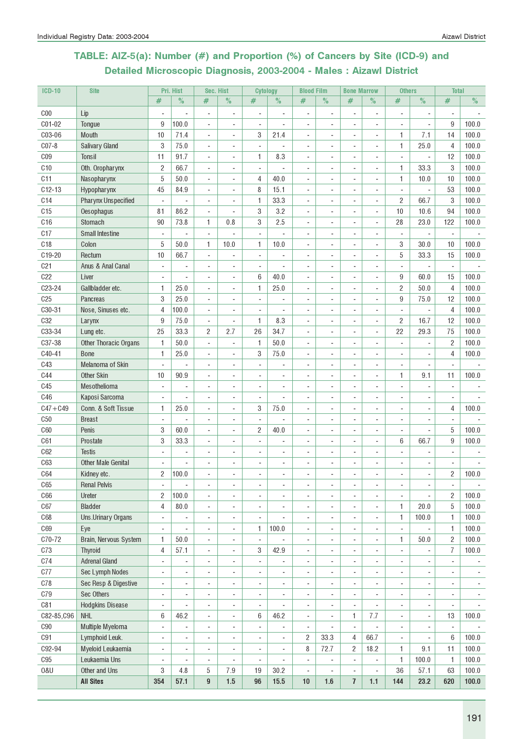### TABLE: AIZ-5(a): Number (#) and Proportion (%) of Cancers by Site (ICD-9) and Detailed Microscopic Diagnosis, 2003-2004 - Males : Aizawl District

| <b>ICD-10</b>   | <b>Site</b>                |                          | Pri. Hist      |                          | Sec. Hist                | <b>Cytology</b>          |                          | <b>Blood Film</b>        |                              | <b>Bone Marrow</b>       |                          | <b>Others</b>            |                          | <b>Total</b>             |                |
|-----------------|----------------------------|--------------------------|----------------|--------------------------|--------------------------|--------------------------|--------------------------|--------------------------|------------------------------|--------------------------|--------------------------|--------------------------|--------------------------|--------------------------|----------------|
|                 |                            | #                        | $\%$           | #                        | $\%$                     | $\#$                     | $\%$                     | #                        | $\%$                         | #                        | $\%$                     | #                        | $\%$                     | #                        | $\%$           |
| C <sub>00</sub> | Lip                        | ÷                        |                | $\overline{a}$           | $\overline{\phantom{a}}$ | $\overline{\phantom{a}}$ |                          | $\overline{a}$           | ٠                            | ÷                        | $\overline{\phantom{a}}$ | $\overline{a}$           | $\overline{a}$           |                          |                |
| C01-02          | Tongue                     | 9                        | 100.0          | ÷,                       |                          | $\overline{\phantom{a}}$ |                          | ÷,                       |                              |                          | $\overline{\phantom{a}}$ |                          | ÷,                       | 9                        | 100.0          |
| C03-06          | Mouth                      | 10                       | 71.4           | ÷,                       |                          | 3                        | 21.4                     |                          |                              |                          | $\sim$                   | 1                        | 7.1                      | 14                       | 100.0          |
| $C07-8$         | <b>Salivary Gland</b>      | 3                        | 75.0           | ÷,                       |                          |                          |                          | $\overline{\phantom{a}}$ |                              |                          | $\blacksquare$           | $\mathbf{1}$             | 25.0                     | 4                        | 100.0          |
| C <sub>09</sub> | <b>Tonsil</b>              | 11                       | 91.7           | ÷,                       |                          | 1                        | 8.3                      | $\frac{1}{2}$            |                              |                          |                          |                          |                          | 12                       | 100.0          |
| C10             | Oth. Oropharynx            | 2                        | 66.7           | ÷,                       |                          |                          |                          | L.                       | ä,                           | ä,                       | $\overline{\phantom{a}}$ | $\mathbf{1}$             | 33.3                     | 3                        | 100.0          |
| C11             | Nasopharynx                | 5                        | 50.0           | ÷,                       | $\sim$                   | 4                        | 40.0                     | $\overline{\phantom{a}}$ | ÷,                           | ä,                       | $\sim$                   | 1                        | 10.0                     | 10                       | 100.0          |
| $C12-13$        | Hypopharynx                | 45                       | 84.9           | ÷.                       |                          | 8                        | 15.1                     | ÷,                       | ä,                           |                          | ÷                        |                          | ÷,                       | 53                       | 100.0          |
| C14             | <b>Pharynx Unspecified</b> | L.                       |                |                          |                          | 1                        | 33.3                     |                          |                              |                          |                          | $\overline{2}$           | 66.7                     | 3                        | 100.0          |
| C15             | Oesophagus                 | 81                       | 86.2           | ÷,                       |                          | 3                        | 3.2                      |                          |                              |                          |                          | 10                       | 10.6                     | 94                       | 100.0          |
| C16             | Stomach                    | 90                       | 73.8           | 1                        | 0.8                      | 3                        | 2.5                      |                          |                              |                          | $\sim$                   | 28                       | 23.0                     | 122                      | 100.0          |
| C17             | <b>Small Intestine</b>     | ÷,                       | ÷,             | ÷,                       |                          | $\overline{\phantom{a}}$ |                          | $\overline{\phantom{a}}$ | $\overline{a}$               | ÷                        | $\overline{\phantom{a}}$ | $\overline{a}$           | ÷,                       | $\overline{\phantom{a}}$ |                |
| C <sub>18</sub> | Colon                      | 5                        | 50.0           | 1                        | 10.0                     | 1                        | 10.0                     | $\overline{\phantom{a}}$ | ٠                            | ٠                        | $\blacksquare$           | 3                        | 30.0                     | 10                       | 100.0          |
| C19-20          | Rectum                     | 10                       | 66.7           | ÷,                       |                          | $\overline{\phantom{a}}$ |                          | $\overline{\phantom{a}}$ | ٠                            | ٠                        | $\overline{\phantom{a}}$ | 5                        | 33.3                     | 15                       | 100.0          |
| C <sub>21</sub> | Anus & Anal Canal          | ÷,                       |                | ä,                       |                          | $\overline{\phantom{a}}$ |                          | ÷,                       |                              |                          | ÷,                       |                          | ÷,                       | $\blacksquare$           |                |
| C22             | Liver                      |                          |                |                          |                          | 6                        | 40.0                     |                          |                              |                          |                          | 9                        | 60.0                     | 15                       | 100.0          |
| C23-24          | Gallbladder etc.           | 1                        | 25.0           | $\overline{a}$           |                          | 1                        | 25.0                     |                          |                              |                          | $\overline{\phantom{a}}$ | $\overline{2}$           | 50.0                     | $\overline{4}$           | 100.0          |
| C <sub>25</sub> | <b>Pancreas</b>            | 3                        | 25.0           | ÷,                       |                          |                          |                          | $\overline{\phantom{a}}$ |                              |                          |                          | 9                        | 75.0                     | 12                       | 100.0          |
| C30-31          | Nose, Sinuses etc.         | $\overline{4}$           | 100.0          | ÷,                       | $\sim$                   | ÷,                       |                          | ä,                       | ä,                           | ä,                       | $\sim$                   |                          |                          | $\overline{4}$           | 100.0          |
| <b>C32</b>      | Larynx                     | $9\,$                    | 75.0           | $\overline{\phantom{a}}$ | $\sim$                   | 1                        | 8.3                      | $\overline{\phantom{a}}$ | $\overline{\phantom{a}}$     | ä,                       | $\sim$                   | $\overline{2}$           | 16.7                     | 12                       | 100.0          |
| C33-34          | Lung etc.                  | 25                       | 33.3           | $\overline{c}$           | 2.7                      | 26                       | 34.7                     | ä,                       |                              |                          | ÷.                       | 22                       | 29.3                     | 75                       | 100.0          |
| C37-38          | Other Thoracic Organs      | 1                        | 50.0           | ä,                       |                          | 1                        | 50.0                     |                          |                              |                          |                          |                          |                          | $\overline{2}$           | 100.0          |
| C40-41          | <b>Bone</b>                | 1                        | 25.0           |                          |                          | 3                        | 75.0                     |                          |                              |                          |                          |                          |                          | 4                        | 100.0          |
| C43             | Melanoma of Skin           | ÷,                       |                |                          |                          |                          |                          |                          |                              |                          |                          |                          |                          |                          |                |
| <b>C44</b>      | <b>Other Skin</b>          | 10                       | 90.9           | ÷                        |                          |                          |                          |                          |                              |                          |                          | 1                        | 9.1                      | 11                       | 100.0          |
| C45             | Mesothelioma               | ä,                       | ٠              | $\overline{\phantom{a}}$ | $\overline{\phantom{a}}$ | $\blacksquare$           | $\overline{\phantom{a}}$ | $\blacksquare$           | ٠                            | ٠                        | $\blacksquare$           | $\overline{\phantom{a}}$ | ÷,                       | $\overline{\phantom{a}}$ |                |
| C46             | Kaposi Sarcoma             | $\overline{\phantom{a}}$ | ٠              | ٠                        | $\overline{\phantom{a}}$ | $\overline{\phantom{a}}$ | $\overline{\phantom{a}}$ | $\overline{\phantom{a}}$ | ٠                            | ä,                       | $\overline{a}$           | $\blacksquare$           | $\overline{\phantom{a}}$ | $\overline{\phantom{a}}$ |                |
| $C47 + C49$     | Conn. & Soft Tissue        | 1                        | 25.0           | ä,                       |                          | 3                        | 75.0                     | $\frac{1}{2}$            |                              |                          |                          |                          | ÷,                       | 4                        | 100.0          |
| C50             | <b>Breast</b>              |                          |                |                          |                          |                          |                          |                          |                              |                          |                          |                          |                          |                          |                |
| <b>C60</b>      | Penis                      | 3                        | 60.0           |                          |                          | 2                        | 40.0                     |                          |                              |                          |                          |                          |                          | 5                        | 100.0          |
| C61             | Prostate                   | 3                        | 33.3           | $\overline{a}$           |                          |                          |                          | $\overline{\phantom{a}}$ |                              |                          | $\overline{\phantom{a}}$ | 6                        | 66.7                     | 9                        | 100.0          |
| C62             | <b>Testis</b>              | ä,                       | ä,             | $\overline{\phantom{a}}$ | $\overline{\phantom{a}}$ |                          | ÷,                       | $\overline{\phantom{a}}$ | ä,                           | ٠                        | $\sim$                   |                          |                          |                          |                |
| C63             | <b>Other Male Genital</b>  |                          |                | ÷,                       |                          | ä,                       | ÷,                       | $\blacksquare$           | ٠                            | ä,                       | $\blacksquare$           |                          |                          |                          |                |
| C64             | Kidney etc.                | $\overline{c}$           | 100.0          |                          |                          |                          |                          |                          |                              |                          |                          |                          | ä,                       | $\overline{2}$           | 100.0          |
| C65             | <b>Renal Pelvis</b>        | $\overline{\phantom{a}}$ | ÷,             | ÷,                       | $\sim$                   | ä,                       | ÷,                       | ÷,                       | ÷,                           | ÷,                       | $\overline{\phantom{a}}$ | $\overline{\phantom{a}}$ | ÷,                       | $\overline{\phantom{a}}$ | $\blacksquare$ |
| C66             | Ureter                     | 2                        | 100.0          | ÷,                       |                          |                          | ÷.                       | ä,                       | ä,                           | ä,                       | $\overline{\phantom{a}}$ |                          | ÷,                       | $\overline{c}$           | 100.0          |
| C67             | <b>Bladder</b>             | 4                        | 80.0           | ÷,                       | $\overline{\phantom{a}}$ | ٠                        | ä,                       | ä,                       | ä,                           | ÷,                       | $\overline{\phantom{a}}$ | $\mathbf{1}$             | 20.0                     | $5\,$                    | 100.0          |
| C68             | Uns.Urinary Organs         | ÷                        | $\overline{a}$ | $\overline{\phantom{a}}$ | $\overline{\phantom{a}}$ | $\overline{a}$           | $\overline{\phantom{a}}$ | $\overline{\phantom{a}}$ | ÷,                           | $\overline{a}$           | $\overline{\phantom{a}}$ | 1                        | 100.0                    | 1                        | 100.0          |
| C69             | Eye                        | ÷,                       | ÷,             | ÷,                       | $\overline{\phantom{a}}$ | 1                        | 100.0                    | $\overline{\phantom{a}}$ | ÷,                           | ÷,                       | ÷,                       | $\overline{\phantom{a}}$ | ÷,                       | 1                        | 100.0          |
| C70-72          | Brain, Nervous System      | 1                        | 50.0           | $\overline{a}$           | $\overline{\phantom{a}}$ | $\overline{\phantom{a}}$ |                          | $\overline{\phantom{a}}$ | ٠                            | ٠                        | $\overline{\phantom{a}}$ | 1                        | 50.0                     | $\overline{2}$           | 100.0          |
| C73             | <b>Thyroid</b>             | 4                        | 57.1           | ÷,                       | $\overline{\phantom{a}}$ | 3                        | 42.9                     | $\frac{1}{2}$            | ÷,                           | ÷,                       | ÷,                       | $\overline{\phantom{a}}$ | ÷,                       | $\overline{7}$           | 100.0          |
| C74             | <b>Adrenal Gland</b>       | ÷,                       | ÷              | ÷,                       |                          |                          |                          | ÷,                       | ä,                           | ÷,                       | $\overline{\phantom{a}}$ |                          |                          |                          |                |
| C77             | Sec Lymph Nodes            | $\overline{a}$           |                | ÷                        |                          |                          |                          | ÷,                       |                              |                          |                          |                          |                          |                          |                |
| C78             | Sec Resp & Digestive       | ÷                        | $\overline{a}$ | $\overline{a}$           | $\overline{\phantom{a}}$ | ۰                        | $\overline{a}$           | $\overline{\phantom{a}}$ | $\qquad \qquad \blacksquare$ |                          | $\overline{a}$           | $\overline{\phantom{a}}$ | $\overline{a}$           |                          |                |
| C79             | Sec Others                 | $\overline{\phantom{a}}$ | $\overline{a}$ | $\overline{\phantom{a}}$ | $\overline{\phantom{a}}$ | $\overline{\phantom{a}}$ | $\overline{\phantom{a}}$ | $\overline{\phantom{a}}$ | $\overline{\phantom{a}}$     | $\overline{\phantom{a}}$ | $\overline{\phantom{a}}$ | $\overline{\phantom{a}}$ | $\overline{\phantom{a}}$ | $\overline{\phantom{a}}$ | $\blacksquare$ |
| C81             | <b>Hodgkins Disease</b>    | ÷,                       |                | $\overline{\phantom{a}}$ | $\overline{\phantom{a}}$ | $\overline{\phantom{a}}$ | ÷,                       | $\overline{\phantom{a}}$ | $\overline{\phantom{a}}$     | ÷,                       |                          | $\overline{\phantom{a}}$ | $\overline{\phantom{a}}$ | $\overline{\phantom{a}}$ |                |
| C82-85, C96     | <b>NHL</b>                 | 6                        | 46.2           | ÷,                       | $\sim$                   | 6                        | 46.2                     | $\overline{\phantom{a}}$ | ÷,                           | 1                        | 7.7                      | $\overline{\phantom{a}}$ | ÷,                       | 13                       | 100.0          |
| ${\rm C}90$     | Multiple Myeloma           | ÷,                       | -              | ÷,                       | $\blacksquare$           | ÷,                       | ÷,                       | $\overline{\phantom{a}}$ | ÷,                           | $\overline{a}$           | ÷,                       | $\overline{\phantom{a}}$ | ÷,                       | ÷,                       |                |
| C91             | Lymphoid Leuk.             | ÷                        | ÷              | ä,                       | $\blacksquare$           | ä,                       | ÷,                       | 2                        | 33.3                         | 4                        | 66.7                     | $\overline{\phantom{a}}$ | ÷,                       | $6\phantom{1}$           | 100.0          |
| C92-94          | Myeloid Leukaemia          | ÷                        | ÷              | ÷,                       | $\overline{\phantom{a}}$ | ٠                        | ÷,                       | 8                        | 72.7                         | 2                        | 18.2                     | 1                        | 9.1                      | 11                       | 100.0          |
| C95             | Leukaemia Uns              | ÷                        | ÷              | $\overline{\phantom{a}}$ | $\overline{\phantom{a}}$ | $\overline{\phantom{a}}$ | $\overline{\phantom{a}}$ | $\overline{\phantom{a}}$ | $\overline{\phantom{a}}$     | ÷,                       | $\blacksquare$           | 1                        | 100.0                    | 1                        | 100.0          |
| 0&U             | Other and Uns              | 3                        | 4.8            | 5                        | 7.9                      | 19                       | 30.2                     | ÷,                       | ÷,                           | $\overline{a}$           | ÷,                       | 36                       | 57.1                     | 63                       | 100.0          |
|                 | <b>All Sites</b>           | 354                      | 57.1           | 9                        | 1.5                      | 96                       | 15.5                     | 10                       | 1.6                          | $\overline{1}$           | $1.1$                    | 144                      | 23.2                     | 620                      | 100.0          |
|                 |                            |                          |                |                          |                          |                          |                          |                          |                              |                          |                          |                          |                          |                          |                |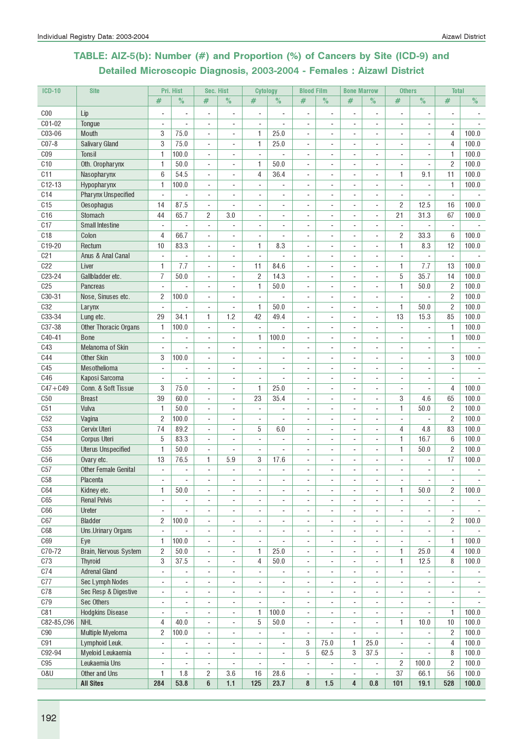### TABLE: AIZ-5(b): Number (#) and Proportion (%) of Cancers by Site (ICD-9) and Detailed Microscopic Diagnosis, 2003-2004 - Females : Aizawl District

| <b>ICD-10</b>   | <b>Site</b>                  |                               | Pri. Hist                | Sec. Hist                                            |                                 | <b>Cytology</b>          |                              | <b>Blood Film</b>        |                          | <b>Bone Marrow</b>       |                                            | <b>Others</b>            |                              | <b>Total</b>             |               |
|-----------------|------------------------------|-------------------------------|--------------------------|------------------------------------------------------|---------------------------------|--------------------------|------------------------------|--------------------------|--------------------------|--------------------------|--------------------------------------------|--------------------------|------------------------------|--------------------------|---------------|
|                 |                              | #                             | $\%$                     | #                                                    | $\frac{0}{2}$                   | $\#$                     | $\%$                         | #                        | $\%$                     | #                        | $\%$                                       | #                        | $\frac{1}{2}$                | #                        | $\frac{1}{2}$ |
| C <sub>00</sub> | Lip                          |                               | $\overline{\phantom{a}}$ | $\overline{a}$                                       | $\overline{a}$                  | $\overline{\phantom{a}}$ |                              | $\overline{\phantom{a}}$ | $\overline{\phantom{a}}$ | $\overline{\phantom{a}}$ | $\overline{\phantom{a}}$                   | $\overline{a}$           | $\overline{\phantom{m}}$     | -                        |               |
| C01-02          | Tongue                       |                               |                          | ÷,                                                   | ä,                              | $\sim$                   |                              | $\sim$                   |                          |                          | ÷,                                         | $\overline{\phantom{a}}$ | ä,                           | $\overline{\phantom{a}}$ |               |
| C03-06          | <b>Mouth</b>                 | 3                             | 75.0                     | $\overline{\phantom{a}}$                             | ٠                               | 1                        | 25.0                         | $\sim$                   |                          | ٠                        | $\overline{a}$                             | $\overline{\phantom{a}}$ | $\overline{a}$               | 4                        | 100.0         |
| $C07-8$         | <b>Salivary Gland</b>        | 3                             | 75.0                     | $\overline{\phantom{a}}$                             | ä,                              | 1                        | 25.0                         |                          |                          |                          | $\blacksquare$                             | ÷                        |                              | 4                        | 100.0         |
| C <sub>09</sub> | Tonsil                       | 1                             | 100.0                    | ÷,                                                   |                                 | $\blacksquare$           |                              |                          |                          |                          |                                            |                          |                              | 1                        | 100.0         |
| C10             | Oth. Oropharynx              | 1                             | 50.0                     | $\overline{\phantom{a}}$                             | ÷,                              | 1                        | 50.0                         |                          |                          |                          | $\overline{a}$                             | ٠                        | ٠                            | $\overline{2}$           | 100.0         |
| C11             | Nasopharynx                  | 6                             | 54.5                     | $\sim$                                               | ÷.                              | $\overline{4}$           | 36.4                         | $\overline{a}$           |                          | ÷                        | $\blacksquare$                             | 1                        | 9.1                          | 11                       | 100.0         |
| $C12-13$        | Hypopharynx                  | 1                             | 100.0                    | $\blacksquare$                                       | ÷.                              | $\sim$                   |                              |                          |                          |                          | ÷,                                         | $\blacksquare$           | ä,                           | 1                        | 100.0         |
| C14             | <b>Pharynx Unspecified</b>   | $\overline{\phantom{a}}$      |                          | ÷,                                                   | ä,                              |                          |                              |                          |                          |                          | ÷,                                         | $\sim$                   |                              |                          |               |
| C <sub>15</sub> | Oesophagus                   | 14                            | 87.5                     |                                                      |                                 |                          |                              |                          |                          |                          |                                            | 2                        | 12.5                         | 16                       | 100.0         |
| C16             | Stomach                      | 44                            | 65.7                     | $\overline{a}$<br>$\overline{c}$                     | $\overline{\phantom{a}}$<br>3.0 |                          |                              |                          |                          |                          | $\overline{a}$<br>÷,                       | 21                       | 31.3                         | 67                       | 100.0         |
| C17             | <b>Small Intestine</b>       | $\overline{\phantom{a}}$      |                          | $\overline{\phantom{a}}$                             | $\overline{a}$                  | $\sim$                   |                              |                          |                          |                          | ÷,                                         | $\sim$                   |                              | $\sim$                   |               |
| C <sub>18</sub> | Colon                        | 4                             | 66.7                     | $\blacksquare$                                       | L,                              | ÷,                       |                              |                          |                          |                          | ÷,                                         | 2                        | 33.3                         | 6                        | 100.0         |
| C19-20          | Rectum                       | 10                            | 83.3                     | $\overline{\phantom{a}}$                             | $\overline{\phantom{0}}$        | 1                        | 8.3                          |                          |                          |                          | ÷,                                         | 1                        | 8.3                          | 12                       | 100.0         |
| C <sub>21</sub> | Anus & Anal Canal            | $\blacksquare$                | ÷,                       |                                                      | $\overline{\phantom{0}}$        | $\overline{\phantom{a}}$ | ÷,                           | $\sim$                   | $\blacksquare$           | ٠                        |                                            | $\overline{\phantom{a}}$ | $\overline{a}$               | $\overline{\phantom{a}}$ |               |
| C22             | Liver                        | 1                             | 7.7                      | $\overline{\phantom{a}}$<br>$\overline{\phantom{a}}$ | $\overline{\phantom{a}}$        | 11                       | 84.6                         | $\blacksquare$           | $\sim$                   | $\sim$                   | $\overline{\phantom{a}}$<br>$\blacksquare$ | 1                        | 7.7                          | 13                       | 100.0         |
| C23-24          | Gallbladder etc.             | 7                             | 50.0                     | ÷,                                                   | ä,                              | $\sqrt{2}$               | 14.3                         | $\blacksquare$           |                          |                          | $\overline{\phantom{a}}$                   | 5                        | 35.7                         | 14                       | 100.0         |
| C <sub>25</sub> | <b>Pancreas</b>              |                               |                          |                                                      |                                 | 1                        | 50.0                         |                          |                          |                          |                                            | 1                        | 50.0                         | $\overline{c}$           | 100.0         |
| C30-31          | Nose, Sinuses etc.           | $\overline{\phantom{a}}$<br>2 | 100.0                    | $\overline{a}$<br>÷,                                 | ÷,<br>ä,                        | $\overline{\phantom{a}}$ |                              |                          |                          |                          | $\overline{a}$<br>$\overline{a}$           | $\overline{\phantom{a}}$ |                              | $\overline{c}$           | 100.0         |
| C <sub>32</sub> | Larynx                       | $\overline{\phantom{a}}$      |                          | ÷,                                                   | ä,                              | $\mathbf{1}$             | 50.0                         |                          |                          |                          | $\overline{\phantom{a}}$                   | 1                        | 50.0                         | $\overline{c}$           | 100.0         |
| C33-34          | Lung etc.                    | 29                            | 34.1                     | 1                                                    | 1.2                             | 42                       | 49.4                         |                          |                          |                          | $\overline{\phantom{a}}$                   | 13                       | 15.3                         | 85                       | 100.0         |
| C37-38          | <b>Other Thoracic Organs</b> | 1                             | 100.0                    | $\overline{\phantom{a}}$                             | ä,                              | ×.                       | ÷.                           | $\overline{a}$           |                          |                          | $\overline{\phantom{a}}$                   | $\overline{\phantom{a}}$ | ä,                           | 1                        | 100.0         |
| C40-41          | <b>Bone</b>                  | $\overline{\phantom{a}}$      | ä,                       | $\sim$                                               | ä,                              | 1                        | 100.0                        |                          |                          |                          | ÷.                                         | ÷.                       | ä,                           | $\mathbf{1}$             | 100.0         |
| C43             | Melanoma of Skin             | $\blacksquare$                |                          | ÷,                                                   | ä,                              | ÷,                       |                              |                          |                          |                          | ÷,                                         | $\overline{\phantom{a}}$ | ä,                           | $\blacksquare$           |               |
| <b>C44</b>      | Other Skin                   | 3                             | 100.0                    | $\overline{a}$                                       | $\overline{a}$                  | $\overline{\phantom{a}}$ |                              |                          |                          |                          | $\overline{a}$                             | $\overline{\phantom{a}}$ |                              | 3                        | 100.0         |
| C45             | Mesothelioma                 | $\blacksquare$                |                          | $\blacksquare$                                       | ÷                               | ×.                       | ÷.                           | $\overline{a}$           |                          | $\sim$                   | $\overline{\phantom{a}}$                   | ÷.                       | ÷                            |                          |               |
| <b>C46</b>      | Kaposi Sarcoma               | $\blacksquare$                |                          | ÷,                                                   | L,                              | ä,                       |                              |                          |                          |                          | ÷,                                         |                          |                              |                          |               |
| $C47 + C49$     | Conn. & Soft Tissue          | 3                             | 75.0                     | $\overline{\phantom{a}}$                             | ÷.                              | 1                        | 25.0                         | $\overline{a}$           |                          |                          | $\overline{\phantom{a}}$                   | $\blacksquare$           | ÷,                           | 4                        | 100.0         |
| C50             | <b>Breast</b>                | 39                            | 60.0                     | $\overline{\phantom{a}}$                             | ÷,                              | 23                       | 35.4                         | $\sim$                   |                          |                          | $\overline{a}$                             | 3                        | 4.6                          | 65                       | 100.0         |
| C <sub>51</sub> | Vulva                        | 1                             | 50.0                     | $\overline{\phantom{a}}$                             | ٠                               | $\blacksquare$           | ÷,                           | $\mathbf{r}$             | $\sim$                   | $\blacksquare$           | $\overline{\phantom{a}}$                   | 1                        | 50.0                         | $\overline{2}$           | 100.0         |
| C52             | Vagina                       | $\overline{c}$                | 100.0                    | $\overline{\phantom{a}}$                             | $\overline{\phantom{a}}$        | $\blacksquare$           | ÷,                           | $\blacksquare$           | ÷.                       | ÷                        | $\blacksquare$                             | $\blacksquare$           | ÷,                           | 2                        | 100.0         |
| C53             | Cervix Uteri                 | 74                            | 89.2                     | $\blacksquare$                                       | ä,                              | 5                        | 6.0                          | ä,                       |                          |                          | $\overline{\phantom{a}}$                   | 4                        | 4.8                          | 83                       | 100.0         |
| C54             | Corpus Uteri                 | 5                             | 83.3                     | $\overline{\phantom{a}}$                             | $\qquad \qquad \blacksquare$    | $\overline{\phantom{a}}$ |                              |                          |                          |                          | $\overline{\phantom{a}}$                   | 1                        | 16.7                         | 6                        | 100.0         |
| C55             | <b>Uterus Unspecified</b>    | 1                             | 50.0                     | $\overline{a}$                                       | ٠                               |                          |                              |                          |                          |                          |                                            | 1                        | 50.0                         | $\overline{c}$           | 100.0         |
| C56             | Ovary etc.                   | 13                            | 76.5                     | 1                                                    | 5.9                             | 3                        | 17.6                         |                          |                          |                          |                                            |                          |                              | 17                       | 100.0         |
| C57             | <b>Other Female Genital</b>  | $\mathbf{r}$                  | ä,                       | $\overline{\phantom{a}}$                             | ÷.                              | $\mathbf{r}$             | ä,                           |                          |                          |                          |                                            |                          |                              | $\bar{\phantom{a}}$      |               |
| C58             | Placenta                     | $\overline{\phantom{a}}$      |                          | $\overline{\phantom{a}}$                             | $\overline{\phantom{0}}$        |                          |                              |                          |                          |                          | $\overline{\phantom{a}}$                   | $\overline{\phantom{a}}$ | ۰                            | $\overline{\phantom{a}}$ |               |
| <b>C64</b>      | Kidney etc.                  | 1                             | 50.0                     | $\overline{\phantom{a}}$                             | ä,                              |                          |                              |                          |                          | ä,                       | $\overline{\phantom{a}}$                   | 1                        | 50.0                         | $\overline{c}$           | 100.0         |
| C65             | <b>Renal Pelvis</b>          | $\blacksquare$                |                          | $\overline{a}$                                       | ÷,                              | $\sim$                   |                              | $\sim$                   |                          | $\sim$                   | $\overline{a}$                             | $\blacksquare$           | ÷,                           | $\blacksquare$           |               |
| C66             | Ureter                       | $\blacksquare$                |                          | ÷,                                                   | ä,                              | $\overline{\phantom{a}}$ |                              | $\sim$                   |                          | ä,                       | $\overline{\phantom{a}}$                   | $\blacksquare$           |                              |                          |               |
| C67             | <b>Bladder</b>               | $\overline{c}$                | 100.0                    | ÷,                                                   | ÷,                              | $\blacksquare$           |                              |                          |                          | ٠                        |                                            | ÷,                       |                              | $\overline{c}$           | 100.0         |
| C68             | Uns.Urinary Organs           | ÷,                            |                          | $\overline{\phantom{a}}$                             | ÷,                              | $\blacksquare$           |                              |                          |                          |                          | ÷,                                         | ÷,                       |                              |                          |               |
| C69             | Eye                          | 1                             | 100.0                    | $\overline{\phantom{a}}$                             | ÷,                              | ÷,                       |                              |                          |                          |                          | ÷,                                         | $\overline{\phantom{a}}$ |                              | 1                        | 100.0         |
| C70-72          | Brain, Nervous System        | 2                             | 50.0                     | $\overline{\phantom{a}}$                             | $\overline{\phantom{a}}$        | 1                        | 25.0                         | $\overline{\phantom{a}}$ | $\blacksquare$           | ٠                        | $\overline{\phantom{a}}$                   | 1                        | 25.0                         | 4                        | 100.0         |
| C73             | Thyroid                      | 3                             | 37.5                     | $\overline{\phantom{a}}$                             | ٠                               | 4                        | 50.0                         | $\blacksquare$           | ÷                        | $\sim$                   | $\overline{\phantom{a}}$                   | $\mathbf{1}$             | 12.5                         | 8                        | 100.0         |
| C74             | <b>Adrenal Gland</b>         | $\overline{\phantom{a}}$      | ÷,                       | $\overline{\phantom{a}}$                             | $\overline{\phantom{a}}$        | $\mathbf{r}$             | ÷,                           | $\blacksquare$           | $\overline{a}$           | $\overline{\phantom{a}}$ | $\blacksquare$                             | $\blacksquare$           | ÷,                           | $\overline{\phantom{a}}$ | $\sim$        |
| C77             | Sec Lymph Nodes              | $\overline{\phantom{0}}$      | ÷,                       | ÷,                                                   | ä,                              | $\blacksquare$           | ä,                           | ä,                       |                          | ä,                       | $\overline{\phantom{a}}$                   | ÷.                       | ä,                           | $\overline{\phantom{0}}$ |               |
| C78             | Sec Resp & Digestive         | $\overline{\phantom{0}}$      | $\overline{a}$           | $\overline{\phantom{a}}$                             | $\overline{\phantom{a}}$        | $\overline{\phantom{a}}$ | $\qquad \qquad \blacksquare$ | $\overline{\phantom{a}}$ |                          | $\overline{\phantom{a}}$ | $\overline{\phantom{a}}$                   | ۰                        | $\qquad \qquad \blacksquare$ | ۰                        |               |
| C79             | Sec Others                   | $\overline{\phantom{m}}$      |                          | $\overline{\phantom{a}}$                             | $\overline{\phantom{0}}$        | $\overline{\phantom{a}}$ |                              | $\blacksquare$           |                          | ٠                        | $\overline{a}$                             | $\overline{\phantom{a}}$ | ٠                            | $\overline{\phantom{a}}$ |               |
| C81             | <b>Hodgkins Disease</b>      | $\blacksquare$                |                          | $\blacksquare$                                       | $\blacksquare$                  | 1                        | 100.0                        |                          |                          |                          | $\blacksquare$                             | ÷,                       | ÷,                           | $\mathbf{1}$             | 100.0         |
| C82-85, C96     | <b>NHL</b>                   | 4                             | 40.0                     | $\blacksquare$                                       | ÷.                              | $\overline{5}$           | $50.0\,$                     | $\overline{\phantom{a}}$ | ä,                       | ÷,                       | $\overline{\phantom{a}}$                   | 1                        | 10.0                         | 10                       | 100.0         |
| C90             | Multiple Myeloma             | 2                             | 100.0                    | $\overline{a}$                                       | ÷,                              | $\overline{\phantom{a}}$ |                              | $\sim$                   |                          | $\overline{\phantom{a}}$ |                                            | $\overline{\phantom{a}}$ | ÷,                           | $\overline{c}$           | 100.0         |
| C91             | Lymphoid Leuk.               | $\overline{\phantom{a}}$      | $\overline{\phantom{a}}$ | $\overline{a}$                                       | $\overline{\phantom{0}}$        | $\overline{\phantom{a}}$ |                              | 3                        | 75.0                     | 1                        | 25.0                                       | $\overline{\phantom{a}}$ |                              | $\overline{4}$           | 100.0         |
| C92-94          | Myeloid Leukaemia            | $\overline{\phantom{a}}$      | ÷,                       | $\overline{\phantom{a}}$                             | $\blacksquare$                  | $\blacksquare$           |                              | 5                        | 62.5                     | 3                        | 37.5                                       | $\blacksquare$           |                              | 8                        | 100.0         |
| C95             | Leukaemia Uns                | $\blacksquare$                |                          | ÷,                                                   |                                 | $\blacksquare$           |                              | $\blacksquare$           | L.                       | $\blacksquare$           |                                            | $\overline{c}$           | 100.0                        | $\overline{c}$           | 100.0         |
| 0&U             | Other and Uns                | 1                             | 1.8                      | $\overline{c}$                                       | 3.6                             | 16                       | 28.6                         | $\overline{\phantom{a}}$ |                          | ÷,                       |                                            | 37                       | 66.1                         | 56                       | 100.0         |
|                 | <b>All Sites</b>             | 284                           | 53.8                     | 6                                                    | $1.1$                           | 125                      | 23.7                         | 8                        | 1.5                      | $\overline{4}$           | 0.8                                        | 101                      | 19.1                         | 528                      | 100.0         |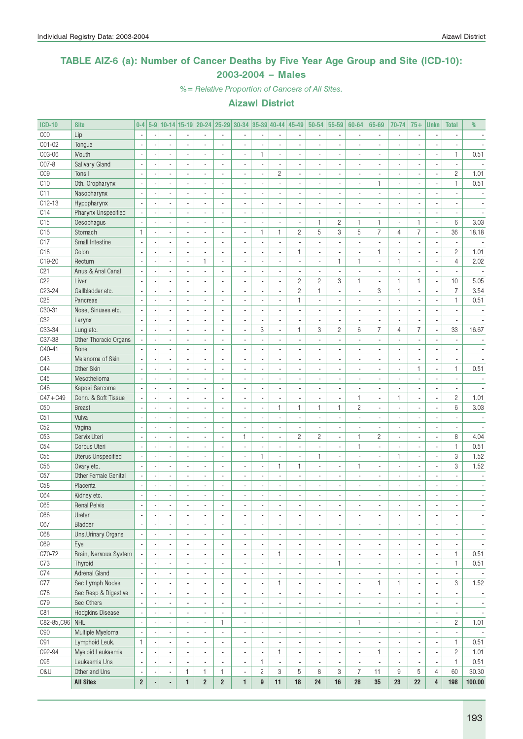### TABLE AIZ-6 (a): Number of Cancer Deaths by Five Year Age Group and Site (ICD-10): 2003-2004 – Males

%= Relative Proportion of Cancers of All Sites.

| <b>ICD-10</b>   | <b>Site</b>                         | $0-4$                                               |                          |                                                      |                          |                                                      |                               | 5-9 10-14 15-19 20-24 25-29 30-34 35-39 40-44 |                          |                                                      | 45-49                                                | $50 - 54$                                                | 55-59                                                | 60-64                                                | 65-69                          | 70-74                                                | $75+$                                      | <b>Unkn</b>                                | <b>Total</b>                             | %                        |
|-----------------|-------------------------------------|-----------------------------------------------------|--------------------------|------------------------------------------------------|--------------------------|------------------------------------------------------|-------------------------------|-----------------------------------------------|--------------------------|------------------------------------------------------|------------------------------------------------------|----------------------------------------------------------|------------------------------------------------------|------------------------------------------------------|--------------------------------|------------------------------------------------------|--------------------------------------------|--------------------------------------------|------------------------------------------|--------------------------|
| C <sub>00</sub> | Lip                                 |                                                     |                          |                                                      |                          |                                                      |                               |                                               |                          |                                                      |                                                      |                                                          | $\blacksquare$                                       |                                                      |                                | $\blacksquare$                                       |                                            |                                            |                                          |                          |
| CO1-02          | Tongue                              | $\sim$                                              |                          | ä,                                                   |                          | ä,                                                   | ÷,                            | ä,                                            | ÷,                       | ÷,                                                   |                                                      |                                                          | ÷,                                                   | ä,                                                   | $\overline{a}$                 | $\overline{\phantom{a}}$                             |                                            | $\overline{a}$                             | ÷.                                       |                          |
| C03-06          | Mouth                               | $\overline{\phantom{a}}$                            |                          | $\blacksquare$                                       | $\overline{\phantom{a}}$ | ä,                                                   | $\overline{\phantom{a}}$      | $\blacksquare$                                | $\mathbf{1}$             | $\blacksquare$                                       | $\blacksquare$                                       | ٠                                                        | $\overline{\phantom{a}}$                             | $\overline{\phantom{a}}$                             | $\overline{a}$                 | $\overline{\phantom{a}}$                             | $\overline{a}$                             | $\blacksquare$                             | $\mathbf{1}$                             | 0.51                     |
| C07-8           | Salivary Gland                      |                                                     |                          | $\overline{\phantom{a}}$                             |                          |                                                      | $\blacksquare$                | $\overline{\phantom{a}}$                      | ä,                       | $\overline{\phantom{a}}$                             | $\overline{a}$                                       |                                                          | $\overline{\phantom{a}}$                             | $\blacksquare$                                       |                                | $\blacksquare$                                       |                                            |                                            | $\blacksquare$                           |                          |
| C <sub>09</sub> | Tonsil                              | $\sim$                                              |                          | ÷,                                                   |                          |                                                      |                               | $\overline{\phantom{a}}$                      |                          | $\mathbf{2}$                                         |                                                      |                                                          | $\mathbf{r}$                                         |                                                      |                                | $\overline{a}$                                       |                                            | $\overline{a}$                             | $\mathbf{2}$                             | 1.01                     |
| C <sub>10</sub> | Oth. Oropharynx                     | $\overline{\phantom{a}}$                            |                          | $\sim$                                               |                          | ÷.                                                   | $\overline{a}$                | $\overline{\phantom{a}}$                      | ÷,                       | ÷,                                                   | $\overline{a}$                                       |                                                          | $\overline{\phantom{a}}$                             | $\overline{\phantom{a}}$                             | $\mathbf{1}$                   | $\sim$                                               | $\overline{a}$                             | $\overline{a}$                             | $\mathbf{1}$                             | 0.51                     |
| C11             | Nasopharynx                         |                                                     |                          |                                                      |                          |                                                      | $\blacksquare$                |                                               |                          | ä,                                                   |                                                      |                                                          | ä,                                                   |                                                      |                                | $\blacksquare$                                       |                                            |                                            |                                          |                          |
| C12-13          | Hypopharynx                         |                                                     |                          |                                                      |                          | ÷,                                                   | $\overline{a}$                | ÷,                                            | ÷,                       | $\blacksquare$                                       |                                                      |                                                          | ÷,                                                   |                                                      |                                | $\overline{a}$                                       |                                            | $\overline{a}$                             |                                          |                          |
| C14             | Pharynx Unspecified                 | ÷,                                                  |                          | $\blacksquare$                                       | $\overline{a}$           | $\overline{\phantom{a}}$                             | $\overline{a}$                | $\overline{\phantom{a}}$                      | $\blacksquare$           | $\blacksquare$                                       | $\blacksquare$                                       | ٠                                                        | $\overline{\phantom{a}}$                             | $\overline{\phantom{a}}$                             | $\overline{\phantom{a}}$       | $\overline{\phantom{a}}$                             | $\overline{a}$                             | $\overline{\phantom{a}}$                   | $\blacksquare$                           | $\blacksquare$           |
| C15             | Oesophagus                          | $\sim$                                              |                          | $\overline{\phantom{a}}$                             |                          | ÷,                                                   | $\overline{a}$                | $\overline{\phantom{a}}$                      | ä,                       | $\blacksquare$                                       | ä,                                                   | $\mathbf{1}$                                             | $\overline{c}$                                       | 1                                                    | $\mathbf{1}$                   | $\blacksquare$                                       | 1                                          | $\blacksquare$                             | 6                                        | 3.03                     |
| C <sub>16</sub> | Stomach                             | $\mathbf{1}$                                        |                          | ä,                                                   |                          |                                                      |                               | $\overline{\phantom{a}}$                      | $\mathbf{1}$             | $\mathbf{1}$                                         | $\overline{c}$                                       | 5                                                        | 3                                                    | 5                                                    | $\overline{7}$                 | 4                                                    | $\overline{7}$                             | ÷                                          | 36                                       | 18.18                    |
| C17             | Small Intestine                     |                                                     |                          | $\overline{\phantom{a}}$                             |                          | ÷.                                                   |                               | $\overline{\phantom{a}}$                      | ÷,                       | $\blacksquare$                                       | ä,                                                   | ÷.                                                       | $\overline{\phantom{a}}$                             | $\overline{\phantom{a}}$                             | $\overline{a}$                 | $\overline{\phantom{a}}$                             |                                            | $\overline{a}$                             | $\overline{\phantom{a}}$                 |                          |
| C <sub>18</sub> | Colon                               |                                                     |                          | $\overline{a}$                                       |                          | ÷.                                                   | $\overline{a}$                | $\overline{a}$                                | ٠                        | ä,                                                   | 1                                                    |                                                          | $\overline{\phantom{a}}$                             |                                                      | $\mathbf{1}$                   | $\overline{a}$                                       |                                            | ÷,                                         | $\overline{c}$                           | 1.01                     |
| C19-20          | Rectum                              |                                                     |                          | $\blacksquare$                                       |                          | 1                                                    | $\blacksquare$                |                                               |                          |                                                      |                                                      |                                                          | $\mathbf{1}$                                         | $\mathbf{1}$                                         | $\overline{a}$                 | $\mathbf{1}$                                         |                                            | ÷                                          | $\overline{4}$                           | 2.02                     |
| C <sub>21</sub> |                                     | $\overline{\phantom{a}}$                            |                          | $\mathbf{r}$                                         |                          | $\overline{a}$                                       | ÷.                            | $\overline{\phantom{a}}$                      | ÷,                       | $\overline{\phantom{a}}$<br>÷,                       | $\overline{a}$                                       | ÷,                                                       | $\overline{\phantom{a}}$                             | $\overline{\phantom{a}}$                             | $\overline{a}$                 | $\sim$                                               |                                            | $\overline{a}$                             | $\mathbf{r}$                             | $\overline{\phantom{a}}$ |
|                 | Anus & Anal Canal                   |                                                     |                          |                                                      |                          |                                                      |                               |                                               |                          |                                                      |                                                      |                                                          |                                                      |                                                      |                                |                                                      |                                            |                                            |                                          |                          |
| C22             | Liver                               | $\overline{\phantom{a}}$                            |                          | $\blacksquare$                                       | $\overline{a}$           | $\overline{\phantom{a}}$                             | $\overline{\phantom{a}}$      | $\overline{\phantom{a}}$                      | $\blacksquare$           | ÷.                                                   | $\overline{c}$                                       | $\overline{c}$                                           | 3                                                    | $\mathbf{1}$                                         | $\overline{\phantom{a}}$       | $\mathbf{1}$                                         | 1                                          | $\overline{a}$                             | 10                                       | 5.05                     |
| C23-24          | Gallbladder etc.                    |                                                     |                          | ٠                                                    |                          |                                                      | ä,                            | $\overline{\phantom{a}}$                      | ä,                       | $\blacksquare$                                       | $\overline{c}$                                       | 1                                                        | $\overline{\phantom{a}}$                             | $\overline{\phantom{a}}$                             | 3                              | $\mathbf{1}$                                         | $\overline{\phantom{a}}$                   | $\overline{\phantom{a}}$                   | $\boldsymbol{7}$                         | 3.54                     |
| C25             | Pancreas                            |                                                     |                          | ÷,                                                   |                          |                                                      |                               | $\overline{\phantom{a}}$                      | ÷,                       | ÷,                                                   | $\mathbf{1}$                                         |                                                          | ÷,                                                   |                                                      |                                | $\overline{a}$                                       |                                            | $\overline{a}$                             | $\mathbf{1}$                             | 0.51                     |
| C30-31          | Nose, Sinuses etc.                  |                                                     |                          | $\overline{\phantom{a}}$                             |                          | ÷.                                                   | $\overline{\phantom{a}}$      | $\blacksquare$                                | ä,                       | $\overline{\phantom{a}}$                             | $\overline{\phantom{a}}$                             | ٠                                                        | $\blacksquare$                                       | $\blacksquare$                                       | $\overline{a}$                 | $\blacksquare$                                       |                                            | ä,                                         | $\overline{\phantom{a}}$                 | $\overline{\phantom{a}}$ |
| C <sub>32</sub> | Larynx                              |                                                     |                          | $\overline{\phantom{a}}$                             |                          |                                                      | ÷,                            | ÷,                                            | ÷,                       | ä,                                                   |                                                      |                                                          | ä,                                                   | $\overline{\phantom{a}}$                             |                                | $\overline{a}$                                       |                                            | $\overline{a}$                             |                                          |                          |
| C33-34          | Lung etc.                           |                                                     |                          |                                                      |                          |                                                      | $\overline{\phantom{a}}$      |                                               | 3                        | $\blacksquare$                                       | 1                                                    | 3                                                        | $\overline{c}$                                       | 6                                                    | $\overline{7}$                 | 4                                                    | $\overline{7}$                             | ÷,                                         | 33                                       | 16.67                    |
| C37-38          | Other Thoracic Organs               | $\overline{\phantom{a}}$                            |                          | ä,                                                   |                          | ä,                                                   | $\overline{\phantom{a}}$      | $\overline{\phantom{a}}$                      | ÷,                       | ä,                                                   |                                                      |                                                          | ÷,                                                   |                                                      |                                | $\overline{\phantom{a}}$                             |                                            | $\overline{a}$                             |                                          |                          |
| C40-41          | Bone                                | $\overline{\phantom{a}}$                            |                          | $\sim$                                               | $\overline{\phantom{a}}$ | ÷.                                                   | ÷.                            | $\overline{\phantom{a}}$                      | $\overline{a}$           | $\blacksquare$                                       | $\overline{a}$                                       | $\overline{a}$                                           | $\overline{\phantom{a}}$                             | $\overline{a}$                                       | $\overline{a}$                 | $\overline{\phantom{a}}$                             | $\overline{a}$                             | ä,                                         | $\sim$                                   |                          |
| C43             | Melanoma of Skin                    | ÷,                                                  |                          | ä,                                                   |                          |                                                      | ä,                            | $\blacksquare$                                | ÷,                       | $\overline{\phantom{a}}$                             | $\overline{a}$                                       |                                                          | $\overline{\phantom{a}}$                             | $\blacksquare$                                       |                                | $\blacksquare$                                       |                                            | $\overline{\phantom{a}}$                   | $\overline{\phantom{a}}$                 |                          |
| C44             | Other Skin                          | $\sim$                                              |                          | ÷,                                                   |                          |                                                      |                               | $\overline{a}$                                |                          | ä,                                                   |                                                      |                                                          | ÷,                                                   |                                                      |                                | $\overline{\phantom{a}}$                             | $\mathbf{1}$                               | $\overline{a}$                             | $\mathbf{1}$                             | 0.51                     |
| C45             | Mesothelioma                        | $\overline{\phantom{a}}$                            |                          | $\overline{\phantom{a}}$                             |                          | ÷.                                                   | $\sim$                        | $\blacksquare$                                | ÷,                       | ä,                                                   | $\overline{a}$                                       |                                                          | $\overline{\phantom{a}}$                             | $\overline{\phantom{a}}$                             | $\overline{a}$                 | $\overline{\phantom{a}}$                             | $\overline{a}$                             | ä,                                         | $\blacksquare$                           |                          |
| C46             | Kaposi Sarcoma                      |                                                     |                          |                                                      |                          |                                                      |                               |                                               |                          | $\blacksquare$                                       |                                                      |                                                          | $\overline{a}$                                       |                                                      |                                | $\blacksquare$                                       |                                            | ä,                                         |                                          |                          |
| $C47 + C49$     | Conn. & Soft Tissue                 |                                                     |                          | ÷,                                                   |                          | $\overline{a}$                                       | ÷,                            | ÷,                                            | ÷,                       | $\overline{\phantom{a}}$                             | ÷,                                                   |                                                          | ÷,                                                   | $\mathbf{1}$                                         | ÷,                             | $\mathbf{1}$                                         | ÷,                                         | ä,                                         | $\overline{2}$                           | 1.01                     |
| C50             | <b>Breast</b>                       |                                                     |                          | $\overline{\phantom{a}}$                             |                          | ä,                                                   | $\overline{\phantom{a}}$      | $\overline{\phantom{a}}$                      | ä,                       | 1                                                    | 1                                                    | $\mathbf{1}$                                             | 1                                                    | $\mathbf{2}$                                         | ä,                             | $\blacksquare$                                       |                                            | $\blacksquare$                             | 6                                        | 3.03                     |
| C51             | Vulva                               | $\overline{\phantom{a}}$                            |                          | $\overline{\phantom{a}}$                             |                          | ä,                                                   | $\overline{a}$                | $\overline{\phantom{a}}$                      | ä,                       | $\blacksquare$                                       | ä,                                                   | $\overline{\phantom{a}}$                                 | $\overline{\phantom{a}}$                             | $\overline{\phantom{a}}$                             | ä,                             | $\overline{\phantom{a}}$                             | $\overline{a}$                             | $\blacksquare$                             | ä,                                       |                          |
| C52             | Vagina                              |                                                     |                          | $\overline{\phantom{a}}$                             |                          |                                                      | ٠                             | ×,                                            |                          | $\overline{\phantom{a}}$                             |                                                      |                                                          | ×,                                                   |                                                      |                                | $\blacksquare$                                       |                                            |                                            |                                          |                          |
| C <sub>53</sub> | Cervix Uteri                        | $\overline{\phantom{a}}$                            |                          | $\overline{\phantom{a}}$                             |                          | ä,                                                   | ä,                            | $\mathbf{1}$                                  | ä,                       | $\overline{\phantom{a}}$                             | $\overline{c}$                                       | $\overline{c}$                                           | $\blacksquare$                                       | $\mathbf{1}$                                         | $\overline{c}$                 | $\blacksquare$                                       |                                            | Ĭ.                                         | 8                                        | 4.04                     |
| C54             | Corpus Uteri                        |                                                     |                          | $\overline{\phantom{a}}$                             |                          | ÷,                                                   | $\overline{a}$                | ä,                                            | ÷,                       | $\overline{\phantom{a}}$                             | $\overline{a}$                                       | ÷.                                                       | $\blacksquare$                                       | $\mathbf{1}$                                         | $\overline{a}$                 | $\overline{a}$                                       | $\overline{a}$                             | $\blacksquare$                             | $\mathbf{1}$                             | 0.51                     |
| C55             | <b>Uterus Unspecified</b>           |                                                     |                          |                                                      |                          |                                                      | ×,                            |                                               | $\mathbf{1}$             | $\blacksquare$                                       |                                                      | $\mathbf{1}$                                             | $\overline{\phantom{a}}$                             |                                                      |                                | $\mathbf{1}$                                         |                                            | ×,                                         | 3                                        | 1.52                     |
| C <sub>56</sub> | Ovary etc.                          | $\sim$                                              |                          | ÷.                                                   |                          | ÷,                                                   | ÷,                            | ä,                                            | ÷,                       | $\mathbf{1}$                                         | $\mathbf{1}$                                         | ä,                                                       | $\overline{a}$                                       | $\mathbf{1}$                                         | $\overline{a}$                 | $\overline{\phantom{a}}$                             |                                            | ÷,                                         | 3                                        | 1.52                     |
| C57             | Other Female Genital                | $\overline{\phantom{a}}$                            |                          | $\overline{\phantom{a}}$                             | $\overline{\phantom{a}}$ | ä,                                                   | $\overline{a}$                | $\overline{\phantom{a}}$                      | $\blacksquare$           | $\blacksquare$                                       | $\overline{a}$                                       | ٠                                                        | $\overline{\phantom{a}}$                             | $\blacksquare$                                       | $\overline{\phantom{a}}$       | $\overline{\phantom{a}}$                             | $\overline{a}$                             | $\blacksquare$                             | ÷.                                       | $\overline{a}$           |
| C <sub>58</sub> | Placenta                            | $\overline{\phantom{a}}$                            |                          | $\overline{\phantom{a}}$                             |                          | ä,                                                   | $\blacksquare$                | $\overline{\phantom{a}}$                      | ä,                       | $\overline{\phantom{a}}$                             | $\overline{\phantom{a}}$                             |                                                          | $\overline{\phantom{a}}$                             | $\blacksquare$                                       |                                | $\blacksquare$                                       | $\overline{\phantom{a}}$                   | ×,                                         | $\overline{\phantom{a}}$                 |                          |
| C64             | Kidney etc.                         |                                                     |                          | ÷,                                                   |                          |                                                      |                               | $\overline{a}$                                | ٠                        | ÷,                                                   |                                                      |                                                          | ä,                                                   |                                                      |                                | $\overline{\phantom{a}}$                             |                                            |                                            |                                          |                          |
| C65             | <b>Renal Pelvis</b>                 |                                                     |                          |                                                      |                          |                                                      |                               |                                               |                          | ÷,                                                   |                                                      |                                                          | ÷,                                                   |                                                      |                                |                                                      | $\overline{a}$                             |                                            |                                          |                          |
| C66             | Ureter                              | $\overline{\phantom{a}}$                            | $\overline{\phantom{a}}$ | $\sim$                                               | $\overline{\phantom{a}}$ | ۰                                                    | ۰                             | $\overline{\phantom{a}}$                      | $\overline{\phantom{a}}$ | $\overline{\phantom{a}}$                             |                                                      | ٠                                                        | $\overline{\phantom{a}}$                             | ٠                                                    | $\overline{\phantom{a}}$       | ٠                                                    |                                            | ٠                                          | ٠                                        |                          |
| C67             | Bladder                             | $\overline{\phantom{a}}$                            | $\overline{\phantom{a}}$ | $\overline{\phantom{a}}$                             |                          | $\overline{\phantom{a}}$                             | $\overline{\phantom{a}}$      | ×,                                            | ٠                        | $\overline{\phantom{a}}$                             | $\frac{1}{2}$                                        | $\qquad \qquad \blacksquare$                             | $\overline{\phantom{a}}$                             | $\overline{\phantom{a}}$                             | $\overline{\phantom{a}}$       | $\overline{\phantom{a}}$                             |                                            | $\overline{\phantom{a}}$                   | $\overline{\phantom{a}}$                 | $\overline{\phantom{a}}$ |
| C68             | Uns.Urinary Organs                  | $\overline{\phantom{a}}$                            |                          | $\overline{\phantom{a}}$                             | $\overline{\phantom{a}}$ | ä,                                                   | $\sim$                        | ä,                                            | ä,                       | $\blacksquare$                                       | $\overline{a}$                                       | $\overline{\phantom{a}}$                                 | $\overline{\phantom{a}}$                             | ÷,                                                   | ä,                             | $\overline{\phantom{a}}$                             |                                            | $\overline{a}$                             | $\overline{\phantom{a}}$                 | $\blacksquare$           |
| C69             | Eye                                 | $\sim$                                              | $\overline{a}$           | $\overline{\phantom{a}}$                             | $\blacksquare$           | $\overline{\phantom{a}}$                             | $\blacksquare$                | $\overline{\phantom{a}}$                      | $\blacksquare$           | $\blacksquare$                                       | $\blacksquare$                                       | $\overline{\phantom{a}}$                                 | $\overline{\phantom{a}}$                             | $\overline{\phantom{a}}$                             | $\overline{\phantom{a}}$       | $\overline{\phantom{a}}$                             | $\blacksquare$                             | $\overline{\phantom{a}}$                   | $\overline{\phantom{a}}$                 | $\overline{\phantom{a}}$ |
| C70-72          | Brain, Nervous System               | $\overline{\phantom{a}}$                            |                          | $\overline{\phantom{a}}$                             |                          | $\overline{\phantom{a}}$                             | $\overline{\phantom{a}}$      | $\overline{\phantom{a}}$                      | $\overline{\phantom{a}}$ | 1                                                    | $\overline{\phantom{a}}$                             | $\overline{\phantom{a}}$                                 | $\overline{\phantom{a}}$                             | $\overline{\phantom{a}}$                             | $\overline{\phantom{a}}$       | $\overline{\phantom{a}}$                             | $\overline{\phantom{a}}$                   | $\overline{\phantom{a}}$                   | $\mathbf{1}$                             | 0.51                     |
| C73             | Thyroid                             |                                                     |                          | ä,                                                   |                          | ä,                                                   | $\overline{\phantom{a}}$      | $\overline{\phantom{a}}$                      | ä,                       | $\blacksquare$                                       | $\overline{a}$                                       | ÷,                                                       | 1                                                    | $\overline{\phantom{a}}$                             | ä,                             | $\overline{\phantom{a}}$                             |                                            | $\overline{\phantom{a}}$                   | $\mathbf{1}$                             | 0.51                     |
| C74             | <b>Adrenal Gland</b>                | $\overline{\phantom{a}}$                            |                          | $\overline{\phantom{a}}$                             |                          | $\overline{\phantom{a}}$                             | $\blacksquare$                | $\overline{\phantom{a}}$                      | ä,                       | $\blacksquare$                                       | $\overline{a}$                                       | $\overline{\phantom{a}}$                                 | $\overline{\phantom{a}}$                             | $\overline{\phantom{a}}$                             | $\overline{a}$                 | $\blacksquare$                                       |                                            | $\overline{\phantom{a}}$                   | $\blacksquare$                           | $\sim$                   |
| C77             | Sec Lymph Nodes                     |                                                     |                          | $\overline{\phantom{a}}$                             |                          |                                                      | $\overline{\phantom{a}}$      | $\blacksquare$                                |                          | $\mathbf{1}$                                         |                                                      | ٠                                                        | $\overline{\phantom{a}}$                             |                                                      | $\mathbf{1}$                   | $\mathbf{1}$                                         |                                            | $\overline{\phantom{a}}$                   | 3                                        | 1.52                     |
| C78             | Sec Resp & Digestive                |                                                     |                          | $\overline{\phantom{a}}$                             |                          |                                                      | $\overline{\phantom{a}}$      | ×,                                            |                          | $\blacksquare$                                       |                                                      | $\qquad \qquad \blacksquare$                             | $\overline{\phantom{a}}$                             |                                                      | ٠                              | $\overline{\phantom{a}}$                             |                                            | ÷,                                         |                                          | $\overline{\phantom{a}}$ |
| C79             | Sec Others                          | $\overline{\phantom{a}}$                            |                          | $\blacksquare$                                       | $\blacksquare$           | ä,                                                   | $\overline{\phantom{a}}$      | $\blacksquare$                                | ä,                       | $\blacksquare$                                       |                                                      | $\blacksquare$                                           | $\overline{\phantom{a}}$                             | ÷,                                                   | ä,                             | $\overline{\phantom{a}}$                             |                                            | $\overline{a}$                             | $\blacksquare$                           | $\overline{\phantom{a}}$ |
| C81             | Hodgkins Disease                    | $\overline{\phantom{a}}$                            |                          | $\overline{\phantom{a}}$                             | $\blacksquare$           | $\overline{\phantom{a}}$                             | $\blacksquare$                | $\overline{\phantom{a}}$                      | ä,                       | $\blacksquare$                                       | $\blacksquare$                                       | $\overline{\phantom{a}}$                                 | $\overline{\phantom{a}}$                             | $\overline{\phantom{a}}$                             | $\overline{\phantom{a}}$       | $\overline{\phantom{a}}$                             | $\blacksquare$                             | $\blacksquare$                             | $\overline{\phantom{a}}$                 | $\overline{\phantom{a}}$ |
| C82-85, C96     | <b>NHL</b>                          | $\overline{\phantom{a}}$                            |                          |                                                      |                          |                                                      |                               |                                               |                          |                                                      |                                                      |                                                          |                                                      |                                                      |                                |                                                      |                                            |                                            | $\mathbf{2}$                             |                          |
| C90             | Multiple Myeloma                    |                                                     |                          | $\overline{\phantom{a}}$                             | $\overline{\phantom{a}}$ | $\overline{\phantom{a}}$                             | 1<br>$\overline{\phantom{a}}$ | $\overline{\phantom{a}}$                      | $\overline{\phantom{a}}$ | $\overline{\phantom{a}}$                             | $\overline{\phantom{a}}$                             | $\blacksquare$                                           | $\overline{\phantom{a}}$                             | 1                                                    | $\blacksquare$                 | $\overline{\phantom{a}}$                             | $\overline{\phantom{a}}$<br>$\blacksquare$ | $\overline{\phantom{a}}$                   |                                          | 1.01                     |
| C91             |                                     | $\mathbf{1}$                                        |                          | $\overline{\phantom{a}}$<br>$\overline{\phantom{a}}$ |                          | $\overline{\phantom{m}}$<br>$\overline{\phantom{a}}$ | $\overline{\phantom{a}}$      | $\overline{\phantom{a}}$<br>$\blacksquare$    | ٠<br>ä,                  | $\overline{\phantom{a}}$<br>$\overline{\phantom{a}}$ | $\overline{\phantom{a}}$<br>$\overline{\phantom{a}}$ | $\qquad \qquad \blacksquare$<br>$\overline{\phantom{a}}$ | $\overline{\phantom{a}}$<br>$\overline{\phantom{a}}$ | $\overline{\phantom{a}}$<br>$\overline{\phantom{a}}$ | $\overline{\phantom{a}}$<br>ä, | $\overline{\phantom{a}}$<br>$\overline{\phantom{a}}$ |                                            | $\overline{\phantom{a}}$<br>÷,             | $\overline{\phantom{a}}$<br>$\mathbf{1}$ | 0.51                     |
| C92-94          | Lymphoid Leuk.<br>Myeloid Leukaemia | ÷,                                                  |                          | $\blacksquare$                                       | $\overline{\phantom{a}}$ | ٠                                                    | $\overline{\phantom{a}}$      | $\overline{\phantom{a}}$                      | ä,                       | $\mathbf{1}$                                         | $\blacksquare$                                       | ٠                                                        | $\overline{\phantom{a}}$                             |                                                      | $\mathbf{1}$                   | $\overline{\phantom{a}}$                             | $\blacksquare$                             | $\overline{\phantom{a}}$                   | $\mathbf{2}$                             | 1.01                     |
| C95             | Leukaemia Uns                       |                                                     |                          | $\blacksquare$                                       |                          |                                                      | $\blacksquare$                |                                               | 1                        |                                                      |                                                      |                                                          |                                                      | $\overline{\phantom{a}}$                             |                                |                                                      |                                            |                                            | $\mathbf{1}$                             | 0.51                     |
| O&U             | Other and Uns                       | ×,                                                  |                          |                                                      | $\mathbf{1}$             | 1                                                    | $\mathbf{1}$                  | $\overline{\phantom{a}}$<br>$\blacksquare$    | $\overline{c}$           | $\overline{\phantom{a}}$<br>3                        | 5                                                    | 8                                                        | $\overline{\phantom{a}}$<br>3                        | $\overline{7}$                                       | 11                             | $\hbox{9}$                                           | 5                                          | $\overline{\phantom{a}}$<br>$\overline{4}$ | 60                                       | 30.30                    |
|                 | <b>All Sites</b>                    | $\overline{\phantom{a}}$<br>$\overline{\mathbf{c}}$ |                          | $\overline{\phantom{a}}$<br>÷                        | $\mathbf{1}$             | $\overline{\mathbf{c}}$                              | $\overline{\mathbf{2}}$       | 1                                             | $\boldsymbol{9}$         | 11                                                   | 18                                                   | 24                                                       | 16                                                   | ${\bf 28}$                                           | $35\,$                         | 23                                                   | 22                                         | $\overline{\mathbf{4}}$                    | 198                                      | 100.00                   |
|                 |                                     |                                                     |                          |                                                      |                          |                                                      |                               |                                               |                          |                                                      |                                                      |                                                          |                                                      |                                                      |                                |                                                      |                                            |                                            |                                          |                          |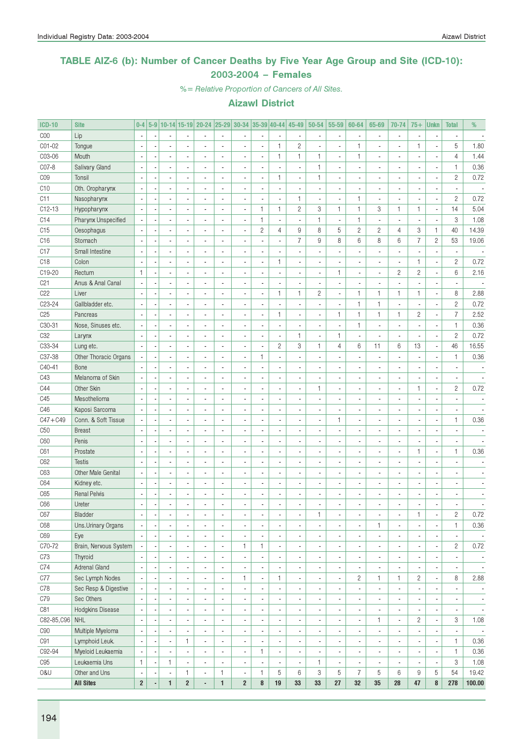#### TABLE AIZ-6 (b): Number of Cancer Deaths by Five Year Age Group and Site (ICD-10): 2003-2004 – Females

%= Relative Proportion of Cancers of All Sites.

| <b>ICD-10</b>   | <b>Site</b>           | $0 - 4$                  | $5-9$ |                          |                         | 10-14 15-19 20-24        | $ 25 - 29 $              | 30-34                    | $ 35-39 40-44 $ |                          | 45-49                    | 50-54                    | 55-59                    | 60-64                    | 65-69                    | 70-74                    | $75+$                    | <b>Unkn</b>              | <b>Total</b>             | %                        |
|-----------------|-----------------------|--------------------------|-------|--------------------------|-------------------------|--------------------------|--------------------------|--------------------------|-----------------|--------------------------|--------------------------|--------------------------|--------------------------|--------------------------|--------------------------|--------------------------|--------------------------|--------------------------|--------------------------|--------------------------|
| COO             | Lip                   | $\blacksquare$           |       |                          |                         |                          | $\overline{\phantom{a}}$ |                          |                 | $\blacksquare$           |                          |                          | $\overline{\phantom{a}}$ |                          | $\overline{a}$           | $\blacksquare$           |                          | ä,                       |                          |                          |
| C01-02          | Tongue                | $\blacksquare$           |       |                          |                         |                          |                          |                          | ä,              | $\mathbf{1}$             | $\overline{c}$           |                          | $\overline{\phantom{a}}$ | $\mathbf{1}$             | $\overline{a}$           | $\overline{a}$           | $\mathbf{1}$             | ÷,                       | 5                        | 1.80                     |
| C03-06          | Mouth                 | $\overline{\phantom{a}}$ |       | $\overline{a}$           |                         |                          |                          |                          | ä,              | $\mathbf{1}$             | 1                        | $\mathbf{1}$             | $\overline{a}$           | $\mathbf{1}$             | $\overline{a}$           | $\blacksquare$           |                          | ä,                       | $\overline{4}$           | 1.44                     |
| C07-8           | Salivary Gland        | $\overline{\phantom{a}}$ |       | $\overline{a}$           |                         |                          |                          |                          |                 | ä,                       | $\overline{\phantom{a}}$ | $\mathbf{1}$             | $\overline{a}$           |                          |                          | $\blacksquare$           |                          | ä,                       | $\mathbf{1}$             | 0.36                     |
| C <sub>09</sub> | Tonsil                | $\blacksquare$           |       | $\overline{a}$           |                         |                          |                          | $\overline{a}$           | ÷,              | $\mathbf{1}$             | $\overline{a}$           | $\mathbf{1}$             | $\overline{a}$           |                          |                          | $\overline{\phantom{a}}$ |                          | $\overline{a}$           | $\overline{c}$           | 0.72                     |
| C <sub>10</sub> | Oth. Oropharynx       | $\blacksquare$           |       | $\overline{a}$           |                         |                          |                          |                          |                 | $\overline{\phantom{a}}$ |                          |                          | $\overline{a}$           |                          |                          | $\overline{a}$           |                          | ä,                       | $\overline{a}$           |                          |
| C <sub>11</sub> | Nasopharynx           | $\blacksquare$           |       | $\overline{a}$           |                         |                          |                          | $\overline{a}$           |                 | $\overline{\phantom{a}}$ | 1                        |                          | ÷,                       | $\mathbf{1}$             | $\overline{a}$           | $\overline{\phantom{a}}$ |                          | Ĭ.                       | $\overline{c}$           | 0.72                     |
| $C12-13$        | Hypopharynx           | $\blacksquare$           |       | $\overline{a}$           |                         | ÷.                       |                          | ÷,                       | $\mathbf{1}$    | $\mathbf{1}$             | $\overline{c}$           | 3                        | $\mathbf{1}$             | $\mathbf{1}$             | 3                        | $\mathbf{1}$             | $\mathbf{1}$             | $\overline{a}$           | 14                       | 5.04                     |
| C <sub>14</sub> | Pharynx Unspecified   | $\overline{\phantom{a}}$ |       | $\overline{a}$           |                         | ÷.                       |                          | $\overline{a}$           | $\mathbf{1}$    | $\overline{\phantom{a}}$ | ä,                       | $\mathbf{1}$             | ÷,                       | $\mathbf{1}$             | $\overline{a}$           | $\overline{\phantom{a}}$ |                          | Ĭ.                       | 3                        | 1.08                     |
| C15             | Oesophagus            | $\blacksquare$           |       | $\overline{a}$           |                         | ÷.                       |                          | ÷,                       | $\overline{c}$  | $\overline{4}$           | 9                        | 8                        | 5                        | $\mathbf{2}$             | $\overline{c}$           | $\overline{4}$           | 3                        | 1                        | 40                       | 14.39                    |
| C <sub>16</sub> | Stomach               | $\blacksquare$           |       | $\overline{a}$           |                         |                          |                          |                          | ÷,              | ÷,                       | $\overline{7}$           | 9                        | 8                        | 6                        | 8                        | 6                        | $\overline{7}$           | $\overline{c}$           | 53                       | 19.06                    |
| C <sub>17</sub> | Small Intestine       | $\overline{\phantom{a}}$ |       | $\overline{a}$           |                         |                          |                          |                          | ÷,              | ä,                       | $\overline{a}$           |                          | $\overline{a}$           |                          |                          | $\overline{\phantom{a}}$ |                          | Ĭ.                       | $\overline{\phantom{a}}$ |                          |
| C <sub>18</sub> | Colon                 | $\overline{\phantom{a}}$ |       | ÷.                       |                         |                          |                          |                          | ÷,              | $\mathbf{1}$             |                          |                          | $\overline{\phantom{a}}$ |                          |                          | $\overline{\phantom{a}}$ | $\mathbf{1}$             | ÷,                       | $\mathbf{2}$             | 0.72                     |
| C19-20          | Rectum                | $\mathbf{1}$             |       | $\overline{a}$           |                         |                          |                          |                          |                 | ä,                       |                          |                          | $\mathbf{1}$             | $\overline{a}$           | $\overline{a}$           | $\mathbf{2}$             | $\mathbf{2}$             | Ĭ.                       | 6                        | 2.16                     |
| C <sub>21</sub> | Anus & Anal Canal     | $\blacksquare$           |       | $\overline{a}$           |                         |                          |                          |                          | ÷,              | ä,                       |                          |                          | ÷,                       |                          |                          | $\overline{\phantom{a}}$ |                          | ä,                       | $\overline{a}$           |                          |
| C22             | Liver                 | $\overline{\phantom{a}}$ |       |                          |                         |                          |                          | $\overline{a}$           | ä,              | $\mathbf{1}$             | $\mathbf{1}$             | $\mathbf{2}$             | ÷,                       | $\mathbf{1}$             | $\mathbf{1}$             | $\mathbf{1}$             | $\mathbf{1}$             | Ĭ.                       | 8                        | 2.88                     |
| C23-24          | Gallbladder etc.      | $\overline{\phantom{a}}$ |       | $\overline{a}$           |                         |                          |                          |                          | ÷,              | $\overline{\phantom{a}}$ | $\overline{a}$           |                          | ÷,                       | $\mathbf{1}$             | $\mathbf{1}$             | ÷,                       |                          | Ĭ.                       | $\overline{c}$           | 0.72                     |
| C <sub>25</sub> | Pancreas              | $\blacksquare$           |       | $\overline{a}$           |                         |                          |                          | $\overline{a}$           | ä,              | $\mathbf{1}$             | $\overline{a}$           |                          | $\mathbf{1}$             | $\mathbf{1}$             | $\mathbf{1}$             | $\mathbf{1}$             | $\mathbf{2}$             | Ĭ.                       | $\overline{7}$           | 2.52                     |
| C30-31          | Nose, Sinuses etc.    | $\overline{\phantom{a}}$ |       | $\overline{a}$           |                         |                          |                          |                          |                 | $\overline{\phantom{a}}$ |                          |                          | ÷,                       | $\mathbf{1}$             | $\overline{a}$           | $\overline{\phantom{a}}$ |                          | Ĭ.                       | $\mathbf{1}$             | 0.36                     |
|                 |                       |                          |       | $\overline{a}$           |                         |                          |                          |                          | ÷,              | $\overline{\phantom{a}}$ | 1                        |                          | $\mathbf{1}$             | $\overline{\phantom{a}}$ | $\overline{a}$           | $\overline{\phantom{a}}$ |                          | Ĭ.                       | $\overline{c}$           |                          |
| C <sub>32</sub> | Larynx                | $\blacksquare$           |       | $\overline{a}$           |                         |                          |                          |                          | ÷,              |                          | 3                        |                          |                          |                          | 11                       |                          |                          | ÷,                       | 46                       | 0.72                     |
| C33-34          | Lung etc.             | $\overline{\phantom{a}}$ |       |                          |                         | ÷.                       |                          | $\overline{a}$           |                 | $\mathbf{2}$             |                          | $\mathbf{1}$             | 4                        | 6                        |                          | 6                        | 13                       |                          |                          | 16.55                    |
| C37-38          | Other Thoracic Organs | $\overline{\phantom{a}}$ |       | $\overline{a}$           |                         | $\overline{a}$           |                          | ÷,                       | $\mathbf{1}$    | $\overline{\phantom{a}}$ | $\overline{a}$           |                          | $\overline{\phantom{a}}$ |                          | $\overline{a}$           | $\overline{\phantom{a}}$ |                          | Ĭ.                       | $\mathbf{1}$             | 0.36                     |
| C40-41          | Bone                  | $\blacksquare$           |       | $\overline{a}$           |                         |                          |                          |                          |                 | ä,                       |                          |                          | $\overline{\phantom{a}}$ |                          |                          | $\overline{a}$           |                          | Ĭ.                       | $\overline{\phantom{a}}$ |                          |
| C43             | Melanoma of Skin      | $\overline{\phantom{a}}$ |       | $\overline{a}$           |                         |                          |                          | $\overline{a}$           | ÷,              | ä,                       |                          |                          | $\overline{\phantom{a}}$ |                          |                          | $\overline{\phantom{a}}$ |                          | ä,                       | $\blacksquare$           |                          |
| C44             | Other Skin            | $\blacksquare$           |       |                          |                         |                          |                          |                          |                 | ä,                       |                          | $\mathbf{1}$             | $\overline{\phantom{a}}$ |                          |                          | $\overline{\phantom{a}}$ | $\mathbf{1}$             | Ĭ.                       | $\mathbf{2}$             | 0.72                     |
| C45             | Mesothelioma          | $\blacksquare$           |       | $\overline{a}$           |                         |                          |                          |                          |                 | ä,                       |                          |                          | $\overline{\phantom{a}}$ |                          |                          | $\overline{\phantom{a}}$ |                          |                          | $\overline{\phantom{a}}$ |                          |
| C46             | Kaposi Sarcoma        | $\blacksquare$           |       | $\overline{a}$           |                         |                          |                          |                          |                 | ä,                       |                          |                          | $\overline{\phantom{a}}$ |                          |                          | $\overline{\phantom{a}}$ |                          | Ĭ.                       | $\overline{\phantom{a}}$ |                          |
| $C47 + C49$     | Conn. & Soft Tissue   | $\blacksquare$           |       |                          |                         |                          |                          |                          |                 | ä,                       |                          |                          | $\mathbf{1}$             |                          |                          | $\blacksquare$           |                          | ä,                       | $\mathbf{1}$             | 0.36                     |
| C50             | <b>Breast</b>         | $\overline{\phantom{a}}$ |       |                          |                         |                          |                          | $\overline{a}$           |                 | ÷,                       |                          |                          | ÷,                       |                          |                          | $\overline{\phantom{a}}$ |                          |                          | $\overline{a}$           |                          |
| C60             | Penis                 | $\blacksquare$           |       | $\overline{a}$           |                         |                          |                          | $\overline{a}$           |                 | ÷,                       |                          |                          | ÷,                       |                          |                          | $\overline{\phantom{a}}$ |                          | Ĭ.                       | $\overline{\phantom{a}}$ |                          |
| C61             | Prostate              | $\blacksquare$           |       | $\overline{a}$           |                         | ÷.                       |                          | $\overline{a}$           |                 | ÷,                       |                          |                          | $\overline{\phantom{a}}$ |                          |                          | $\overline{\phantom{a}}$ | $\mathbf{1}$             | Ĭ.                       | $\mathbf{1}$             | 0.36                     |
| C62             | <b>Testis</b>         | $\blacksquare$           |       | $\overline{a}$           |                         | ÷.                       |                          | $\overline{a}$           |                 | ÷,                       |                          |                          | $\overline{a}$           |                          |                          | $\overline{a}$           |                          |                          | $\overline{\phantom{a}}$ |                          |
| C63             | Other Male Genital    | $\blacksquare$           |       | $\overline{a}$           |                         | $\overline{a}$           |                          | $\overline{a}$           | ÷,              | ä,                       | $\overline{a}$           |                          | $\overline{\phantom{a}}$ |                          |                          | $\overline{a}$           |                          |                          | $\overline{a}$           |                          |
| C64             | Kidney etc.           | $\blacksquare$           |       | $\overline{a}$           |                         | ä,                       | $\overline{a}$           | $\overline{a}$           | ÷,              | ä,                       | $\overline{a}$           |                          | $\overline{\phantom{a}}$ |                          |                          | $\overline{\phantom{a}}$ |                          |                          | $\overline{a}$           |                          |
| C65             | <b>Renal Pelvis</b>   | $\overline{\phantom{a}}$ |       | $\overline{a}$           |                         |                          |                          | $\overline{a}$           | ÷,              | ä,                       |                          |                          | $\overline{a}$           |                          |                          | $\overline{a}$           |                          |                          |                          |                          |
| C66             | Ureter                | $\overline{\phantom{a}}$ |       |                          |                         |                          |                          |                          |                 | L,                       |                          |                          |                          |                          |                          |                          | $\overline{a}$           |                          |                          |                          |
| C67             | Bladder               | $\overline{a}$           |       | $\overline{\phantom{m}}$ |                         |                          |                          | $\overline{\phantom{a}}$ |                 | $\overline{\phantom{a}}$ |                          | 1                        |                          | $\overline{\phantom{a}}$ | $\overline{\phantom{a}}$ |                          | L                        | $\overline{\phantom{a}}$ | 2                        | 0.72                     |
| C68             | Uns. Urinary Organs   | $\overline{a}$           |       | ä,                       |                         | ä,                       | $\overline{\phantom{a}}$ | $\blacksquare$           | ä,              | $\blacksquare$           | $\overline{a}$           | $\overline{\phantom{a}}$ | $\blacksquare$           | $\overline{\phantom{a}}$ | 1                        | $\overline{\phantom{a}}$ | $\overline{\phantom{a}}$ | $\overline{a}$           | $\mathbf{1}$             | 0.36                     |
| C69             | Eye                   | $\overline{\phantom{a}}$ |       | $\overline{\phantom{a}}$ |                         | ä,                       | ÷,                       | $\overline{\phantom{a}}$ | ÷,              | $\blacksquare$           | $\overline{a}$           | $\overline{\phantom{a}}$ | $\blacksquare$           | $\overline{\phantom{a}}$ | $\frac{1}{2}$            | $\overline{\phantom{a}}$ |                          | $\overline{\phantom{a}}$ | $\overline{\phantom{a}}$ | $\sim$                   |
| C70-72          | Brain, Nervous System | $\overline{\phantom{a}}$ |       | $\overline{a}$           |                         | $\overline{a}$           | $\overline{\phantom{a}}$ | $\mathbf{1}$             | 1               | $\overline{\phantom{a}}$ |                          |                          | $\overline{\phantom{a}}$ | ÷,                       | $\overline{a}$           | $\overline{\phantom{a}}$ |                          | $\overline{\phantom{a}}$ | $\overline{c}$           | 0.72                     |
| C73             | Thyroid               | $\overline{\phantom{a}}$ |       | $\overline{a}$           |                         | ä,                       | $\blacksquare$           | $\blacksquare$           | ٠               | $\blacksquare$           |                          |                          | $\overline{\phantom{a}}$ | ÷,                       | $\overline{a}$           | $\overline{\phantom{a}}$ |                          | ÷,                       | $\overline{a}$           | $\overline{\phantom{a}}$ |
| C74             | <b>Adrenal Gland</b>  | $\overline{\phantom{a}}$ |       | $\overline{a}$           |                         | ä,                       | $\overline{\phantom{a}}$ | $\overline{\phantom{a}}$ | ٠               | $\blacksquare$           | $\overline{a}$           |                          | $\blacksquare$           | ×,                       | $\overline{a}$           | $\blacksquare$           |                          | $\overline{\phantom{a}}$ | $\overline{\phantom{a}}$ | $\overline{\phantom{a}}$ |
| C77             | Sec Lymph Nodes       | $\overline{a}$           |       | $\overline{a}$           |                         | ä,                       | $\overline{\phantom{a}}$ | $\mathbf{1}$             | ÷,              | $\mathbf{1}$             | $\overline{a}$           |                          | $\blacksquare$           | $\overline{c}$           | $\mathbf{1}$             | $\mathbf{1}$             | 2                        | $\overline{a}$           | 8                        | 2.88                     |
| C78             | Sec Resp & Digestive  | $\blacksquare$           |       | ٠                        |                         | $\overline{a}$           | $\blacksquare$           | $\blacksquare$           | ٠               | $\blacksquare$           | $\overline{a}$           |                          | ÷,                       | $\overline{\phantom{a}}$ | ٠                        | $\overline{\phantom{a}}$ |                          | ÷,                       | ä,                       | $\overline{\phantom{a}}$ |
| C79             | Sec Others            | $\overline{\phantom{a}}$ |       | $\overline{\phantom{a}}$ |                         | ä,                       | $\blacksquare$           | $\overline{\phantom{a}}$ | ٠               | $\blacksquare$           | i.                       |                          | $\blacksquare$           | $\overline{\phantom{a}}$ | $\overline{a}$           | $\overline{\phantom{a}}$ |                          | $\overline{\phantom{a}}$ | ٠                        | $\overline{\phantom{a}}$ |
| C81             | Hodgkins Disease      | $\overline{\phantom{a}}$ |       | $\overline{\phantom{a}}$ |                         | ä,                       | $\blacksquare$           | $\overline{\phantom{a}}$ | ä,              | $\blacksquare$           | i.                       |                          | $\blacksquare$           | $\overline{\phantom{a}}$ | $\overline{a}$           | $\overline{\phantom{a}}$ |                          | $\overline{\phantom{a}}$ | $\overline{\phantom{a}}$ | $\overline{\phantom{a}}$ |
| C82-85, C96     | <b>NHL</b>            | $\overline{\phantom{a}}$ |       | ä,                       |                         | ä,                       | $\overline{\phantom{a}}$ | $\overline{\phantom{a}}$ | ä,              | $\blacksquare$           | $\overline{a}$           |                          | $\blacksquare$           | $\overline{\phantom{a}}$ | 1                        | $\blacksquare$           | 2                        | $\blacksquare$           | 3                        | 1.08                     |
| C90             | Multiple Myeloma      | $\overline{\phantom{a}}$ |       | $\overline{\phantom{a}}$ |                         | ä,                       | $\blacksquare$           | $\overline{\phantom{a}}$ | ä,              | $\overline{\phantom{a}}$ | ٠                        |                          | $\blacksquare$           | ä,                       | $\overline{a}$           | $\overline{\phantom{a}}$ |                          | $\blacksquare$           | $\overline{\phantom{a}}$ | $\sim$                   |
| C91             | Lymphoid Leuk.        | $\overline{\phantom{a}}$ |       | $\blacksquare$           | $\mathbf{1}$            | ä,                       | $\blacksquare$           | $\blacksquare$           | ÷,              | $\overline{\phantom{a}}$ | i.                       |                          | $\blacksquare$           | ä,                       | $\overline{a}$           | $\overline{\phantom{a}}$ |                          | $\overline{a}$           | $\mathbf{1}$             | $0.36\,$                 |
| C92-94          | Myeloid Leukaemia     | $\overline{\phantom{a}}$ |       | ä,                       |                         | $\overline{a}$           | $\blacksquare$           | $\blacksquare$           | 1               | $\blacksquare$           |                          |                          | $\overline{\phantom{a}}$ | ä,                       | $\overline{a}$           | $\overline{\phantom{a}}$ |                          | $\blacksquare$           | $\mathbf{1}$             | 0.36                     |
| C95             | Leukaemia Uns         | $\mathbf{1}$             |       | $\mathbf{1}$             |                         | $\overline{\phantom{a}}$ | $\overline{\phantom{a}}$ | $\blacksquare$           | ä,              | $\overline{\phantom{a}}$ | ÷                        | $\mathbf{1}$             | $\overline{\phantom{a}}$ | $\overline{\phantom{a}}$ | $\overline{a}$           | $\overline{\phantom{a}}$ |                          | $\blacksquare$           | 3                        | 1.08                     |
| 0&U             | Other and Uns         | ×,                       |       | $\overline{a}$           | 1                       | $\overline{\phantom{a}}$ | $\mathbf{1}$             | $\overline{\phantom{a}}$ | 1               | 5                        | 6                        | 3                        | 5                        | 7                        | 5                        | 6                        | 9                        | 5                        | 54                       | 19.42                    |
|                 | <b>All Sites</b>      | $\overline{\mathbf{c}}$  |       | $\mathbf{1}$             | $\overline{\mathbf{c}}$ |                          | $\mathbf{1}$             | $\overline{\mathbf{c}}$  | 8               | 19                       | 33                       | $33\,$                   | $27\,$                   | 32                       | 35                       | 28                       | 47                       | ${\bf 8}$                | 278                      | 100.00                   |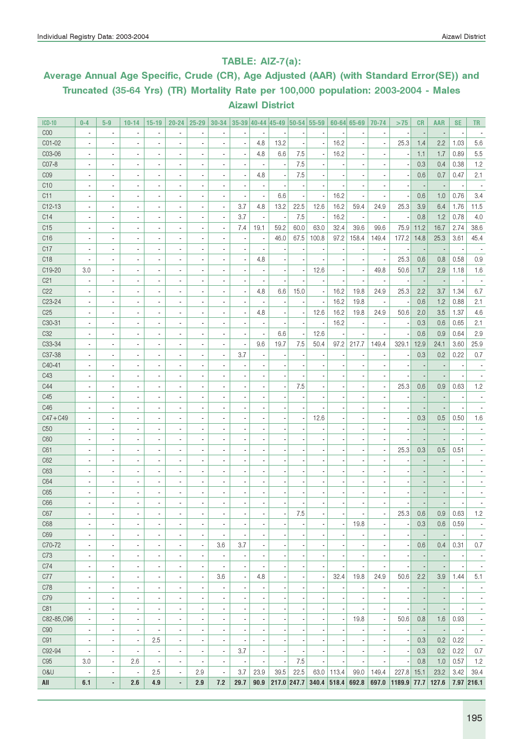### TABLE: AIZ-7(a):

### Average Annual Age Specific, Crude (CR), Age Adjusted (AAR) (with Standard Error(SE)) and Truncated (35-64 Yrs) (TR) Mortality Rate per 100,000 population: 2003-2004 - Males Aizawl District

| <b>ICD-10</b>   | $0 - 4$                  | $5-9$                    | $10 - 14$                    | $15 - 19$                    | $20 - 24$                | $25 - 29$                |                          | $30-34$ 35-39 40-44 45-49 50-54 55-59 |                          |               |                          |                          |                          | $60 - 64$ 65-69          | 70-74                    | >75         | CR                       | <b>AAR</b>               | <b>SE</b> | <b>TR</b>                |
|-----------------|--------------------------|--------------------------|------------------------------|------------------------------|--------------------------|--------------------------|--------------------------|---------------------------------------|--------------------------|---------------|--------------------------|--------------------------|--------------------------|--------------------------|--------------------------|-------------|--------------------------|--------------------------|-----------|--------------------------|
| C <sub>00</sub> | $\overline{\phantom{a}}$ | $\overline{\phantom{a}}$ |                              | $\overline{\phantom{a}}$     | $\overline{a}$           |                          |                          |                                       |                          |               |                          |                          |                          | $\overline{a}$           |                          |             |                          |                          |           |                          |
| CO1-02          | $\overline{a}$           | $\overline{a}$           |                              | ٠                            | $\overline{\phantom{a}}$ |                          |                          | ÷,                                    | 4.8                      | 13.2          |                          | ÷,                       | 16.2                     | ÷,                       |                          | 25.3        | 1.4                      | 2.2                      | 1.03      | 5.6                      |
| C03-06          | $\overline{\phantom{a}}$ | $\overline{\phantom{a}}$ |                              | $\overline{\phantom{a}}$     | $\overline{\phantom{a}}$ |                          |                          | ÷,                                    | 4.8                      | 6.6           | 7.5                      | $\overline{\phantom{a}}$ | 16.2                     | $\blacksquare$           |                          |             | 1.1                      | 1.7                      | 0.89      | 5.5                      |
| CO7-8           | $\overline{\phantom{a}}$ | ×,                       |                              | $\overline{\phantom{a}}$     | $\overline{\phantom{a}}$ |                          |                          | ×,                                    |                          |               | 7.5                      |                          |                          | $\blacksquare$           |                          |             | 0.3                      | 0.4                      | 0.38      | 1.2                      |
| C <sub>09</sub> | $\overline{a}$           | $\overline{a}$           |                              | $\overline{\phantom{a}}$     | $\blacksquare$           |                          |                          | ÷,                                    | 4.8                      |               | 7.5                      |                          |                          | $\overline{a}$           |                          |             | 0.6                      | 0.7                      | 0.47      | 2.1                      |
| C10             | $\overline{\phantom{a}}$ |                          |                              | $\overline{\phantom{a}}$     | $\blacksquare$           |                          |                          | ×,                                    |                          |               |                          |                          |                          | $\overline{\phantom{a}}$ |                          |             |                          |                          |           |                          |
| C11             | $\overline{\phantom{a}}$ |                          |                              | $\overline{\phantom{a}}$     | $\blacksquare$           |                          | $\blacksquare$           | ×,                                    |                          | 6.6           |                          | $\overline{\phantom{a}}$ | 16.2                     | $\overline{\phantom{a}}$ |                          |             | 0.6                      | 1.0                      | 0.76      | 3.4                      |
| $C12-13$        |                          | $\overline{\phantom{a}}$ | $\overline{a}$               | ٠                            | $\blacksquare$           | $\overline{a}$           | $\overline{\phantom{a}}$ | 3.7                                   | 4.8                      | 13.2          | 22.5                     | 12.6                     | 16.2                     | 59.4                     | 24.9                     | 25.3        | 3.9                      | 6.4                      | 1.76      | 11.5                     |
| C14             | $\blacksquare$           | $\overline{a}$           | ÷,                           | $\blacksquare$               | $\blacksquare$           | $\blacksquare$           | $\overline{\phantom{a}}$ | 3.7                                   | $\overline{\phantom{a}}$ |               | 7.5                      | $\overline{\phantom{a}}$ | 16.2                     | $\overline{\phantom{a}}$ | $\overline{a}$           | ٠.          | 0.8                      | 1.2                      | 0.78      | 4.0                      |
| C15             | $\blacksquare$           | $\blacksquare$           | ٠                            | $\overline{\phantom{a}}$     | $\overline{\phantom{a}}$ | $\blacksquare$           | $\overline{\phantom{a}}$ | 7.4                                   | 19.1                     | 59.2          | 60.0                     | 63.0                     | 32.4                     | 39.6                     | 99.6                     | 75.9        | 11.2                     | 16.7                     | 2.74      | 38.6                     |
| C16             | $\overline{\phantom{a}}$ | $\blacksquare$           | $\overline{a}$               | $\blacksquare$               | $\blacksquare$           |                          | $\blacksquare$           | $\overline{\phantom{a}}$              | $\blacksquare$           | 46.0          | 67.5                     | 100.8                    | 97.2                     | 158.4                    | 149.4                    | 177.2       | 14.8                     | 25.3                     | 3.61      | 45.4                     |
| C17             | $\blacksquare$           | $\blacksquare$           | $\overline{a}$               | ٠                            | $\blacksquare$           |                          |                          | $\blacksquare$                        |                          |               |                          |                          |                          | $\overline{\phantom{m}}$ |                          |             |                          |                          |           |                          |
| C <sub>18</sub> |                          | $\blacksquare$           | $\overline{a}$               | ٠                            | $\blacksquare$           | $\blacksquare$           |                          | ÷,                                    | 4.8                      |               |                          |                          |                          | $\overline{\phantom{a}}$ |                          | 25.3        | 0.6                      | 0.8                      | 0.58      | 0.9                      |
| C19-20          | 3.0                      | $\overline{\phantom{a}}$ | $\overline{a}$               | ٠                            | $\blacksquare$           | $\overline{a}$           | $\blacksquare$           | $\blacksquare$                        |                          |               |                          | 12.6                     |                          | $\blacksquare$           | 49.8                     | 50.6        | 1.7                      | 2.9                      | 1.18      | 1.6                      |
| C <sub>21</sub> | $\blacksquare$           | $\overline{\phantom{a}}$ | $\overline{\phantom{a}}$     | ٠                            | $\overline{\phantom{a}}$ | $\blacksquare$           | $\blacksquare$           | ×,                                    |                          |               |                          |                          |                          | ä,                       |                          |             |                          |                          |           |                          |
| C22             | $\overline{\phantom{a}}$ | $\overline{\phantom{a}}$ | $\overline{\phantom{a}}$     | ٠                            | $\blacksquare$           | $\overline{a}$           |                          | ÷,                                    | 4.8                      | 6.6           | 15.0                     | $\overline{\phantom{a}}$ | 16.2                     | 19.8                     | 24.9                     | 25.3        | 2.2                      | 3.7                      | 1.34      | 6.7                      |
| C23-24          | $\overline{a}$           | $\overline{\phantom{a}}$ | $\blacksquare$               | ٠                            | $\overline{\phantom{a}}$ | $\overline{\phantom{a}}$ |                          | $\blacksquare$                        |                          |               |                          |                          | 16.2                     | 19.8                     | $\blacksquare$           |             | 0.6                      | 1.2                      | 0.88      | 2.1                      |
| C <sub>25</sub> | $\overline{a}$           | $\overline{\phantom{a}}$ |                              | ٠                            | $\overline{\phantom{a}}$ | $\overline{a}$           |                          | ×,                                    | 4.8                      |               |                          | 12.6                     | 16.2                     | 19.8                     | 24.9                     | 50.6        | 2.0                      | 3.5                      | 1.37      | 4.6                      |
| C30-31          | $\overline{a}$           | $\overline{\phantom{a}}$ |                              | ٠                            | $\overline{\phantom{a}}$ | $\overline{\phantom{a}}$ |                          | $\blacksquare$                        |                          |               |                          |                          | 16.2                     | $\blacksquare$           |                          |             | 0.3                      | 0.6                      | 0.65      | 2.1                      |
| C <sub>32</sub> | $\overline{a}$           | $\overline{\phantom{a}}$ |                              | ٠                            | $\overline{a}$           | $\overline{a}$           | $\blacksquare$           | ä,                                    | $\overline{\phantom{a}}$ | 6.6           |                          | 12.6                     |                          |                          |                          |             | 0.6                      | 0.9                      | 0.64      | 2.9                      |
| C33-34          | ٠                        | $\overline{\phantom{a}}$ |                              | ٠                            | $\blacksquare$           | $\overline{a}$           | $\blacksquare$           | ä,                                    | 9.6                      | 19.7          | 7.5                      | 50.4                     | 97.2                     | 217.7                    | 149.4                    | 329.1       | 12.9                     | 24.1                     | 3.60      | 25.9                     |
| C37-38          | ٠                        | $\overline{\phantom{a}}$ | $\overline{\phantom{a}}$     | $\overline{\phantom{a}}$     | $\blacksquare$           | ä,                       | $\blacksquare$           | 3.7                                   |                          |               |                          |                          |                          |                          |                          |             | 0.3                      | 0.2                      | 0.22      | 0.7                      |
| C40-41          | $\overline{a}$           | $\overline{a}$           | $\overline{\phantom{a}}$     | $\overline{\phantom{a}}$     | $\blacksquare$           |                          |                          | ×,                                    |                          |               |                          |                          |                          | $\overline{a}$           |                          |             |                          |                          |           |                          |
| C43             | $\blacksquare$           | $\overline{a}$           | $\overline{\phantom{a}}$     | $\overline{\phantom{a}}$     | $\overline{a}$           |                          |                          | $\overline{a}$                        |                          |               |                          |                          |                          | $\overline{a}$           |                          |             |                          |                          |           |                          |
| C44             | $\overline{\phantom{a}}$ | $\overline{a}$           | $\overline{\phantom{a}}$     | $\overline{\phantom{a}}$     | $\overline{a}$           |                          |                          | $\overline{a}$                        |                          |               | 7.5                      |                          |                          | $\overline{\phantom{a}}$ |                          | 25.3        | 0.6                      | 0.9                      | 0.63      | 1.2                      |
| C45             | $\overline{\phantom{a}}$ | $\overline{a}$           |                              | $\overline{\phantom{a}}$     | $\blacksquare$           |                          |                          | $\overline{a}$                        |                          |               |                          |                          |                          | $\overline{\phantom{a}}$ |                          |             |                          |                          |           |                          |
| C46             | $\overline{a}$           | $\overline{a}$           |                              | $\overline{\phantom{a}}$     | $\blacksquare$           |                          |                          | $\overline{\phantom{a}}$              |                          |               |                          |                          |                          | $\overline{\phantom{a}}$ |                          |             |                          |                          |           |                          |
| $C47 + C49$     |                          |                          |                              | ä,                           |                          |                          |                          |                                       |                          |               |                          | 12.6                     |                          | $\overline{\phantom{a}}$ |                          |             | 0.3                      | 0.5                      | 0.50      | 1.6                      |
| C50             | ä,                       |                          |                              | ä,                           |                          |                          |                          |                                       |                          |               |                          |                          |                          | $\overline{\phantom{a}}$ |                          |             |                          |                          |           |                          |
| C60<br>C61      | $\overline{a}$           |                          |                              | ä,<br>ä,                     |                          |                          |                          |                                       |                          |               |                          |                          |                          |                          |                          | 25.3        | 0.3                      | 0.5                      | 0.51      |                          |
| C62             | $\overline{a}$           |                          |                              | $\overline{\phantom{a}}$     |                          |                          |                          |                                       |                          |               |                          |                          |                          |                          |                          |             |                          |                          |           |                          |
| C63             |                          |                          |                              | $\overline{\phantom{a}}$     |                          |                          |                          |                                       |                          |               |                          |                          |                          | $\overline{\phantom{a}}$ |                          |             |                          |                          |           |                          |
| C64             | ä,                       |                          |                              | $\overline{\phantom{a}}$     |                          |                          |                          |                                       |                          |               |                          |                          |                          | $\blacksquare$           |                          |             |                          |                          |           |                          |
| C65             | ä,                       |                          |                              | $\overline{\phantom{a}}$     |                          |                          |                          |                                       |                          |               |                          |                          |                          |                          |                          |             |                          |                          |           |                          |
| C66             |                          |                          |                              |                              |                          |                          |                          |                                       |                          |               |                          |                          |                          |                          |                          |             |                          |                          |           |                          |
| C67             | $\overline{\phantom{a}}$ | $\overline{\phantom{a}}$ | ٠                            | ٠                            | ٠                        | $\overline{\phantom{a}}$ | $\overline{\phantom{a}}$ | $\overline{\phantom{a}}$              | $\overline{\phantom{a}}$ | ÷             | 7.5                      | $\overline{\phantom{a}}$ | $\overline{\phantom{a}}$ | $\overline{\phantom{a}}$ | $\overline{\phantom{a}}$ | 25.3        | 0.6                      | 0.9                      | 0.63      | 1.2                      |
| C68             | $\overline{\phantom{a}}$ | $\blacksquare$           | $\overline{\phantom{a}}$     | ٠                            | $\overline{\phantom{a}}$ | $\overline{a}$           | $\overline{\phantom{a}}$ | ä,                                    | $\overline{\phantom{a}}$ |               |                          | $\overline{a}$           |                          | 19.8                     | $\overline{\phantom{a}}$ |             | 0.3                      | 0.6                      | 0.59      | $\overline{\phantom{a}}$ |
| C69             | $\overline{\phantom{a}}$ | $\blacksquare$           | ٠                            | $\overline{\phantom{a}}$     | $\blacksquare$           | ×,                       | $\blacksquare$           | ÷,                                    | ä,                       |               |                          | $\overline{a}$           |                          | ä,                       | $\blacksquare$           |             |                          | ÷                        |           | $\overline{\phantom{a}}$ |
| C70-72          | ä,                       | $\overline{\phantom{a}}$ | ٠                            | $\overline{\phantom{a}}$     | $\blacksquare$           | $\overline{\phantom{a}}$ | 3.6                      | 3.7                                   | ä,                       |               |                          | ÷,                       |                          | $\overline{\phantom{a}}$ | $\blacksquare$           |             | 0.6                      | 0.4                      | 0.31      | 0.7                      |
| C73             | $\blacksquare$           | $\blacksquare$           | ٠                            | $\overline{\phantom{a}}$     | $\overline{\phantom{a}}$ | $\overline{\phantom{a}}$ | $\blacksquare$           | $\overline{a}$                        | ä,                       |               |                          | ÷,                       |                          | $\blacksquare$           |                          |             |                          | $\overline{\phantom{a}}$ |           | $\overline{\phantom{a}}$ |
| C74             | $\overline{\phantom{m}}$ | $\overline{\phantom{a}}$ | $\overline{\phantom{a}}$     | $\qquad \qquad \blacksquare$ | $\overline{\phantom{m}}$ | $\overline{\phantom{m}}$ | $\overline{\phantom{a}}$ | ÷                                     | $\overline{a}$           |               | $\overline{\phantom{a}}$ | ×                        |                          | $\overline{a}$           |                          |             | $\overline{\phantom{m}}$ | $\overline{\phantom{a}}$ |           | $\overline{\phantom{a}}$ |
| C77             | $\overline{\phantom{m}}$ | $\overline{\phantom{a}}$ | $\overline{\phantom{a}}$     | $\overline{\phantom{a}}$     | $\overline{\phantom{a}}$ | $\overline{a}$           | 3.6                      | $\overline{\phantom{a}}$              | 4.8                      |               | $\overline{\phantom{a}}$ | $\overline{\phantom{a}}$ | 32.4                     | 19.8                     | 24.9                     | 50.6        | 2.2                      | 3.9                      | 1.44      | 5.1                      |
| C78             | $\frac{1}{2}$            | $\overline{\phantom{a}}$ | $\overline{\phantom{a}}$     | $\qquad \qquad \blacksquare$ | $\frac{1}{2}$            | $\overline{\phantom{m}}$ | $\overline{\phantom{a}}$ | $\overline{\phantom{a}}$              | $\overline{\phantom{a}}$ |               | $\overline{\phantom{a}}$ | ,                        |                          | $\frac{1}{2}$            | $\overline{\phantom{a}}$ |             | $\overline{\phantom{a}}$ | $\overline{\phantom{a}}$ |           | $\overline{\phantom{a}}$ |
| C79             | $\frac{1}{2}$            | $\overline{\phantom{a}}$ | $\qquad \qquad \blacksquare$ | $\qquad \qquad \blacksquare$ | $\overline{\phantom{m}}$ | $\overline{\phantom{m}}$ | $\overline{\phantom{a}}$ | $\overline{\phantom{a}}$              | ٠                        |               | $\overline{\phantom{a}}$ | ×                        |                          | $\overline{\phantom{m}}$ | $\overline{\phantom{a}}$ |             |                          | $\overline{\phantom{a}}$ |           | $\overline{\phantom{a}}$ |
| C81             | $\frac{1}{2}$            | $\overline{\phantom{a}}$ | $\qquad \qquad \blacksquare$ | $\qquad \qquad \blacksquare$ | $\frac{1}{2}$            | $\overline{\phantom{m}}$ | $\overline{\phantom{a}}$ | $\overline{\phantom{a}}$              | ٠                        |               |                          | ٠                        |                          | $\frac{1}{2}$            | $\overline{\phantom{a}}$ |             | $\overline{a}$           | $\overline{\phantom{a}}$ |           | $\overline{\phantom{a}}$ |
| C82-85, C96     | $\overline{\phantom{a}}$ | $\overline{\phantom{a}}$ | $\qquad \qquad \blacksquare$ | $\qquad \qquad \blacksquare$ | $\overline{\phantom{a}}$ | $\frac{1}{2}$            | $\overline{\phantom{a}}$ | $\overline{\phantom{a}}$              | ٠                        |               |                          | ,                        |                          | 19.8                     | $\frac{1}{2}$            | 50.6        | 0.8                      | 1.6                      | 0.93      | $\overline{\phantom{a}}$ |
| <b>C90</b>      | $\overline{\phantom{a}}$ | $\overline{\phantom{a}}$ | $\qquad \qquad \blacksquare$ | $\qquad \qquad \blacksquare$ | $\overline{\phantom{a}}$ | $\overline{\phantom{m}}$ | $\overline{\phantom{a}}$ | ٠                                     | $\overline{\phantom{a}}$ |               |                          | $\overline{a}$           |                          | $\frac{1}{2}$            | $\overline{\phantom{a}}$ |             | $\overline{\phantom{a}}$ | $\overline{\phantom{a}}$ |           | $\overline{\phantom{a}}$ |
| C91             | $\overline{\phantom{a}}$ | $\overline{\phantom{a}}$ | $\overline{\phantom{a}}$     | 2.5                          | $\overline{\phantom{a}}$ | $\overline{\phantom{m}}$ | $\overline{\phantom{a}}$ | ÷                                     | $\overline{\phantom{a}}$ |               | $\overline{\phantom{a}}$ | $\overline{\phantom{a}}$ |                          | $\overline{\phantom{m}}$ | $\overline{\phantom{a}}$ | г.          | 0.3                      | 0.2                      | 0.22      | $\overline{\phantom{a}}$ |
| C92-94          | $\overline{\phantom{a}}$ | $\overline{\phantom{a}}$ | ٠                            | $\overline{\phantom{a}}$     | $\overline{\phantom{a}}$ | $\overline{\phantom{a}}$ | $\overline{\phantom{a}}$ | 3.7                                   | $\overline{\phantom{a}}$ |               | $\overline{\phantom{a}}$ | $\overline{\phantom{a}}$ |                          | $\overline{\phantom{a}}$ | $\overline{\phantom{a}}$ | г.          | 0.3                      | 0.2                      | 0.22      | 0.7                      |
| C <sub>95</sub> | 3.0                      | $\overline{\phantom{a}}$ | 2.6                          | $\overline{\phantom{a}}$     | $\overline{\phantom{a}}$ | $\overline{\phantom{m}}$ | $\overline{\phantom{a}}$ | $\overline{\phantom{a}}$              | $\overline{\phantom{a}}$ |               | 7.5                      | $\overline{\phantom{a}}$ | $\overline{\phantom{a}}$ | $\overline{\phantom{a}}$ | $\overline{\phantom{a}}$ | г.          | 0.8                      | 1.0                      | 0.57      | 1.2                      |
| 0&U             | $\overline{\phantom{a}}$ | $\overline{\phantom{a}}$ | $\overline{\phantom{a}}$     | 2.5                          | $\overline{\phantom{a}}$ | 2.9                      | $\blacksquare$           | 3.7                                   | 23.9                     | 39.5          | 22.5                     |                          | 63.0 113.4               | 99.0                     | 149.4                    | 227.8       | 15.1                     | 23.2                     | 3.42      | 39.4                     |
| All             | 6.1                      | $\overline{\phantom{a}}$ | 2.6                          | 4.9                          | ٠                        | 2.9                      | 7.2                      | 29.7                                  | 90.9                     | $217.0$ 247.7 |                          |                          | 340.4 518.4 692.8        |                          | 697.0                    | 1189.9 77.7 |                          | 127.6                    |           | 7.97 216.1               |